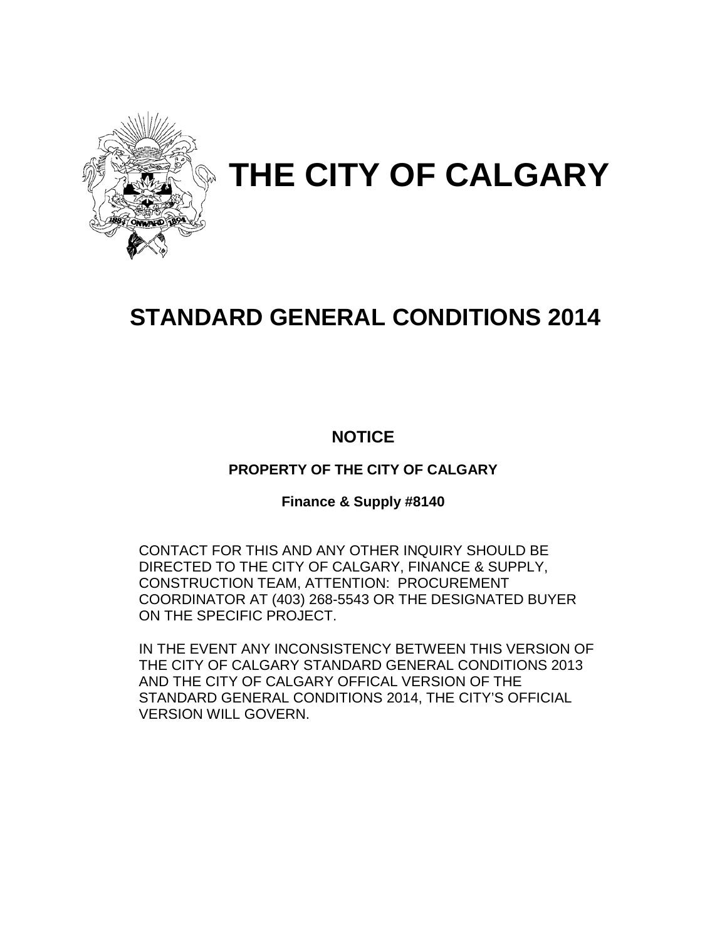

# **THE CITY OF CALGARY**

# **STANDARD GENERAL CONDITIONS 2014**

## **NOTICE**

## **PROPERTY OF THE CITY OF CALGARY**

## **Finance & Supply #8140**

CONTACT FOR THIS AND ANY OTHER INQUIRY SHOULD BE DIRECTED TO THE CITY OF CALGARY, FINANCE & SUPPLY, CONSTRUCTION TEAM, ATTENTION: PROCUREMENT COORDINATOR AT (403) 268-5543 OR THE DESIGNATED BUYER ON THE SPECIFIC PROJECT.

IN THE EVENT ANY INCONSISTENCY BETWEEN THIS VERSION OF THE CITY OF CALGARY STANDARD GENERAL CONDITIONS 2013 AND THE CITY OF CALGARY OFFICAL VERSION OF THE STANDARD GENERAL CONDITIONS 2014, THE CITY'S OFFICIAL VERSION WILL GOVERN.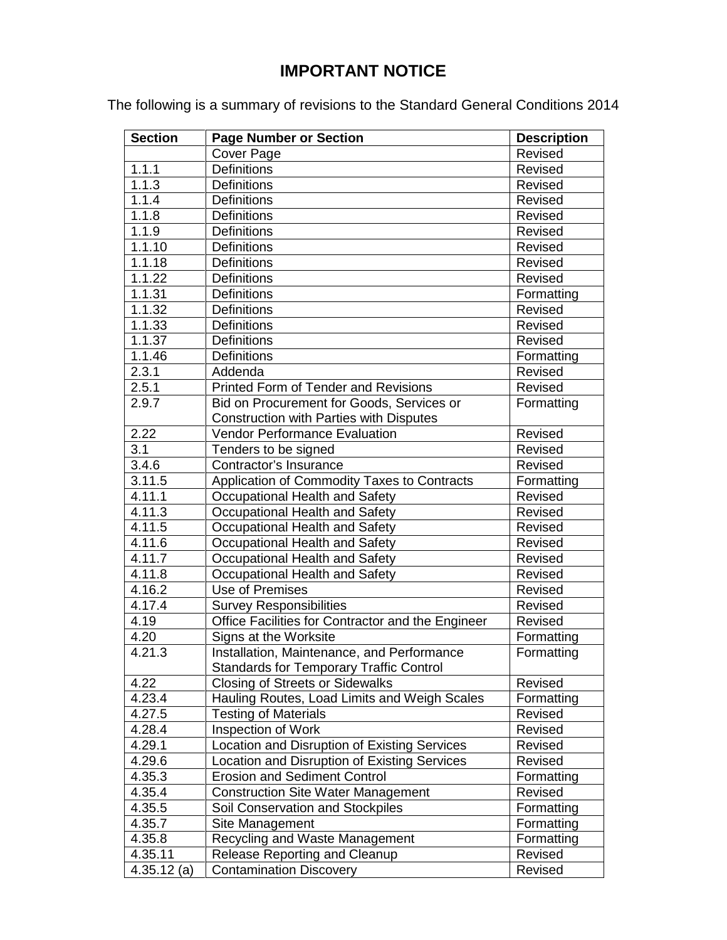## **IMPORTANT NOTICE**

The following is a summary of revisions to the Standard General Conditions 2014

| <b>Section</b>      | <b>Page Number or Section</b>                     | <b>Description</b> |
|---------------------|---------------------------------------------------|--------------------|
|                     | Cover Page                                        | Revised            |
| 1.1.1               | <b>Definitions</b>                                | Revised            |
| 1.1.3               | <b>Definitions</b>                                | Revised            |
| 1.1.4               | <b>Definitions</b>                                | Revised            |
| 1.1.8               | <b>Definitions</b>                                | Revised            |
| 1.1.9               | <b>Definitions</b>                                | Revised            |
| $1.1.\overline{10}$ | Definitions                                       | Revised            |
| 1.1.18              | <b>Definitions</b>                                | Revised            |
| 1.1.22              | <b>Definitions</b>                                | Revised            |
| 1.1.31              | <b>Definitions</b>                                | Formatting         |
| 1.1.32              | <b>Definitions</b>                                | Revised            |
| 1.1.33              | Definitions                                       | Revised            |
| 1.1.37              | <b>Definitions</b>                                | Revised            |
| 1.1.46              | <b>Definitions</b>                                | Formatting         |
| 2.3.1               | Addenda                                           | Revised            |
| 2.5.1               | <b>Printed Form of Tender and Revisions</b>       | Revised            |
| 2.9.7               | Bid on Procurement for Goods, Services or         | Formatting         |
|                     | <b>Construction with Parties with Disputes</b>    |                    |
| 2.22                | <b>Vendor Performance Evaluation</b>              | Revised            |
| 3.1                 | Tenders to be signed                              | Revised            |
| 3.4.6               | Contractor's Insurance                            | Revised            |
| 3.11.5              | Application of Commodity Taxes to Contracts       | Formatting         |
| 4.11.1              | Occupational Health and Safety                    | Revised            |
| 4.11.3              | Occupational Health and Safety                    | Revised            |
| 4.11.5              | Occupational Health and Safety                    | Revised            |
| 4.11.6              | Occupational Health and Safety                    | Revised            |
| 4.11.7              | Occupational Health and Safety                    | Revised            |
| 4.11.8              | Occupational Health and Safety                    | Revised            |
| 4.16.2              | Use of Premises                                   | Revised            |
| 4.17.4              | <b>Survey Responsibilities</b>                    | Revised            |
| 4.19                | Office Facilities for Contractor and the Engineer | Revised            |
| 4.20                | Signs at the Worksite                             | Formatting         |
| 4.21.3              | Installation, Maintenance, and Performance        | Formatting         |
|                     | <b>Standards for Temporary Traffic Control</b>    |                    |
| 4.22                | <b>Closing of Streets or Sidewalks</b>            | Revised            |
| 4.23.4              | Hauling Routes, Load Limits and Weigh Scales      | Formatting         |
| 4.27.5              | <b>Testing of Materials</b>                       | Revised            |
| 4.28.4              | Inspection of Work                                | Revised            |
| 4.29.1              | Location and Disruption of Existing Services      | Revised            |
| 4.29.6              | Location and Disruption of Existing Services      | Revised            |
| 4.35.3              | <b>Erosion and Sediment Control</b>               | Formatting         |
| 4.35.4              | <b>Construction Site Water Management</b>         | Revised            |
| 4.35.5              | Soil Conservation and Stockpiles                  | Formatting         |
| 4.35.7              | Site Management                                   | Formatting         |
| 4.35.8              | Recycling and Waste Management                    | Formatting         |
| 4.35.11             | <b>Release Reporting and Cleanup</b>              | Revised            |
| $4.35.12$ (a)       | <b>Contamination Discovery</b>                    | Revised            |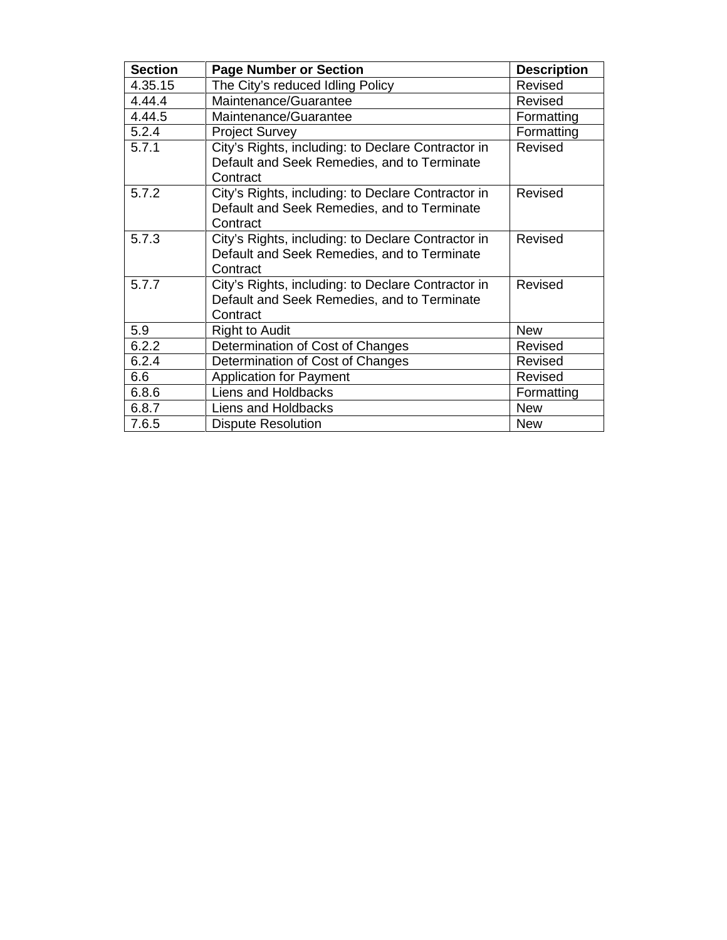| <b>Section</b> | <b>Page Number or Section</b>                           | <b>Description</b> |
|----------------|---------------------------------------------------------|--------------------|
| 4.35.15        | The City's reduced Idling Policy                        | Revised            |
| 4.44.4         | Maintenance/Guarantee                                   | Revised            |
| 4.44.5         | Maintenance/Guarantee                                   | Formatting         |
| 5.2.4          | <b>Project Survey</b>                                   | Formatting         |
| 5.7.1          | City's Rights, including: to Declare Contractor in      | Revised            |
|                | Default and Seek Remedies, and to Terminate<br>Contract |                    |
| 5.7.2          | City's Rights, including: to Declare Contractor in      | Revised            |
|                | Default and Seek Remedies, and to Terminate             |                    |
|                | Contract                                                |                    |
| 5.7.3          | City's Rights, including: to Declare Contractor in      | Revised            |
|                | Default and Seek Remedies, and to Terminate             |                    |
|                | Contract                                                |                    |
| 5.7.7          | City's Rights, including: to Declare Contractor in      | Revised            |
|                | Default and Seek Remedies, and to Terminate             |                    |
|                | Contract                                                |                    |
| 5.9            | <b>Right to Audit</b>                                   | <b>New</b>         |
| 6.2.2          | Determination of Cost of Changes                        | Revised            |
| 6.2.4          | Determination of Cost of Changes                        | Revised            |
| 6.6            | <b>Application for Payment</b>                          | Revised            |
| 6.8.6          | <b>Liens and Holdbacks</b>                              | Formatting         |
| 6.8.7          | Liens and Holdbacks                                     | <b>New</b>         |
| 7.6.5          | <b>Dispute Resolution</b>                               | <b>New</b>         |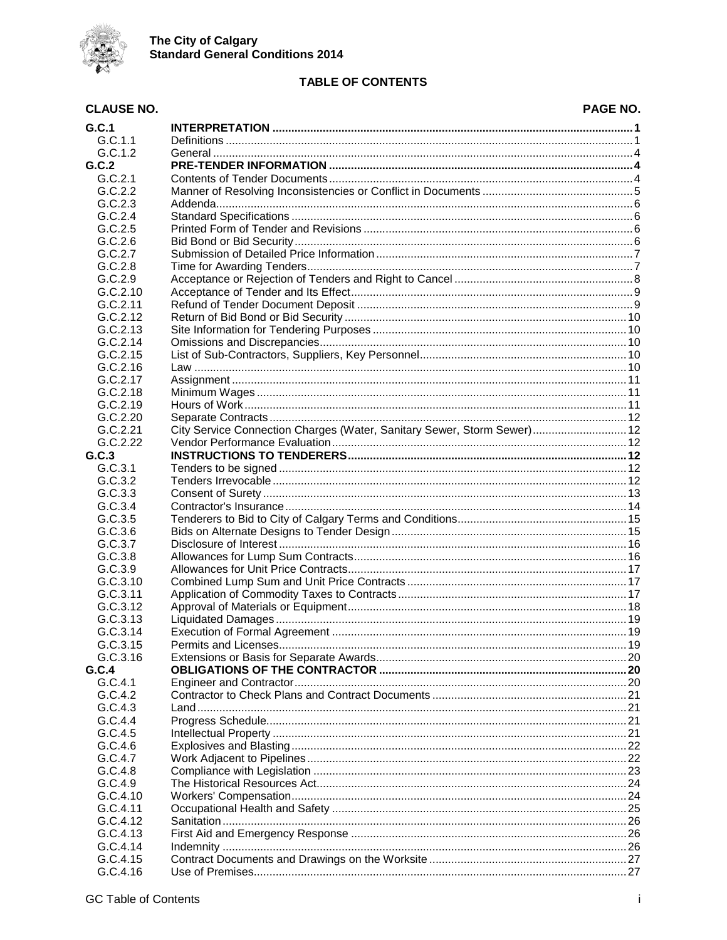

### **TABLE OF CONTENTS**

#### **CLAUSE NO.** PAGE NO.  $G.C.1$  $G.C.1.1$  $G.C.1.2$  $G.C.2$  $G.C.2.1$  $G.C.2.2$  $G.C.2.3$  $G.C.2.4$  $G.C.2.5$  $G.C.2.6$  $G.C.2.7$  $G.C.2.8$  $G.C.2.9$  $G.C.2.10$  $G.C.2.11$  $G.C.2.12$  $G.C.2.13$  $G.C.2.14$  $G.C.2.15$  $G.C.2.16$  $G.C.2.17$  $G.C.2.18$  $G.C.2.19$  $G.C.2.20$ City Service Connection Charges (Water, Sanitary Sewer, Storm Sewer).............................. 12  $G.C.2.21$  $G.C.2.22$  $G.C.3$  $G.C.3.1$  $G.C.3.2$  $G.C.3.3$  $G.C.3.4$  $G.C.3.5$  $G.C.3.6$  $G.C.3.7$  $G.C.3.8$  $G.C.3.9$ G.C.3.10 G.C.3.11 G.C.3.12  $G.C.3.13$  $G.C.3.14$ G.C.3.15 G.C.3.16  $G.C.4$  $G.C.4.1$  $G.C.4.2$  $G.C.4.3$  $G.C.4.4$  $G.C.4.5$  $G.C.4.6$  $G.C.4.7$  $G.C.4.8$  $G.C.4.9$ G.C.4.10  $G.C.4.11$  $G.C.4.12$

 $G.C.4.13$ 

 $G.C.4.14$ 

 $G.C.4.15$ 

G.C.4.16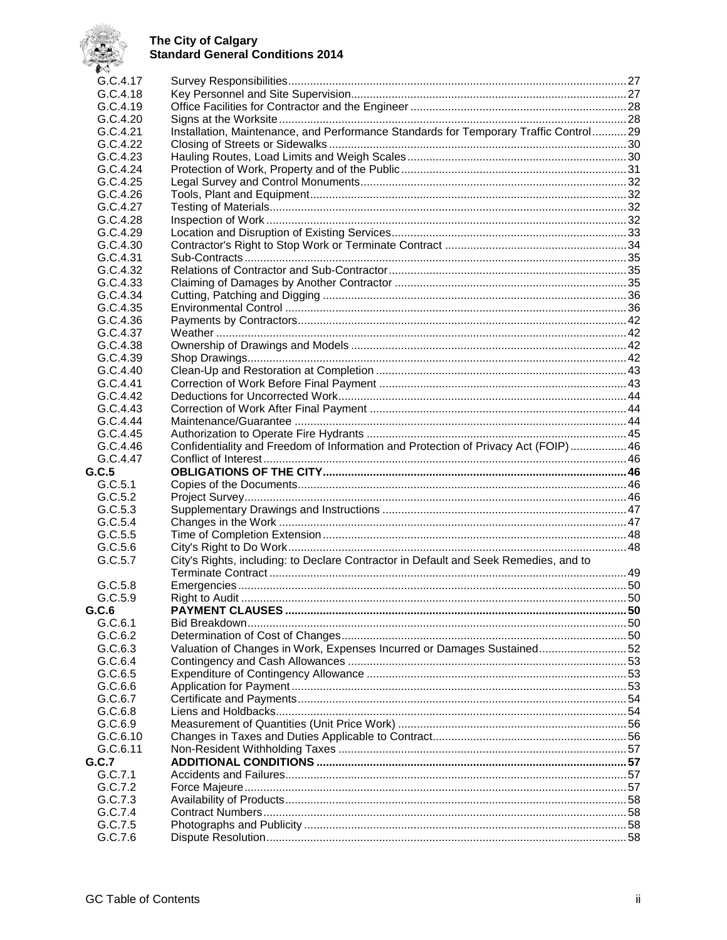

| $\sim$   |                                                                                      |  |
|----------|--------------------------------------------------------------------------------------|--|
| G.C.4.17 |                                                                                      |  |
| G.C.4.18 |                                                                                      |  |
| G.C.4.19 |                                                                                      |  |
| G.C.4.20 |                                                                                      |  |
| G.C.4.21 | Installation, Maintenance, and Performance Standards for Temporary Traffic Control29 |  |
| G.C.4.22 |                                                                                      |  |
| G.C.4.23 |                                                                                      |  |
| G.C.4.24 |                                                                                      |  |
| G.C.4.25 |                                                                                      |  |
| G.C.4.26 |                                                                                      |  |
| G.C.4.27 |                                                                                      |  |
| G.C.4.28 |                                                                                      |  |
| G.C.4.29 |                                                                                      |  |
| G.C.4.30 |                                                                                      |  |
| G.C.4.31 |                                                                                      |  |
| G.C.4.32 |                                                                                      |  |
| G.C.4.33 |                                                                                      |  |
| G.C.4.34 |                                                                                      |  |
| G.C.4.35 |                                                                                      |  |
|          |                                                                                      |  |
| G.C.4.36 |                                                                                      |  |
| G.C.4.37 |                                                                                      |  |
| G.C.4.38 |                                                                                      |  |
| G.C.4.39 |                                                                                      |  |
| G.C.4.40 |                                                                                      |  |
| G.C.4.41 |                                                                                      |  |
| G.C.4.42 |                                                                                      |  |
| G.C.4.43 |                                                                                      |  |
| G.C.4.44 |                                                                                      |  |
| G.C.4.45 |                                                                                      |  |
| G.C.4.46 | Confidentiality and Freedom of Information and Protection of Privacy Act (FOIP)46    |  |
| G.C.4.47 |                                                                                      |  |
| G.C.5    |                                                                                      |  |
| G.C.5.1  |                                                                                      |  |
| G.C.5.2  |                                                                                      |  |
| G.C.5.3  |                                                                                      |  |
| G.C.5.4  |                                                                                      |  |
| G.C.5.5  |                                                                                      |  |
| G.C.5.6  |                                                                                      |  |
| G.C.5.7  | City's Rights, including: to Declare Contractor in Default and Seek Remedies, and to |  |
|          |                                                                                      |  |
| G.C.5.8  |                                                                                      |  |
| G.C.5.9  |                                                                                      |  |
| G.C.6    |                                                                                      |  |
| G.C.6.1  |                                                                                      |  |
| G.C.6.2  |                                                                                      |  |
| G.C.6.3  | Valuation of Changes in Work, Expenses Incurred or Damages Sustained 52              |  |
| G.C.6.4  |                                                                                      |  |
| G.C.6.5  |                                                                                      |  |
| G.C.6.6  |                                                                                      |  |
| G.C.6.7  |                                                                                      |  |
| G.C.6.8  |                                                                                      |  |
| G.C.6.9  |                                                                                      |  |
| G.C.6.10 |                                                                                      |  |
| G.C.6.11 |                                                                                      |  |
| G.C.7    |                                                                                      |  |
| G.C.7.1  |                                                                                      |  |
| G.C.7.2  |                                                                                      |  |
| G.C.7.3  |                                                                                      |  |
| G.C.7.4  |                                                                                      |  |
| G.C.7.5  |                                                                                      |  |
| G.C.7.6  |                                                                                      |  |
|          |                                                                                      |  |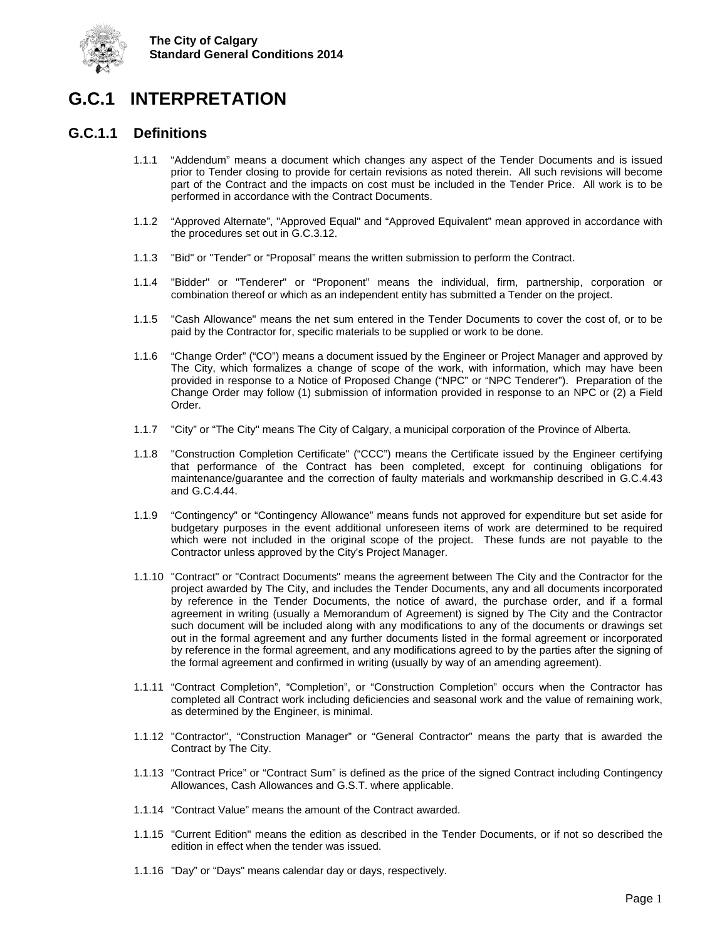

<span id="page-5-0"></span>

## <span id="page-5-1"></span>**G.C.1.1 Definitions**

- 1.1.1 "Addendum" means a document which changes any aspect of the Tender Documents and is issued prior to Tender closing to provide for certain revisions as noted therein. All such revisions will become part of the Contract and the impacts on cost must be included in the Tender Price. All work is to be performed in accordance with the Contract Documents.
- 1.1.2 "Approved Alternate", "Approved Equal" and "Approved Equivalent" mean approved in accordance with the procedures set out in G.C.3.12.
- 1.1.3 "Bid" or "Tender" or "Proposal" means the written submission to perform the Contract.
- 1.1.4 "Bidder" or "Tenderer" or "Proponent" means the individual, firm, partnership, corporation or combination thereof or which as an independent entity has submitted a Tender on the project.
- 1.1.5 "Cash Allowance" means the net sum entered in the Tender Documents to cover the cost of, or to be paid by the Contractor for, specific materials to be supplied or work to be done.
- 1.1.6 "Change Order" ("CO") means a document issued by the Engineer or Project Manager and approved by The City, which formalizes a change of scope of the work, with information, which may have been provided in response to a Notice of Proposed Change ("NPC" or "NPC Tenderer"). Preparation of the Change Order may follow (1) submission of information provided in response to an NPC or (2) a Field Order.
- 1.1.7 "City" or "The City" means The City of Calgary, a municipal corporation of the Province of Alberta.
- 1.1.8 "Construction Completion Certificate" ("CCC") means the Certificate issued by the Engineer certifying that performance of the Contract has been completed, except for continuing obligations for maintenance/guarantee and the correction of faulty materials and workmanship described in G.C.4.43 and G.C.4.44.
- 1.1.9 "Contingency" or "Contingency Allowance" means funds not approved for expenditure but set aside for budgetary purposes in the event additional unforeseen items of work are determined to be required which were not included in the original scope of the project. These funds are not payable to the Contractor unless approved by the City's Project Manager.
- 1.1.10 "Contract" or "Contract Documents" means the agreement between The City and the Contractor for the project awarded by The City, and includes the Tender Documents, any and all documents incorporated by reference in the Tender Documents, the notice of award, the purchase order, and if a formal agreement in writing (usually a Memorandum of Agreement) is signed by The City and the Contractor such document will be included along with any modifications to any of the documents or drawings set out in the formal agreement and any further documents listed in the formal agreement or incorporated by reference in the formal agreement, and any modifications agreed to by the parties after the signing of the formal agreement and confirmed in writing (usually by way of an amending agreement).
- 1.1.11 "Contract Completion", "Completion", or "Construction Completion" occurs when the Contractor has completed all Contract work including deficiencies and seasonal work and the value of remaining work, as determined by the Engineer, is minimal.
- 1.1.12 "Contractor", "Construction Manager" or "General Contractor" means the party that is awarded the Contract by The City.
- 1.1.13 "Contract Price" or "Contract Sum" is defined as the price of the signed Contract including Contingency Allowances, Cash Allowances and G.S.T. where applicable.
- 1.1.14 "Contract Value" means the amount of the Contract awarded.
- 1.1.15 "Current Edition" means the edition as described in the Tender Documents, or if not so described the edition in effect when the tender was issued.
- 1.1.16 "Day" or "Days" means calendar day or days, respectively.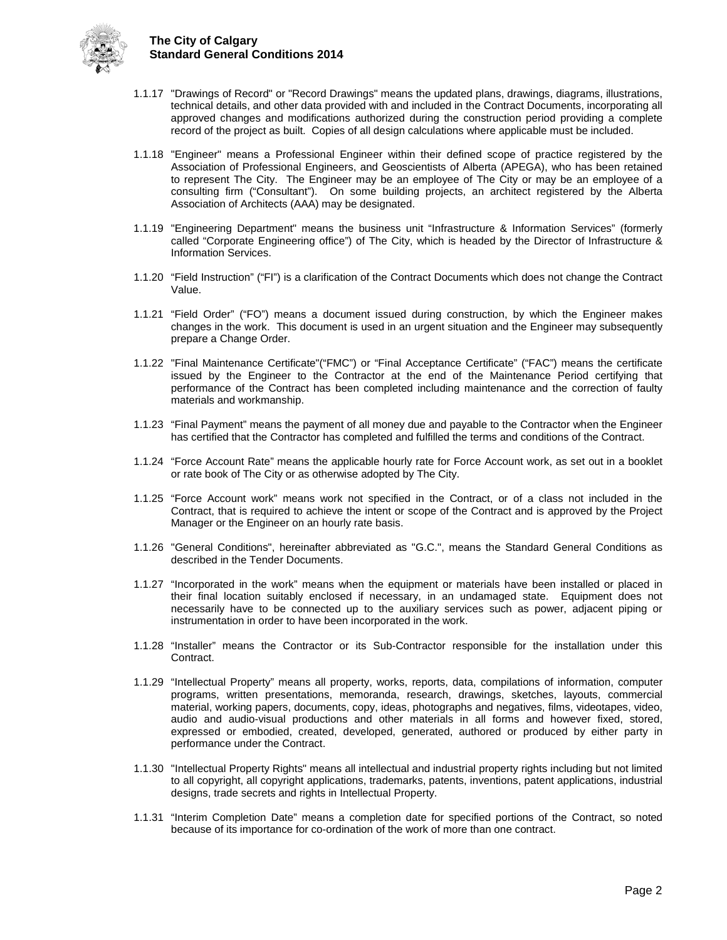

- 1.1.17 "Drawings of Record" or "Record Drawings" means the updated plans, drawings, diagrams, illustrations, technical details, and other data provided with and included in the Contract Documents, incorporating all approved changes and modifications authorized during the construction period providing a complete record of the project as built. Copies of all design calculations where applicable must be included.
- 1.1.18 "Engineer" means a Professional Engineer within their defined scope of practice registered by the Association of Professional Engineers, and Geoscientists of Alberta (APEGA), who has been retained to represent The City. The Engineer may be an employee of The City or may be an employee of a consulting firm ("Consultant"). On some building projects, an architect registered by the Alberta Association of Architects (AAA) may be designated.
- 1.1.19 "Engineering Department" means the business unit "Infrastructure & Information Services" (formerly called "Corporate Engineering office") of The City, which is headed by the Director of Infrastructure & Information Services.
- 1.1.20 "Field Instruction" ("FI") is a clarification of the Contract Documents which does not change the Contract Value.
- 1.1.21 "Field Order" ("FO") means a document issued during construction, by which the Engineer makes changes in the work. This document is used in an urgent situation and the Engineer may subsequently prepare a Change Order.
- 1.1.22 "Final Maintenance Certificate"("FMC") or "Final Acceptance Certificate" ("FAC") means the certificate issued by the Engineer to the Contractor at the end of the Maintenance Period certifying that performance of the Contract has been completed including maintenance and the correction of faulty materials and workmanship.
- 1.1.23 "Final Payment" means the payment of all money due and payable to the Contractor when the Engineer has certified that the Contractor has completed and fulfilled the terms and conditions of the Contract.
- 1.1.24 "Force Account Rate" means the applicable hourly rate for Force Account work, as set out in a booklet or rate book of The City or as otherwise adopted by The City.
- 1.1.25 "Force Account work" means work not specified in the Contract, or of a class not included in the Contract, that is required to achieve the intent or scope of the Contract and is approved by the Project Manager or the Engineer on an hourly rate basis.
- 1.1.26 "General Conditions", hereinafter abbreviated as "G.C.", means the Standard General Conditions as described in the Tender Documents.
- 1.1.27 "Incorporated in the work" means when the equipment or materials have been installed or placed in their final location suitably enclosed if necessary, in an undamaged state. Equipment does not necessarily have to be connected up to the auxiliary services such as power, adjacent piping or instrumentation in order to have been incorporated in the work.
- 1.1.28 "Installer" means the Contractor or its Sub-Contractor responsible for the installation under this Contract.
- 1.1.29 "Intellectual Property" means all property, works, reports, data, compilations of information, computer programs, written presentations, memoranda, research, drawings, sketches, layouts, commercial material, working papers, documents, copy, ideas, photographs and negatives, films, videotapes, video, audio and audio-visual productions and other materials in all forms and however fixed, stored, expressed or embodied, created, developed, generated, authored or produced by either party in performance under the Contract.
- 1.1.30 "Intellectual Property Rights" means all intellectual and industrial property rights including but not limited to all copyright, all copyright applications, trademarks, patents, inventions, patent applications, industrial designs, trade secrets and rights in Intellectual Property.
- 1.1.31 "Interim Completion Date" means a completion date for specified portions of the Contract, so noted because of its importance for co-ordination of the work of more than one contract.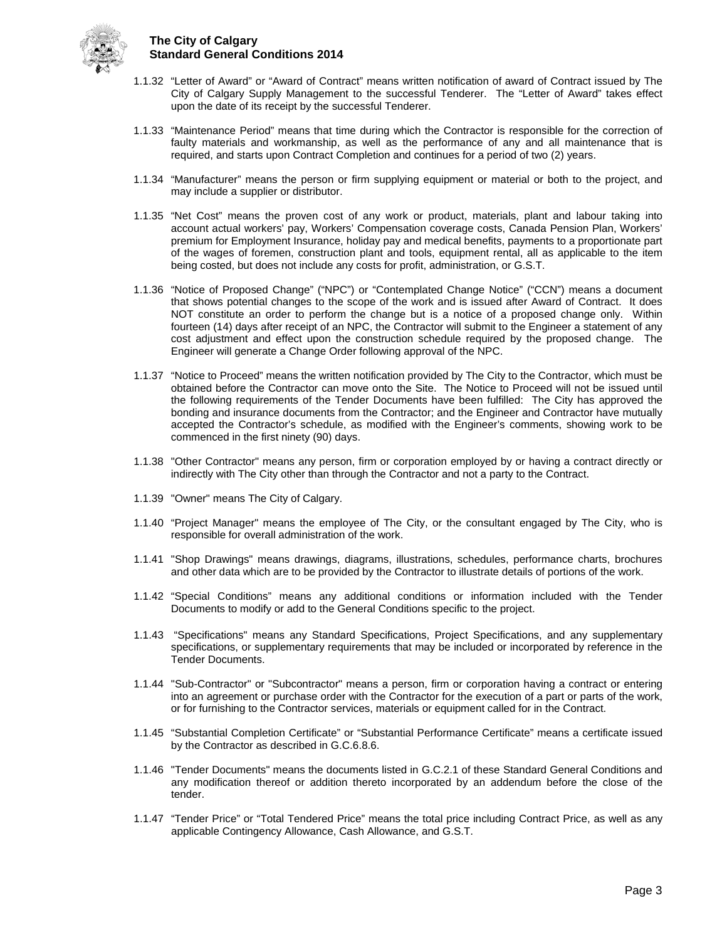

- 1.1.32 "Letter of Award" or "Award of Contract" means written notification of award of Contract issued by The City of Calgary Supply Management to the successful Tenderer. The "Letter of Award" takes effect upon the date of its receipt by the successful Tenderer.
- 1.1.33 "Maintenance Period" means that time during which the Contractor is responsible for the correction of faulty materials and workmanship, as well as the performance of any and all maintenance that is required, and starts upon Contract Completion and continues for a period of two (2) years.
- 1.1.34 "Manufacturer" means the person or firm supplying equipment or material or both to the project, and may include a supplier or distributor.
- 1.1.35 "Net Cost" means the proven cost of any work or product, materials, plant and labour taking into account actual workers' pay, Workers' Compensation coverage costs, Canada Pension Plan, Workers' premium for Employment Insurance, holiday pay and medical benefits, payments to a proportionate part of the wages of foremen, construction plant and tools, equipment rental, all as applicable to the item being costed, but does not include any costs for profit, administration, or G.S.T.
- 1.1.36 "Notice of Proposed Change" ("NPC") or "Contemplated Change Notice" ("CCN") means a document that shows potential changes to the scope of the work and is issued after Award of Contract. It does NOT constitute an order to perform the change but is a notice of a proposed change only. Within fourteen (14) days after receipt of an NPC, the Contractor will submit to the Engineer a statement of any cost adjustment and effect upon the construction schedule required by the proposed change. The Engineer will generate a Change Order following approval of the NPC.
- 1.1.37 "Notice to Proceed" means the written notification provided by The City to the Contractor, which must be obtained before the Contractor can move onto the Site. The Notice to Proceed will not be issued until the following requirements of the Tender Documents have been fulfilled: The City has approved the bonding and insurance documents from the Contractor; and the Engineer and Contractor have mutually accepted the Contractor's schedule, as modified with the Engineer's comments, showing work to be commenced in the first ninety (90) days.
- 1.1.38 "Other Contractor" means any person, firm or corporation employed by or having a contract directly or indirectly with The City other than through the Contractor and not a party to the Contract.
- 1.1.39 "Owner" means The City of Calgary.
- 1.1.40 "Project Manager" means the employee of The City, or the consultant engaged by The City, who is responsible for overall administration of the work.
- 1.1.41 "Shop Drawings" means drawings, diagrams, illustrations, schedules, performance charts, brochures and other data which are to be provided by the Contractor to illustrate details of portions of the work.
- 1.1.42 "Special Conditions" means any additional conditions or information included with the Tender Documents to modify or add to the General Conditions specific to the project.
- 1.1.43 "Specifications" means any Standard Specifications, Project Specifications, and any supplementary specifications, or supplementary requirements that may be included or incorporated by reference in the Tender Documents.
- 1.1.44 "Sub-Contractor" or "Subcontractor" means a person, firm or corporation having a contract or entering into an agreement or purchase order with the Contractor for the execution of a part or parts of the work, or for furnishing to the Contractor services, materials or equipment called for in the Contract.
- 1.1.45 "Substantial Completion Certificate" or "Substantial Performance Certificate" means a certificate issued by the Contractor as described in G.C.6.8.6.
- 1.1.46 "Tender Documents" means the documents listed in G.C.2.1 of these Standard General Conditions and any modification thereof or addition thereto incorporated by an addendum before the close of the tender.
- 1.1.47 "Tender Price" or "Total Tendered Price" means the total price including Contract Price, as well as any applicable Contingency Allowance, Cash Allowance, and G.S.T.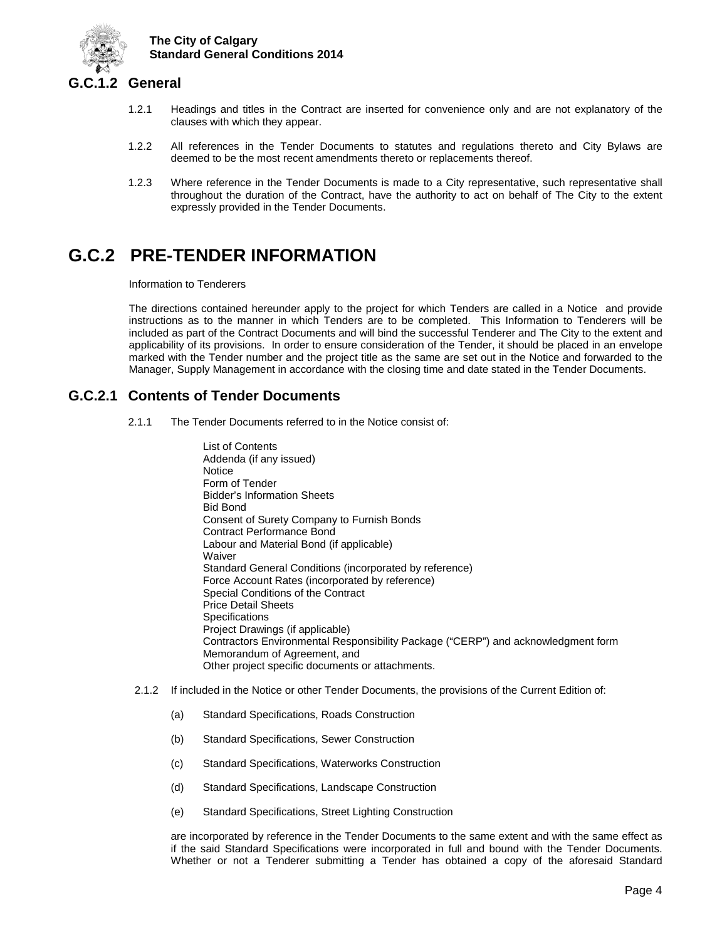

## <span id="page-8-0"></span>**G.C.1.2 General**

- 1.2.1 Headings and titles in the Contract are inserted for convenience only and are not explanatory of the clauses with which they appear.
- 1.2.2 All references in the Tender Documents to statutes and regulations thereto and City Bylaws are deemed to be the most recent amendments thereto or replacements thereof.
- 1.2.3 Where reference in the Tender Documents is made to a City representative, such representative shall throughout the duration of the Contract, have the authority to act on behalf of The City to the extent expressly provided in the Tender Documents.

## <span id="page-8-1"></span>**G.C.2 PRE-TENDER INFORMATION**

Information to Tenderers

The directions contained hereunder apply to the project for which Tenders are called in a Notice and provide instructions as to the manner in which Tenders are to be completed. This Information to Tenderers will be included as part of the Contract Documents and will bind the successful Tenderer and The City to the extent and applicability of its provisions. In order to ensure consideration of the Tender, it should be placed in an envelope marked with the Tender number and the project title as the same are set out in the Notice and forwarded to the Manager, Supply Management in accordance with the closing time and date stated in the Tender Documents.

## <span id="page-8-2"></span>**G.C.2.1 Contents of Tender Documents**

- 2.1.1 The Tender Documents referred to in the Notice consist of:
	- List of Contents Addenda (if any issued) **Notice** Form of Tender Bidder's Information Sheets Bid Bond Consent of Surety Company to Furnish Bonds Contract Performance Bond Labour and Material Bond (if applicable) **Waiver** Standard General Conditions (incorporated by reference) Force Account Rates (incorporated by reference) Special Conditions of the Contract Price Detail Sheets **Specifications** Project Drawings (if applicable) Contractors Environmental Responsibility Package ("CERP") and acknowledgment form Memorandum of Agreement, and Other project specific documents or attachments.
- 2.1.2 If included in the Notice or other Tender Documents, the provisions of the Current Edition of:
	- (a) Standard Specifications, Roads Construction
	- (b) Standard Specifications, Sewer Construction
	- (c) Standard Specifications, Waterworks Construction
	- (d) Standard Specifications, Landscape Construction
	- (e) Standard Specifications, Street Lighting Construction

are incorporated by reference in the Tender Documents to the same extent and with the same effect as if the said Standard Specifications were incorporated in full and bound with the Tender Documents. Whether or not a Tenderer submitting a Tender has obtained a copy of the aforesaid Standard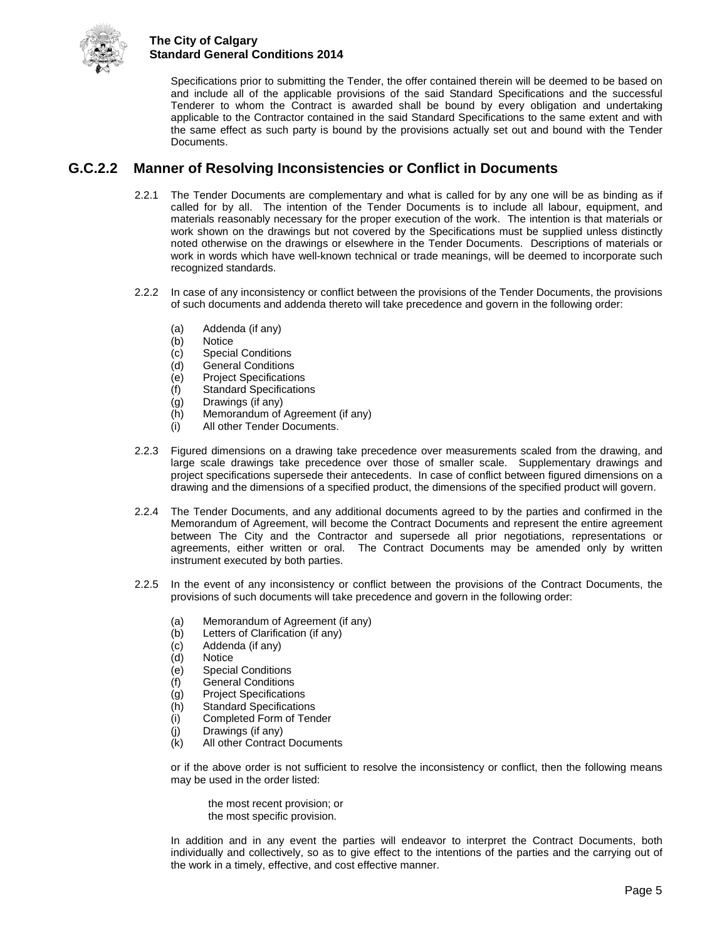

Specifications prior to submitting the Tender, the offer contained therein will be deemed to be based on and include all of the applicable provisions of the said Standard Specifications and the successful Tenderer to whom the Contract is awarded shall be bound by every obligation and undertaking applicable to the Contractor contained in the said Standard Specifications to the same extent and with the same effect as such party is bound by the provisions actually set out and bound with the Tender **Documents** 

## <span id="page-9-0"></span>**G.C.2.2 Manner of Resolving Inconsistencies or Conflict in Documents**

- 2.2.1 The Tender Documents are complementary and what is called for by any one will be as binding as if called for by all. The intention of the Tender Documents is to include all labour, equipment, and materials reasonably necessary for the proper execution of the work. The intention is that materials or work shown on the drawings but not covered by the Specifications must be supplied unless distinctly noted otherwise on the drawings or elsewhere in the Tender Documents. Descriptions of materials or work in words which have well-known technical or trade meanings, will be deemed to incorporate such recognized standards.
- 2.2.2 In case of any inconsistency or conflict between the provisions of the Tender Documents, the provisions of such documents and addenda thereto will take precedence and govern in the following order:
	- (a) Addenda (if any)
	- (b) Notice
	- (c) Special Conditions
	- (d) General Conditions
	- (e) Project Specifications
	- **Standard Specifications**
	- (g) Drawings (if any)
	- (h) Memorandum of Agreement (if any)
	- (i) All other Tender Documents.
- 2.2.3 Figured dimensions on a drawing take precedence over measurements scaled from the drawing, and large scale drawings take precedence over those of smaller scale. Supplementary drawings and project specifications supersede their antecedents. In case of conflict between figured dimensions on a drawing and the dimensions of a specified product, the dimensions of the specified product will govern.
- 2.2.4 The Tender Documents, and any additional documents agreed to by the parties and confirmed in the Memorandum of Agreement, will become the Contract Documents and represent the entire agreement between The City and the Contractor and supersede all prior negotiations, representations or agreements, either written or oral. The Contract Documents may be amended only by written instrument executed by both parties.
- 2.2.5 In the event of any inconsistency or conflict between the provisions of the Contract Documents, the provisions of such documents will take precedence and govern in the following order:
	- (a) Memorandum of Agreement (if any)<br>(b) Letters of Clarification (if any)
	- (b) Letters of Clarification (if any)<br>(c) Addenda (if any)
	- (c) Addenda (if any)
	- **Notice**
	- (e) Special Conditions
	- (f) General Conditions
	- (g) Project Specifications
	- (h) Standard Specifications
	- (i) Completed Form of Tender<br>(i) Drawings (if any)
	- Drawings (if any)
	- (k) All other Contract Documents

or if the above order is not sufficient to resolve the inconsistency or conflict, then the following means may be used in the order listed:

the most recent provision; or the most specific provision.

In addition and in any event the parties will endeavor to interpret the Contract Documents, both individually and collectively, so as to give effect to the intentions of the parties and the carrying out of the work in a timely, effective, and cost effective manner.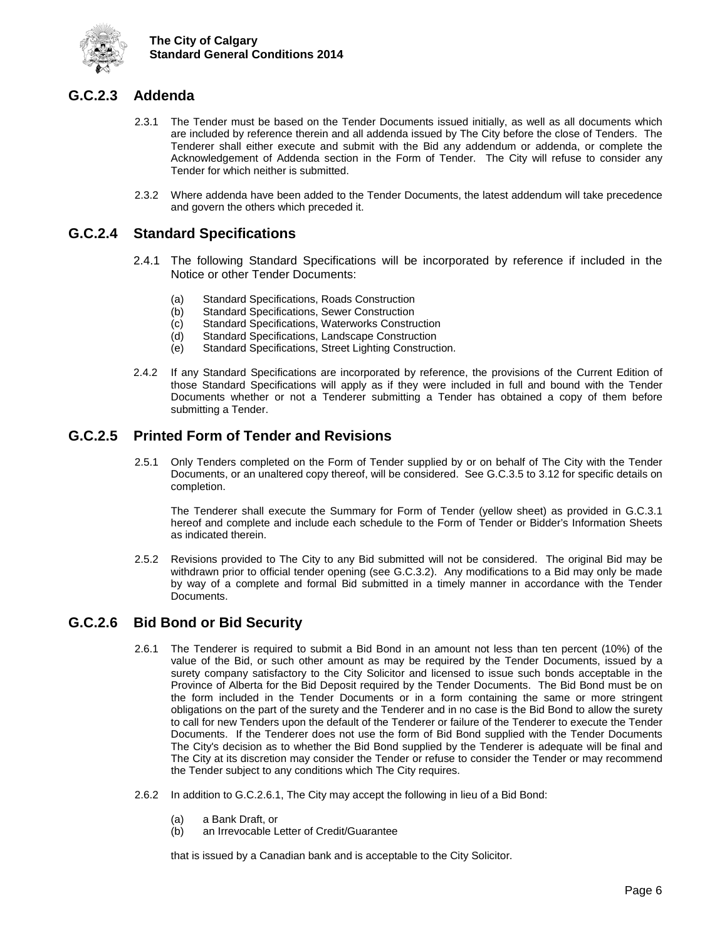

## <span id="page-10-0"></span>**G.C.2.3 Addenda**

- 2.3.1 The Tender must be based on the Tender Documents issued initially, as well as all documents which are included by reference therein and all addenda issued by The City before the close of Tenders. The Tenderer shall either execute and submit with the Bid any addendum or addenda, or complete the Acknowledgement of Addenda section in the Form of Tender. The City will refuse to consider any Tender for which neither is submitted.
- 2.3.2 Where addenda have been added to the Tender Documents, the latest addendum will take precedence and govern the others which preceded it.

### <span id="page-10-1"></span>**G.C.2.4 Standard Specifications**

- 2.4.1 The following Standard Specifications will be incorporated by reference if included in the Notice or other Tender Documents:
	- (a) Standard Specifications, Roads Construction<br>(b) Standard Specifications, Sewer Construction
	- (b) Standard Specifications, Sewer Construction<br>(c) Standard Specifications, Waterworks Constru
	- Standard Specifications, Waterworks Construction
	- (d) Standard Specifications, Landscape Construction
	- (e) Standard Specifications, Street Lighting Construction.
- 2.4.2 If any Standard Specifications are incorporated by reference, the provisions of the Current Edition of those Standard Specifications will apply as if they were included in full and bound with the Tender Documents whether or not a Tenderer submitting a Tender has obtained a copy of them before submitting a Tender.

## <span id="page-10-2"></span>**G.C.2.5 Printed Form of Tender and Revisions**

2.5.1 Only Tenders completed on the Form of Tender supplied by or on behalf of The City with the Tender Documents, or an unaltered copy thereof, will be considered. See G.C.3.5 to 3.12 for specific details on completion.

The Tenderer shall execute the Summary for Form of Tender (yellow sheet) as provided in G.C.3.1 hereof and complete and include each schedule to the Form of Tender or Bidder's Information Sheets as indicated therein.

2.5.2 Revisions provided to The City to any Bid submitted will not be considered. The original Bid may be withdrawn prior to official tender opening (see G.C.3.2). Any modifications to a Bid may only be made by way of a complete and formal Bid submitted in a timely manner in accordance with the Tender Documents.

#### <span id="page-10-3"></span>**G.C.2.6 Bid Bond or Bid Security**

- 2.6.1 The Tenderer is required to submit a Bid Bond in an amount not less than ten percent (10%) of the value of the Bid, or such other amount as may be required by the Tender Documents, issued by a surety company satisfactory to the City Solicitor and licensed to issue such bonds acceptable in the Province of Alberta for the Bid Deposit required by the Tender Documents. The Bid Bond must be on the form included in the Tender Documents or in a form containing the same or more stringent obligations on the part of the surety and the Tenderer and in no case is the Bid Bond to allow the surety to call for new Tenders upon the default of the Tenderer or failure of the Tenderer to execute the Tender Documents. If the Tenderer does not use the form of Bid Bond supplied with the Tender Documents The City's decision as to whether the Bid Bond supplied by the Tenderer is adequate will be final and The City at its discretion may consider the Tender or refuse to consider the Tender or may recommend the Tender subject to any conditions which The City requires.
- 2.6.2 In addition to G.C.2.6.1, The City may accept the following in lieu of a Bid Bond:
	-
	- (a) a Bank Draft, or<br>(b) an Irrevocable L an Irrevocable Letter of Credit/Guarantee

that is issued by a Canadian bank and is acceptable to the City Solicitor.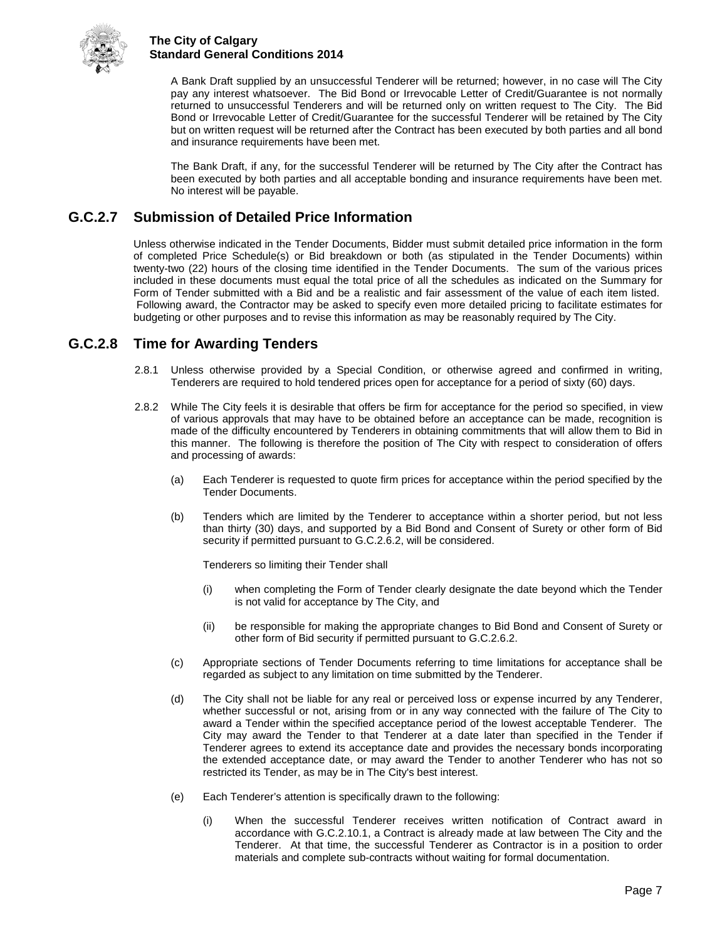

A Bank Draft supplied by an unsuccessful Tenderer will be returned; however, in no case will The City pay any interest whatsoever. The Bid Bond or Irrevocable Letter of Credit/Guarantee is not normally returned to unsuccessful Tenderers and will be returned only on written request to The City. The Bid Bond or Irrevocable Letter of Credit/Guarantee for the successful Tenderer will be retained by The City but on written request will be returned after the Contract has been executed by both parties and all bond and insurance requirements have been met.

The Bank Draft, if any, for the successful Tenderer will be returned by The City after the Contract has been executed by both parties and all acceptable bonding and insurance requirements have been met. No interest will be payable.

## <span id="page-11-0"></span>**G.C.2.7 Submission of Detailed Price Information**

Unless otherwise indicated in the Tender Documents, Bidder must submit detailed price information in the form of completed Price Schedule(s) or Bid breakdown or both (as stipulated in the Tender Documents) within twenty-two (22) hours of the closing time identified in the Tender Documents. The sum of the various prices included in these documents must equal the total price of all the schedules as indicated on the Summary for Form of Tender submitted with a Bid and be a realistic and fair assessment of the value of each item listed. Following award, the Contractor may be asked to specify even more detailed pricing to facilitate estimates for budgeting or other purposes and to revise this information as may be reasonably required by The City.

## <span id="page-11-1"></span>**G.C.2.8 Time for Awarding Tenders**

- 2.8.1 Unless otherwise provided by a Special Condition, or otherwise agreed and confirmed in writing, Tenderers are required to hold tendered prices open for acceptance for a period of sixty (60) days.
- 2.8.2 While The City feels it is desirable that offers be firm for acceptance for the period so specified, in view of various approvals that may have to be obtained before an acceptance can be made, recognition is made of the difficulty encountered by Tenderers in obtaining commitments that will allow them to Bid in this manner. The following is therefore the position of The City with respect to consideration of offers and processing of awards:
	- (a) Each Tenderer is requested to quote firm prices for acceptance within the period specified by the Tender Documents.
	- (b) Tenders which are limited by the Tenderer to acceptance within a shorter period, but not less than thirty (30) days, and supported by a Bid Bond and Consent of Surety or other form of Bid security if permitted pursuant to G.C.2.6.2, will be considered.

Tenderers so limiting their Tender shall

- (i) when completing the Form of Tender clearly designate the date beyond which the Tender is not valid for acceptance by The City, and
- (ii) be responsible for making the appropriate changes to Bid Bond and Consent of Surety or other form of Bid security if permitted pursuant to G.C.2.6.2.
- (c) Appropriate sections of Tender Documents referring to time limitations for acceptance shall be regarded as subject to any limitation on time submitted by the Tenderer.
- (d) The City shall not be liable for any real or perceived loss or expense incurred by any Tenderer, whether successful or not, arising from or in any way connected with the failure of The City to award a Tender within the specified acceptance period of the lowest acceptable Tenderer. The City may award the Tender to that Tenderer at a date later than specified in the Tender if Tenderer agrees to extend its acceptance date and provides the necessary bonds incorporating the extended acceptance date, or may award the Tender to another Tenderer who has not so restricted its Tender, as may be in The City's best interest.
- (e) Each Tenderer's attention is specifically drawn to the following:
	- (i) When the successful Tenderer receives written notification of Contract award in accordance with G.C.2.10.1, a Contract is already made at law between The City and the Tenderer. At that time, the successful Tenderer as Contractor is in a position to order materials and complete sub-contracts without waiting for formal documentation.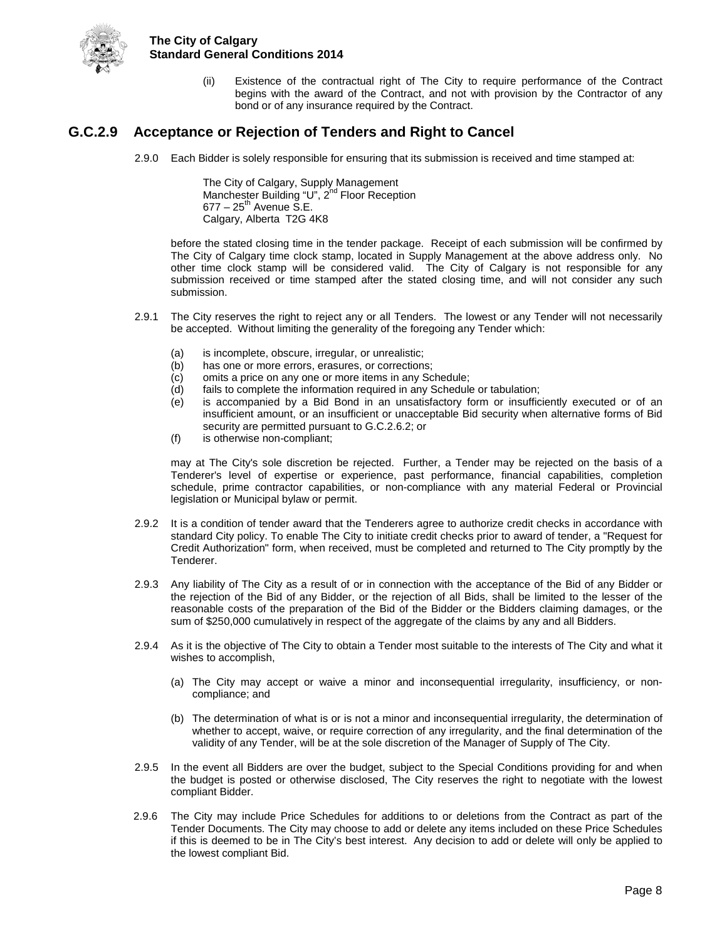

(ii) Existence of the contractual right of The City to require performance of the Contract begins with the award of the Contract, and not with provision by the Contractor of any bond or of any insurance required by the Contract.

## <span id="page-12-0"></span>**G.C.2.9 Acceptance or Rejection of Tenders and Right to Cancel**

2.9.0 Each Bidder is solely responsible for ensuring that its submission is received and time stamped at:

The City of Calgary, Supply Management Manchester Building "U", 2<sup>nd</sup> Floor Reception  $677 - 25$ <sup>th</sup> Avenue S.E. Calgary, Alberta T2G 4K8

before the stated closing time in the tender package. Receipt of each submission will be confirmed by The City of Calgary time clock stamp, located in Supply Management at the above address only. No other time clock stamp will be considered valid. The City of Calgary is not responsible for any submission received or time stamped after the stated closing time, and will not consider any such submission.

- 2.9.1 The City reserves the right to reject any or all Tenders. The lowest or any Tender will not necessarily be accepted. Without limiting the generality of the foregoing any Tender which:
	- (a) is incomplete, obscure, irregular, or unrealistic;
	- (b) has one or more errors, erasures, or corrections;
	- (c) omits a price on any one or more items in any Schedule;<br>(d) fails to complete the information required in any Schedule
	- fails to complete the information required in any Schedule or tabulation;
	- (e) is accompanied by a Bid Bond in an unsatisfactory form or insufficiently executed or of an insufficient amount, or an insufficient or unacceptable Bid security when alternative forms of Bid security are permitted pursuant to G.C.2.6.2; or
	- (f) is otherwise non-compliant;

may at The City's sole discretion be rejected. Further, a Tender may be rejected on the basis of a Tenderer's level of expertise or experience, past performance, financial capabilities, completion schedule, prime contractor capabilities, or non-compliance with any material Federal or Provincial legislation or Municipal bylaw or permit.

- 2.9.2 It is a condition of tender award that the Tenderers agree to authorize credit checks in accordance with standard City policy. To enable The City to initiate credit checks prior to award of tender, a "Request for Credit Authorization" form, when received, must be completed and returned to The City promptly by the Tenderer.
- 2.9.3 Any liability of The City as a result of or in connection with the acceptance of the Bid of any Bidder or the rejection of the Bid of any Bidder, or the rejection of all Bids, shall be limited to the lesser of the reasonable costs of the preparation of the Bid of the Bidder or the Bidders claiming damages, or the sum of \$250,000 cumulatively in respect of the aggregate of the claims by any and all Bidders.
- 2.9.4 As it is the objective of The City to obtain a Tender most suitable to the interests of The City and what it wishes to accomplish,
	- (a) The City may accept or waive a minor and inconsequential irregularity, insufficiency, or noncompliance; and
	- (b) The determination of what is or is not a minor and inconsequential irregularity, the determination of whether to accept, waive, or require correction of any irregularity, and the final determination of the validity of any Tender, will be at the sole discretion of the Manager of Supply of The City.
- 2.9.5 In the event all Bidders are over the budget, subject to the Special Conditions providing for and when the budget is posted or otherwise disclosed, The City reserves the right to negotiate with the lowest compliant Bidder.
- 2.9.6 The City may include Price Schedules for additions to or deletions from the Contract as part of the Tender Documents. The City may choose to add or delete any items included on these Price Schedules if this is deemed to be in The City's best interest. Any decision to add or delete will only be applied to the lowest compliant Bid.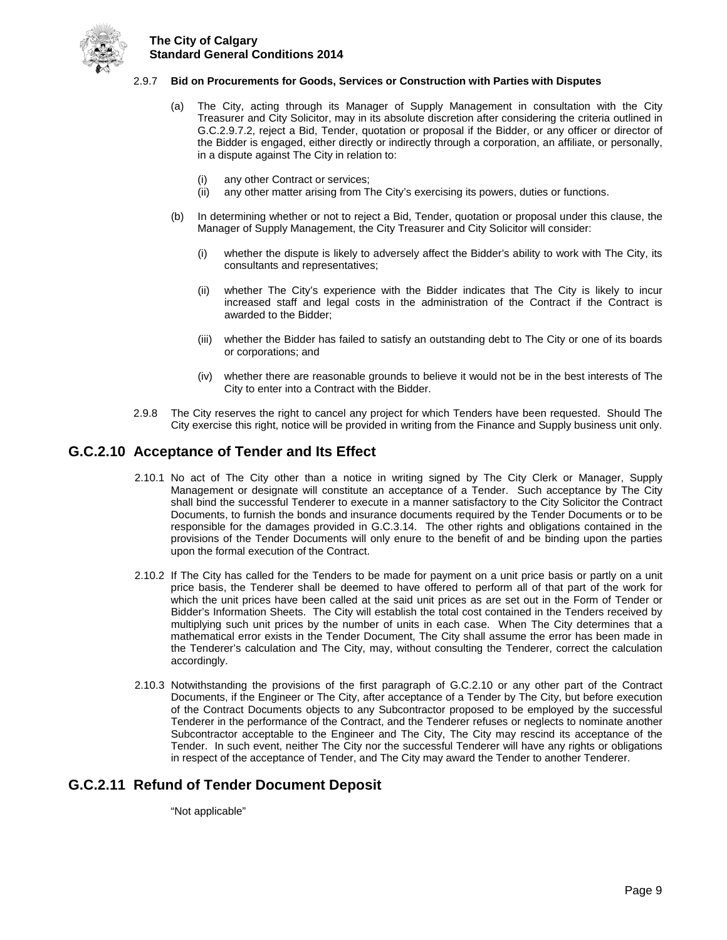

#### 2.9.7 **Bid on Procurements for Goods, Services or Construction with Parties with Disputes**

- (a) The City, acting through its Manager of Supply Management in consultation with the City Treasurer and City Solicitor, may in its absolute discretion after considering the criteria outlined in G.C.2.9.7.2, reject a Bid, Tender, quotation or proposal if the Bidder, or any officer or director of the Bidder is engaged, either directly or indirectly through a corporation, an affiliate, or personally, in a dispute against The City in relation to:
	- (i) any other Contract or services;
	- (ii) any other matter arising from The City's exercising its powers, duties or functions.
- (b) In determining whether or not to reject a Bid, Tender, quotation or proposal under this clause, the Manager of Supply Management, the City Treasurer and City Solicitor will consider:
	- (i) whether the dispute is likely to adversely affect the Bidder's ability to work with The City, its consultants and representatives;
	- (ii) whether The City's experience with the Bidder indicates that The City is likely to incur increased staff and legal costs in the administration of the Contract if the Contract is awarded to the Bidder;
	- (iii) whether the Bidder has failed to satisfy an outstanding debt to The City or one of its boards or corporations; and
	- (iv) whether there are reasonable grounds to believe it would not be in the best interests of The City to enter into a Contract with the Bidder.
- 2.9.8 The City reserves the right to cancel any project for which Tenders have been requested. Should The City exercise this right, notice will be provided in writing from the Finance and Supply business unit only.

#### <span id="page-13-0"></span>**G.C.2.10 Acceptance of Tender and Its Effect**

- 2.10.1 No act of The City other than a notice in writing signed by The City Clerk or Manager, Supply Management or designate will constitute an acceptance of a Tender. Such acceptance by The City shall bind the successful Tenderer to execute in a manner satisfactory to the City Solicitor the Contract Documents, to furnish the bonds and insurance documents required by the Tender Documents or to be responsible for the damages provided in G.C.3.14. The other rights and obligations contained in the provisions of the Tender Documents will only enure to the benefit of and be binding upon the parties upon the formal execution of the Contract.
- 2.10.2 If The City has called for the Tenders to be made for payment on a unit price basis or partly on a unit price basis, the Tenderer shall be deemed to have offered to perform all of that part of the work for which the unit prices have been called at the said unit prices as are set out in the Form of Tender or Bidder's Information Sheets. The City will establish the total cost contained in the Tenders received by multiplying such unit prices by the number of units in each case. When The City determines that a mathematical error exists in the Tender Document, The City shall assume the error has been made in the Tenderer's calculation and The City, may, without consulting the Tenderer, correct the calculation accordingly.
- 2.10.3 Notwithstanding the provisions of the first paragraph of G.C.2.10 or any other part of the Contract Documents, if the Engineer or The City, after acceptance of a Tender by The City, but before execution of the Contract Documents objects to any Subcontractor proposed to be employed by the successful Tenderer in the performance of the Contract, and the Tenderer refuses or neglects to nominate another Subcontractor acceptable to the Engineer and The City, The City may rescind its acceptance of the Tender. In such event, neither The City nor the successful Tenderer will have any rights or obligations in respect of the acceptance of Tender, and The City may award the Tender to another Tenderer.

#### <span id="page-13-1"></span>**G.C.2.11 Refund of Tender Document Deposit**

"Not applicable"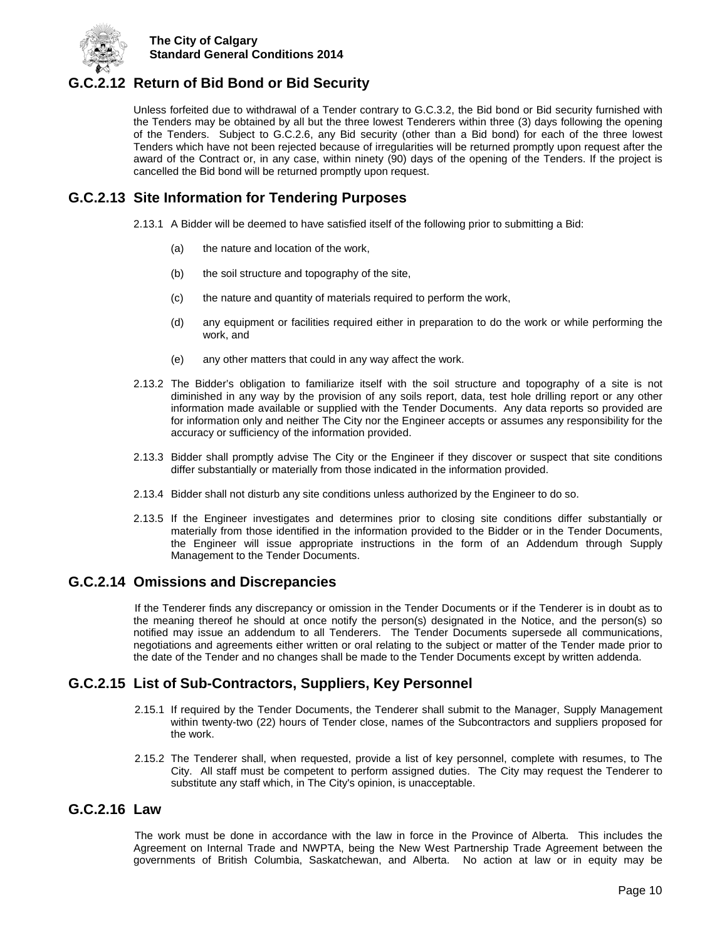

## <span id="page-14-0"></span>**G.C.2.12 Return of Bid Bond or Bid Security**

Unless forfeited due to withdrawal of a Tender contrary to G.C.3.2, the Bid bond or Bid security furnished with the Tenders may be obtained by all but the three lowest Tenderers within three (3) days following the opening of the Tenders. Subject to G.C.2.6, any Bid security (other than a Bid bond) for each of the three lowest Tenders which have not been rejected because of irregularities will be returned promptly upon request after the award of the Contract or, in any case, within ninety (90) days of the opening of the Tenders. If the project is cancelled the Bid bond will be returned promptly upon request.

## <span id="page-14-1"></span>**G.C.2.13 Site Information for Tendering Purposes**

- 2.13.1 A Bidder will be deemed to have satisfied itself of the following prior to submitting a Bid:
	- (a) the nature and location of the work,
	- (b) the soil structure and topography of the site,
	- (c) the nature and quantity of materials required to perform the work,
	- (d) any equipment or facilities required either in preparation to do the work or while performing the work, and
	- (e) any other matters that could in any way affect the work.
- 2.13.2 The Bidder's obligation to familiarize itself with the soil structure and topography of a site is not diminished in any way by the provision of any soils report, data, test hole drilling report or any other information made available or supplied with the Tender Documents. Any data reports so provided are for information only and neither The City nor the Engineer accepts or assumes any responsibility for the accuracy or sufficiency of the information provided.
- 2.13.3 Bidder shall promptly advise The City or the Engineer if they discover or suspect that site conditions differ substantially or materially from those indicated in the information provided.
- 2.13.4 Bidder shall not disturb any site conditions unless authorized by the Engineer to do so.
- 2.13.5 If the Engineer investigates and determines prior to closing site conditions differ substantially or materially from those identified in the information provided to the Bidder or in the Tender Documents, the Engineer will issue appropriate instructions in the form of an Addendum through Supply Management to the Tender Documents.

#### <span id="page-14-2"></span>**G.C.2.14 Omissions and Discrepancies**

If the Tenderer finds any discrepancy or omission in the Tender Documents or if the Tenderer is in doubt as to the meaning thereof he should at once notify the person(s) designated in the Notice, and the person(s) so notified may issue an addendum to all Tenderers. The Tender Documents supersede all communications, negotiations and agreements either written or oral relating to the subject or matter of the Tender made prior to the date of the Tender and no changes shall be made to the Tender Documents except by written addenda.

## <span id="page-14-3"></span>**G.C.2.15 List of Sub-Contractors, Suppliers, Key Personnel**

- 2.15.1 If required by the Tender Documents, the Tenderer shall submit to the Manager, Supply Management within twenty-two (22) hours of Tender close, names of the Subcontractors and suppliers proposed for the work.
- 2.15.2 The Tenderer shall, when requested, provide a list of key personnel, complete with resumes, to The City. All staff must be competent to perform assigned duties. The City may request the Tenderer to substitute any staff which, in The City's opinion, is unacceptable.

### <span id="page-14-4"></span>**G.C.2.16 Law**

The work must be done in accordance with the law in force in the Province of Alberta. This includes the Agreement on Internal Trade and NWPTA, being the New West Partnership Trade Agreement between the governments of British Columbia, Saskatchewan, and Alberta. No action at law or in equity may be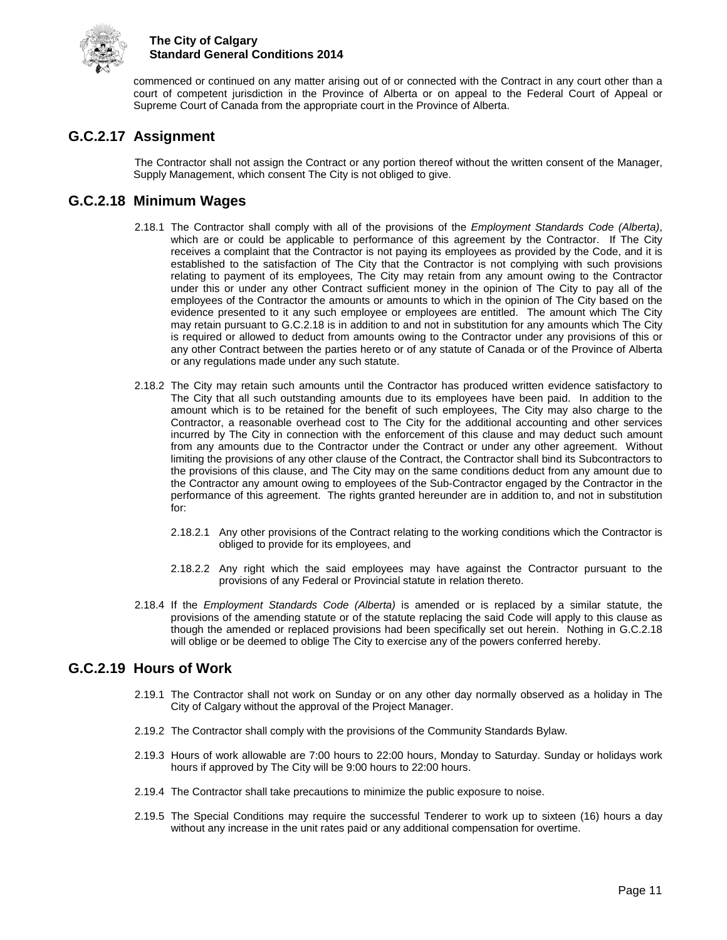

commenced or continued on any matter arising out of or connected with the Contract in any court other than a court of competent jurisdiction in the Province of Alberta or on appeal to the Federal Court of Appeal or Supreme Court of Canada from the appropriate court in the Province of Alberta.

## <span id="page-15-0"></span>**G.C.2.17 Assignment**

The Contractor shall not assign the Contract or any portion thereof without the written consent of the Manager, Supply Management, which consent The City is not obliged to give.

## <span id="page-15-1"></span>**G.C.2.18 Minimum Wages**

- 2.18.1 The Contractor shall comply with all of the provisions of the *Employment Standards Code (Alberta)*, which are or could be applicable to performance of this agreement by the Contractor. If The City receives a complaint that the Contractor is not paying its employees as provided by the Code, and it is established to the satisfaction of The City that the Contractor is not complying with such provisions relating to payment of its employees, The City may retain from any amount owing to the Contractor under this or under any other Contract sufficient money in the opinion of The City to pay all of the employees of the Contractor the amounts or amounts to which in the opinion of The City based on the evidence presented to it any such employee or employees are entitled. The amount which The City may retain pursuant to G.C.2.18 is in addition to and not in substitution for any amounts which The City is required or allowed to deduct from amounts owing to the Contractor under any provisions of this or any other Contract between the parties hereto or of any statute of Canada or of the Province of Alberta or any regulations made under any such statute.
- 2.18.2 The City may retain such amounts until the Contractor has produced written evidence satisfactory to The City that all such outstanding amounts due to its employees have been paid. In addition to the amount which is to be retained for the benefit of such employees, The City may also charge to the Contractor, a reasonable overhead cost to The City for the additional accounting and other services incurred by The City in connection with the enforcement of this clause and may deduct such amount from any amounts due to the Contractor under the Contract or under any other agreement. Without limiting the provisions of any other clause of the Contract, the Contractor shall bind its Subcontractors to the provisions of this clause, and The City may on the same conditions deduct from any amount due to the Contractor any amount owing to employees of the Sub-Contractor engaged by the Contractor in the performance of this agreement. The rights granted hereunder are in addition to, and not in substitution for:
	- 2.18.2.1 Any other provisions of the Contract relating to the working conditions which the Contractor is obliged to provide for its employees, and
	- 2.18.2.2 Any right which the said employees may have against the Contractor pursuant to the provisions of any Federal or Provincial statute in relation thereto.
- 2.18.4 If the *Employment Standards Code (Alberta)* is amended or is replaced by a similar statute, the provisions of the amending statute or of the statute replacing the said Code will apply to this clause as though the amended or replaced provisions had been specifically set out herein. Nothing in G.C.2.18 will oblige or be deemed to oblige The City to exercise any of the powers conferred hereby.

## <span id="page-15-2"></span>**G.C.2.19 Hours of Work**

- 2.19.1 The Contractor shall not work on Sunday or on any other day normally observed as a holiday in The City of Calgary without the approval of the Project Manager.
- 2.19.2 The Contractor shall comply with the provisions of the Community Standards Bylaw.
- 2.19.3 Hours of work allowable are 7:00 hours to 22:00 hours, Monday to Saturday. Sunday or holidays work hours if approved by The City will be 9:00 hours to 22:00 hours.
- 2.19.4 The Contractor shall take precautions to minimize the public exposure to noise.
- 2.19.5 The Special Conditions may require the successful Tenderer to work up to sixteen (16) hours a day without any increase in the unit rates paid or any additional compensation for overtime.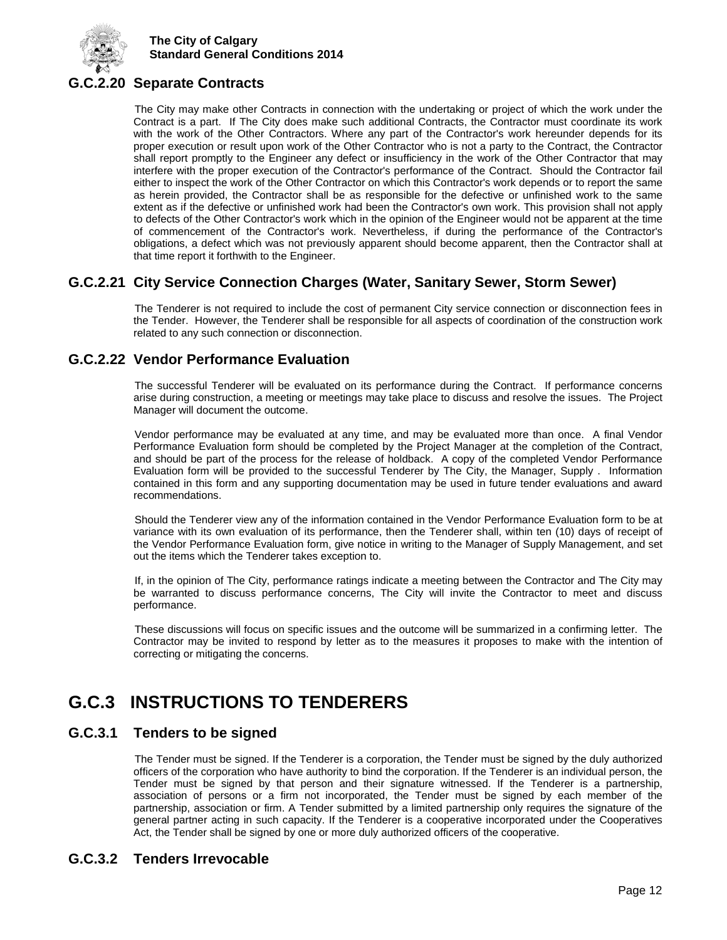

## <span id="page-16-0"></span>**G.C.2.20 Separate Contracts**

The City may make other Contracts in connection with the undertaking or project of which the work under the Contract is a part. If The City does make such additional Contracts, the Contractor must coordinate its work with the work of the Other Contractors. Where any part of the Contractor's work hereunder depends for its proper execution or result upon work of the Other Contractor who is not a party to the Contract, the Contractor shall report promptly to the Engineer any defect or insufficiency in the work of the Other Contractor that may interfere with the proper execution of the Contractor's performance of the Contract. Should the Contractor fail either to inspect the work of the Other Contractor on which this Contractor's work depends or to report the same as herein provided, the Contractor shall be as responsible for the defective or unfinished work to the same extent as if the defective or unfinished work had been the Contractor's own work. This provision shall not apply to defects of the Other Contractor's work which in the opinion of the Engineer would not be apparent at the time of commencement of the Contractor's work. Nevertheless, if during the performance of the Contractor's obligations, a defect which was not previously apparent should become apparent, then the Contractor shall at that time report it forthwith to the Engineer.

## <span id="page-16-1"></span>**G.C.2.21 City Service Connection Charges (Water, Sanitary Sewer, Storm Sewer)**

The Tenderer is not required to include the cost of permanent City service connection or disconnection fees in the Tender. However, the Tenderer shall be responsible for all aspects of coordination of the construction work related to any such connection or disconnection.

## <span id="page-16-2"></span>**G.C.2.22 Vendor Performance Evaluation**

The successful Tenderer will be evaluated on its performance during the Contract. If performance concerns arise during construction, a meeting or meetings may take place to discuss and resolve the issues. The Project Manager will document the outcome.

Vendor performance may be evaluated at any time, and may be evaluated more than once. A final Vendor Performance Evaluation form should be completed by the Project Manager at the completion of the Contract, and should be part of the process for the release of holdback. A copy of the completed Vendor Performance Evaluation form will be provided to the successful Tenderer by The City, the Manager, Supply . Information contained in this form and any supporting documentation may be used in future tender evaluations and award recommendations.

Should the Tenderer view any of the information contained in the Vendor Performance Evaluation form to be at variance with its own evaluation of its performance, then the Tenderer shall, within ten (10) days of receipt of the Vendor Performance Evaluation form, give notice in writing to the Manager of Supply Management, and set out the items which the Tenderer takes exception to.

If, in the opinion of The City, performance ratings indicate a meeting between the Contractor and The City may be warranted to discuss performance concerns, The City will invite the Contractor to meet and discuss performance.

These discussions will focus on specific issues and the outcome will be summarized in a confirming letter. The Contractor may be invited to respond by letter as to the measures it proposes to make with the intention of correcting or mitigating the concerns.

## <span id="page-16-3"></span>**G.C.3 INSTRUCTIONS TO TENDERERS**

## <span id="page-16-4"></span>**G.C.3.1 Tenders to be signed**

The Tender must be signed. If the Tenderer is a corporation, the Tender must be signed by the duly authorized officers of the corporation who have authority to bind the corporation. If the Tenderer is an individual person, the Tender must be signed by that person and their signature witnessed. If the Tenderer is a partnership, association of persons or a firm not incorporated, the Tender must be signed by each member of the partnership, association or firm. A Tender submitted by a limited partnership only requires the signature of the general partner acting in such capacity. If the Tenderer is a cooperative incorporated under the Cooperatives Act, the Tender shall be signed by one or more duly authorized officers of the cooperative.

## <span id="page-16-5"></span>**G.C.3.2 Tenders Irrevocable**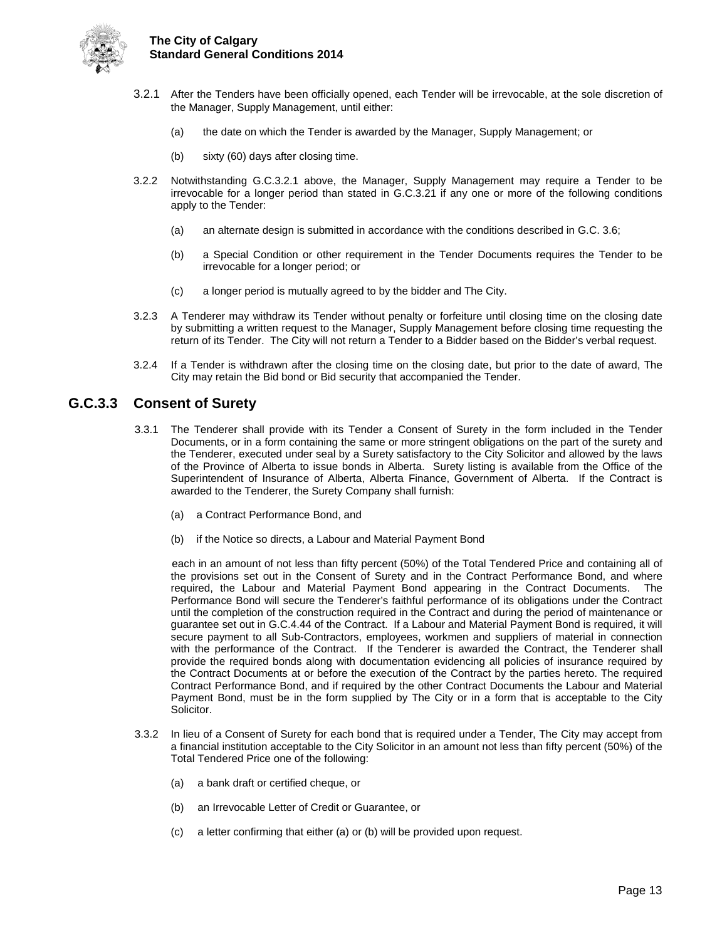

- 3.2.1 After the Tenders have been officially opened, each Tender will be irrevocable, at the sole discretion of the Manager, Supply Management, until either:
	- (a) the date on which the Tender is awarded by the Manager, Supply Management; or
	- (b) sixty (60) days after closing time.
- 3.2.2 Notwithstanding G.C.3.2.1 above, the Manager, Supply Management may require a Tender to be irrevocable for a longer period than stated in G.C.3.21 if any one or more of the following conditions apply to the Tender:
	- (a) an alternate design is submitted in accordance with the conditions described in G.C. 3.6;
	- (b) a Special Condition or other requirement in the Tender Documents requires the Tender to be irrevocable for a longer period; or
	- (c) a longer period is mutually agreed to by the bidder and The City.
- 3.2.3 A Tenderer may withdraw its Tender without penalty or forfeiture until closing time on the closing date by submitting a written request to the Manager, Supply Management before closing time requesting the return of its Tender. The City will not return a Tender to a Bidder based on the Bidder's verbal request.
- 3.2.4 If a Tender is withdrawn after the closing time on the closing date, but prior to the date of award, The City may retain the Bid bond or Bid security that accompanied the Tender.

### <span id="page-17-0"></span>**G.C.3.3 Consent of Surety**

- 3.3.1 The Tenderer shall provide with its Tender a Consent of Surety in the form included in the Tender Documents, or in a form containing the same or more stringent obligations on the part of the surety and the Tenderer, executed under seal by a Surety satisfactory to the City Solicitor and allowed by the laws of the Province of Alberta to issue bonds in Alberta. Surety listing is available from the Office of the Superintendent of Insurance of Alberta, Alberta Finance, Government of Alberta. If the Contract is awarded to the Tenderer, the Surety Company shall furnish:
	- (a) a Contract Performance Bond, and
	- (b) if the Notice so directs, a Labour and Material Payment Bond

each in an amount of not less than fifty percent (50%) of the Total Tendered Price and containing all of the provisions set out in the Consent of Surety and in the Contract Performance Bond, and where required, the Labour and Material Payment Bond appearing in the Contract Documents. The Performance Bond will secure the Tenderer's faithful performance of its obligations under the Contract until the completion of the construction required in the Contract and during the period of maintenance or guarantee set out in G.C.4.44 of the Contract. If a Labour and Material Payment Bond is required, it will secure payment to all Sub-Contractors, employees, workmen and suppliers of material in connection with the performance of the Contract. If the Tenderer is awarded the Contract, the Tenderer shall provide the required bonds along with documentation evidencing all policies of insurance required by the Contract Documents at or before the execution of the Contract by the parties hereto. The required Contract Performance Bond, and if required by the other Contract Documents the Labour and Material Payment Bond, must be in the form supplied by The City or in a form that is acceptable to the City Solicitor.

- 3.3.2 In lieu of a Consent of Surety for each bond that is required under a Tender, The City may accept from a financial institution acceptable to the City Solicitor in an amount not less than fifty percent (50%) of the Total Tendered Price one of the following:
	- (a) a bank draft or certified cheque, or
	- (b) an Irrevocable Letter of Credit or Guarantee, or
	- (c) a letter confirming that either (a) or (b) will be provided upon request.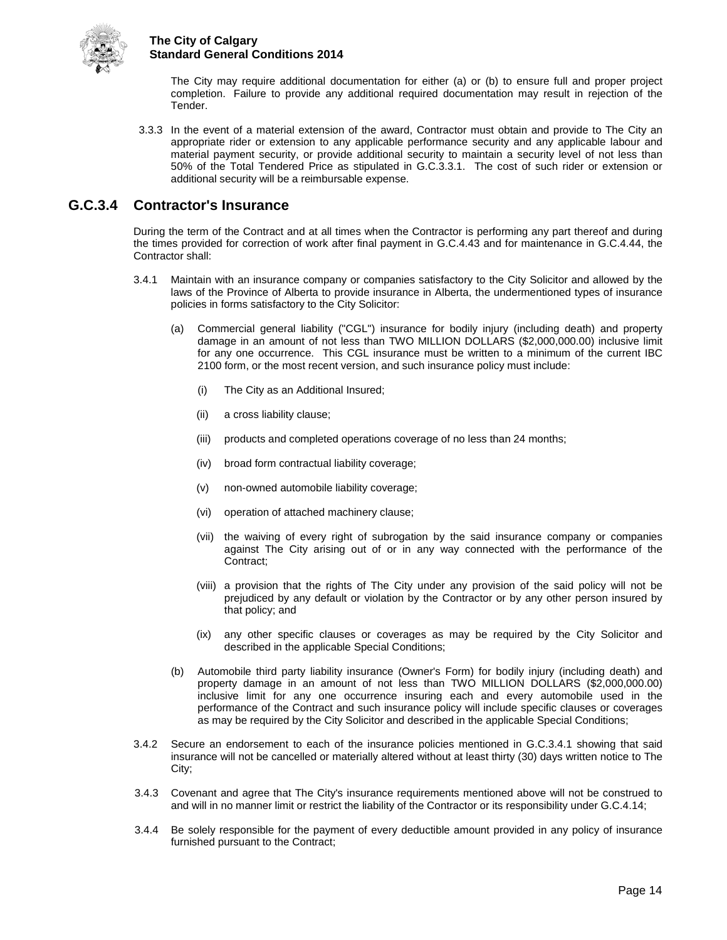

The City may require additional documentation for either (a) or (b) to ensure full and proper project completion. Failure to provide any additional required documentation may result in rejection of the Tender.

3.3.3 In the event of a material extension of the award, Contractor must obtain and provide to The City an appropriate rider or extension to any applicable performance security and any applicable labour and material payment security, or provide additional security to maintain a security level of not less than 50% of the Total Tendered Price as stipulated in G.C.3.3.1. The cost of such rider or extension or additional security will be a reimbursable expense.

## <span id="page-18-0"></span>**G.C.3.4 Contractor's Insurance**

During the term of the Contract and at all times when the Contractor is performing any part thereof and during the times provided for correction of work after final payment in G.C.4.43 and for maintenance in G.C.4.44, the Contractor shall:

- 3.4.1 Maintain with an insurance company or companies satisfactory to the City Solicitor and allowed by the laws of the Province of Alberta to provide insurance in Alberta, the undermentioned types of insurance policies in forms satisfactory to the City Solicitor:
	- (a) Commercial general liability ("CGL") insurance for bodily injury (including death) and property damage in an amount of not less than TWO MILLION DOLLARS (\$2,000,000.00) inclusive limit for any one occurrence. This CGL insurance must be written to a minimum of the current IBC 2100 form, or the most recent version, and such insurance policy must include:
		- (i) The City as an Additional Insured;
		- (ii) a cross liability clause;
		- (iii) products and completed operations coverage of no less than 24 months;
		- (iv) broad form contractual liability coverage;
		- (v) non-owned automobile liability coverage;
		- (vi) operation of attached machinery clause;
		- (vii) the waiving of every right of subrogation by the said insurance company or companies against The City arising out of or in any way connected with the performance of the Contract;
		- (viii) a provision that the rights of The City under any provision of the said policy will not be prejudiced by any default or violation by the Contractor or by any other person insured by that policy; and
		- (ix) any other specific clauses or coverages as may be required by the City Solicitor and described in the applicable Special Conditions;
	- (b) Automobile third party liability insurance (Owner's Form) for bodily injury (including death) and property damage in an amount of not less than TWO MILLION DOLLARS (\$2,000,000.00) inclusive limit for any one occurrence insuring each and every automobile used in the performance of the Contract and such insurance policy will include specific clauses or coverages as may be required by the City Solicitor and described in the applicable Special Conditions;
- 3.4.2 Secure an endorsement to each of the insurance policies mentioned in G.C.3.4.1 showing that said insurance will not be cancelled or materially altered without at least thirty (30) days written notice to The City;
- 3.4.3 Covenant and agree that The City's insurance requirements mentioned above will not be construed to and will in no manner limit or restrict the liability of the Contractor or its responsibility under G.C.4.14;
- 3.4.4 Be solely responsible for the payment of every deductible amount provided in any policy of insurance furnished pursuant to the Contract;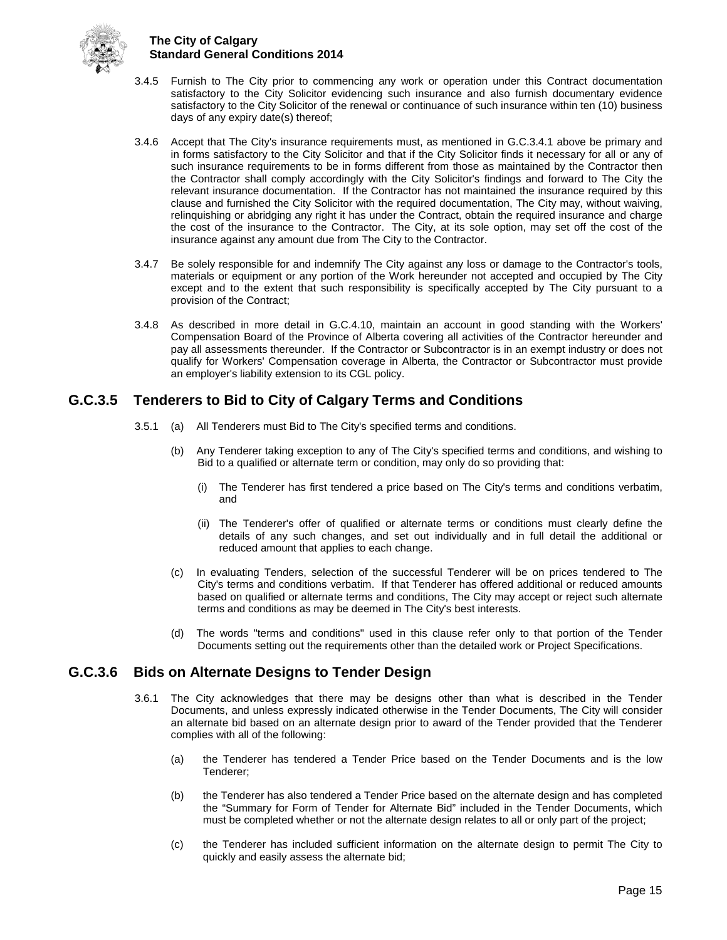

- 3.4.5 Furnish to The City prior to commencing any work or operation under this Contract documentation satisfactory to the City Solicitor evidencing such insurance and also furnish documentary evidence satisfactory to the City Solicitor of the renewal or continuance of such insurance within ten (10) business days of any expiry date(s) thereof;
- 3.4.6 Accept that The City's insurance requirements must, as mentioned in G.C.3.4.1 above be primary and in forms satisfactory to the City Solicitor and that if the City Solicitor finds it necessary for all or any of such insurance requirements to be in forms different from those as maintained by the Contractor then the Contractor shall comply accordingly with the City Solicitor's findings and forward to The City the relevant insurance documentation. If the Contractor has not maintained the insurance required by this clause and furnished the City Solicitor with the required documentation, The City may, without waiving, relinquishing or abridging any right it has under the Contract, obtain the required insurance and charge the cost of the insurance to the Contractor. The City, at its sole option, may set off the cost of the insurance against any amount due from The City to the Contractor.
- 3.4.7 Be solely responsible for and indemnify The City against any loss or damage to the Contractor's tools, materials or equipment or any portion of the Work hereunder not accepted and occupied by The City except and to the extent that such responsibility is specifically accepted by The City pursuant to a provision of the Contract;
- 3.4.8 As described in more detail in G.C.4.10, maintain an account in good standing with the Workers' Compensation Board of the Province of Alberta covering all activities of the Contractor hereunder and pay all assessments thereunder. If the Contractor or Subcontractor is in an exempt industry or does not qualify for Workers' Compensation coverage in Alberta, the Contractor or Subcontractor must provide an employer's liability extension to its CGL policy.

## <span id="page-19-0"></span>**G.C.3.5 Tenderers to Bid to City of Calgary Terms and Conditions**

- 3.5.1 (a) All Tenderers must Bid to The City's specified terms and conditions.
	- (b) Any Tenderer taking exception to any of The City's specified terms and conditions, and wishing to Bid to a qualified or alternate term or condition, may only do so providing that:
		- (i) The Tenderer has first tendered a price based on The City's terms and conditions verbatim, and
		- (ii) The Tenderer's offer of qualified or alternate terms or conditions must clearly define the details of any such changes, and set out individually and in full detail the additional or reduced amount that applies to each change.
	- (c) In evaluating Tenders, selection of the successful Tenderer will be on prices tendered to The City's terms and conditions verbatim. If that Tenderer has offered additional or reduced amounts based on qualified or alternate terms and conditions, The City may accept or reject such alternate terms and conditions as may be deemed in The City's best interests.
	- (d) The words "terms and conditions" used in this clause refer only to that portion of the Tender Documents setting out the requirements other than the detailed work or Project Specifications.

## <span id="page-19-1"></span>**G.C.3.6 Bids on Alternate Designs to Tender Design**

- 3.6.1 The City acknowledges that there may be designs other than what is described in the Tender Documents, and unless expressly indicated otherwise in the Tender Documents, The City will consider an alternate bid based on an alternate design prior to award of the Tender provided that the Tenderer complies with all of the following:
	- (a) the Tenderer has tendered a Tender Price based on the Tender Documents and is the low Tenderer;
	- (b) the Tenderer has also tendered a Tender Price based on the alternate design and has completed the "Summary for Form of Tender for Alternate Bid" included in the Tender Documents, which must be completed whether or not the alternate design relates to all or only part of the project;
	- (c) the Tenderer has included sufficient information on the alternate design to permit The City to quickly and easily assess the alternate bid;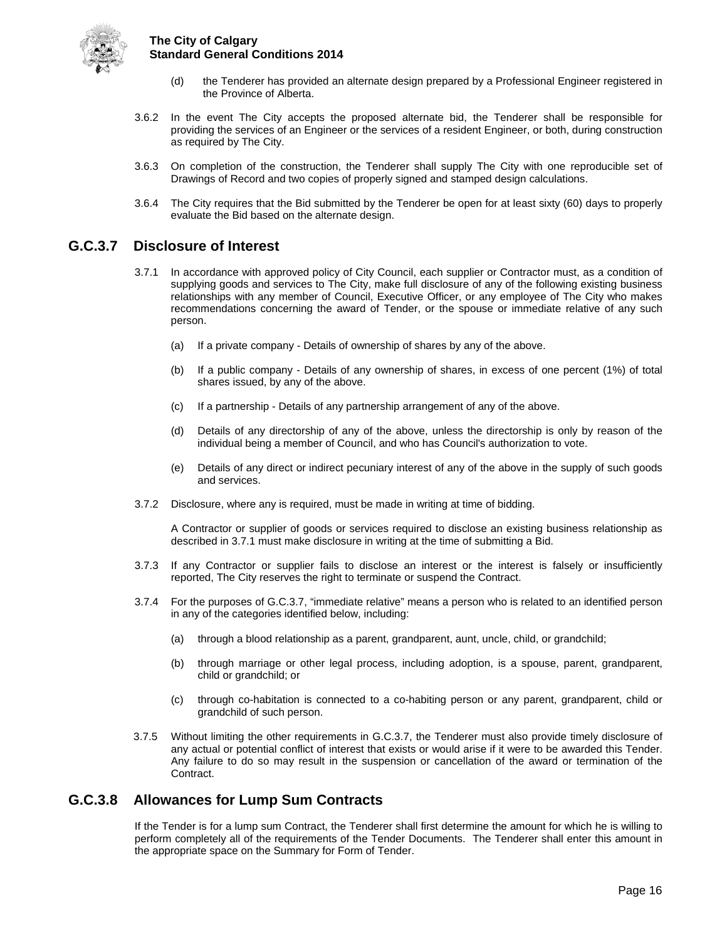

- (d) the Tenderer has provided an alternate design prepared by a Professional Engineer registered in the Province of Alberta.
- 3.6.2 In the event The City accepts the proposed alternate bid, the Tenderer shall be responsible for providing the services of an Engineer or the services of a resident Engineer, or both, during construction as required by The City.
- 3.6.3 On completion of the construction, the Tenderer shall supply The City with one reproducible set of Drawings of Record and two copies of properly signed and stamped design calculations.
- 3.6.4 The City requires that the Bid submitted by the Tenderer be open for at least sixty (60) days to properly evaluate the Bid based on the alternate design.

### <span id="page-20-0"></span>**G.C.3.7 Disclosure of Interest**

- 3.7.1 In accordance with approved policy of City Council, each supplier or Contractor must, as a condition of supplying goods and services to The City, make full disclosure of any of the following existing business relationships with any member of Council, Executive Officer, or any employee of The City who makes recommendations concerning the award of Tender, or the spouse or immediate relative of any such person.
	- (a) If a private company Details of ownership of shares by any of the above.
	- (b) If a public company Details of any ownership of shares, in excess of one percent (1%) of total shares issued, by any of the above.
	- (c) If a partnership Details of any partnership arrangement of any of the above.
	- (d) Details of any directorship of any of the above, unless the directorship is only by reason of the individual being a member of Council, and who has Council's authorization to vote.
	- (e) Details of any direct or indirect pecuniary interest of any of the above in the supply of such goods and services.
- 3.7.2 Disclosure, where any is required, must be made in writing at time of bidding.

A Contractor or supplier of goods or services required to disclose an existing business relationship as described in 3.7.1 must make disclosure in writing at the time of submitting a Bid.

- 3.7.3 If any Contractor or supplier fails to disclose an interest or the interest is falsely or insufficiently reported, The City reserves the right to terminate or suspend the Contract.
- 3.7.4 For the purposes of G.C.3.7, "immediate relative" means a person who is related to an identified person in any of the categories identified below, including:
	- (a) through a blood relationship as a parent, grandparent, aunt, uncle, child, or grandchild;
	- (b) through marriage or other legal process, including adoption, is a spouse, parent, grandparent, child or grandchild; or
	- (c) through co-habitation is connected to a co-habiting person or any parent, grandparent, child or grandchild of such person.
- 3.7.5 Without limiting the other requirements in G.C.3.7, the Tenderer must also provide timely disclosure of any actual or potential conflict of interest that exists or would arise if it were to be awarded this Tender. Any failure to do so may result in the suspension or cancellation of the award or termination of the Contract.

## <span id="page-20-1"></span>**G.C.3.8 Allowances for Lump Sum Contracts**

If the Tender is for a lump sum Contract, the Tenderer shall first determine the amount for which he is willing to perform completely all of the requirements of the Tender Documents. The Tenderer shall enter this amount in the appropriate space on the Summary for Form of Tender.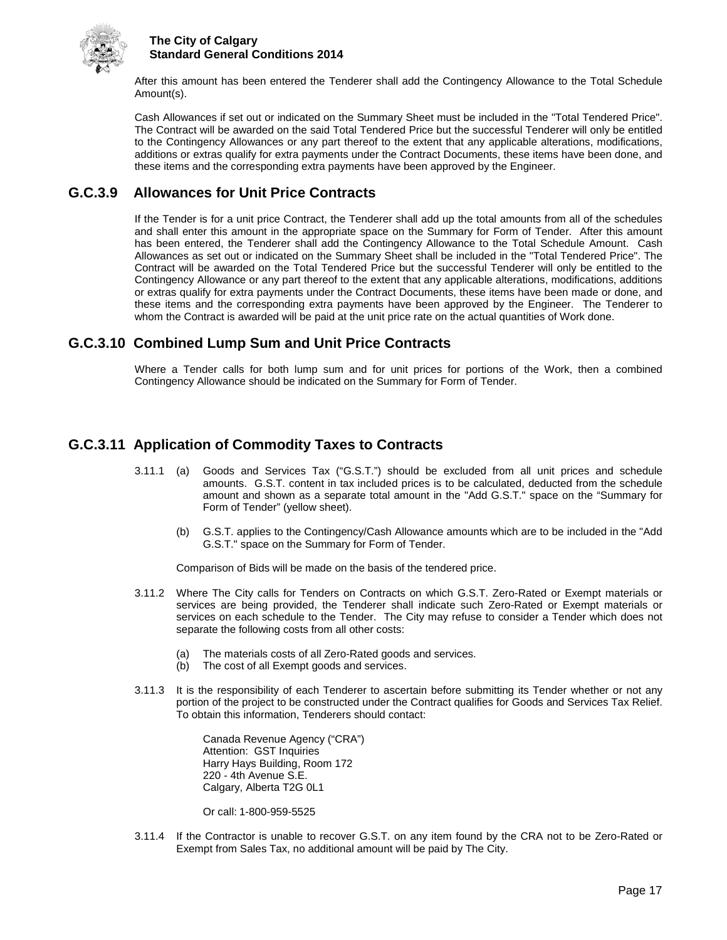

After this amount has been entered the Tenderer shall add the Contingency Allowance to the Total Schedule Amount(s).

Cash Allowances if set out or indicated on the Summary Sheet must be included in the "Total Tendered Price". The Contract will be awarded on the said Total Tendered Price but the successful Tenderer will only be entitled to the Contingency Allowances or any part thereof to the extent that any applicable alterations, modifications, additions or extras qualify for extra payments under the Contract Documents, these items have been done, and these items and the corresponding extra payments have been approved by the Engineer.

## <span id="page-21-0"></span>**G.C.3.9 Allowances for Unit Price Contracts**

If the Tender is for a unit price Contract, the Tenderer shall add up the total amounts from all of the schedules and shall enter this amount in the appropriate space on the Summary for Form of Tender. After this amount has been entered, the Tenderer shall add the Contingency Allowance to the Total Schedule Amount. Cash Allowances as set out or indicated on the Summary Sheet shall be included in the "Total Tendered Price". The Contract will be awarded on the Total Tendered Price but the successful Tenderer will only be entitled to the Contingency Allowance or any part thereof to the extent that any applicable alterations, modifications, additions or extras qualify for extra payments under the Contract Documents, these items have been made or done, and these items and the corresponding extra payments have been approved by the Engineer. The Tenderer to whom the Contract is awarded will be paid at the unit price rate on the actual quantities of Work done.

## <span id="page-21-1"></span>**G.C.3.10 Combined Lump Sum and Unit Price Contracts**

Where a Tender calls for both lump sum and for unit prices for portions of the Work, then a combined Contingency Allowance should be indicated on the Summary for Form of Tender.

## <span id="page-21-2"></span>**G.C.3.11 Application of Commodity Taxes to Contracts**

- 3.11.1 (a) Goods and Services Tax ("G.S.T.") should be excluded from all unit prices and schedule amounts. G.S.T. content in tax included prices is to be calculated, deducted from the schedule amount and shown as a separate total amount in the "Add G.S.T." space on the "Summary for Form of Tender" (yellow sheet).
	- (b) G.S.T. applies to the Contingency/Cash Allowance amounts which are to be included in the "Add G.S.T." space on the Summary for Form of Tender.

Comparison of Bids will be made on the basis of the tendered price.

- 3.11.2 Where The City calls for Tenders on Contracts on which G.S.T. Zero-Rated or Exempt materials or services are being provided, the Tenderer shall indicate such Zero-Rated or Exempt materials or services on each schedule to the Tender. The City may refuse to consider a Tender which does not separate the following costs from all other costs:
	- (a) The materials costs of all Zero-Rated goods and services.
	- (b) The cost of all Exempt goods and services.
- 3.11.3 It is the responsibility of each Tenderer to ascertain before submitting its Tender whether or not any portion of the project to be constructed under the Contract qualifies for Goods and Services Tax Relief. To obtain this information, Tenderers should contact:

Canada Revenue Agency ("CRA") Attention: GST Inquiries Harry Hays Building, Room 172 220 - 4th Avenue S.E. Calgary, Alberta T2G 0L1

Or call: 1-800-959-5525

3.11.4 If the Contractor is unable to recover G.S.T. on any item found by the CRA not to be Zero-Rated or Exempt from Sales Tax, no additional amount will be paid by The City.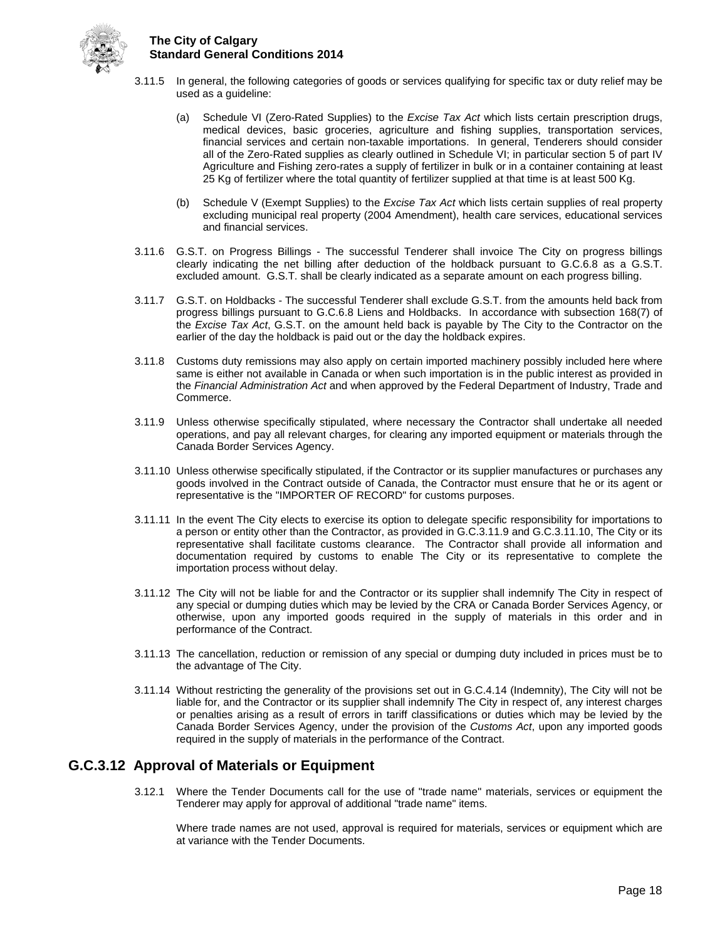

- 3.11.5 In general, the following categories of goods or services qualifying for specific tax or duty relief may be used as a guideline:
	- (a) Schedule VI (Zero-Rated Supplies) to the *Excise Tax Act* which lists certain prescription drugs, medical devices, basic groceries, agriculture and fishing supplies, transportation services, financial services and certain non-taxable importations. In general, Tenderers should consider all of the Zero-Rated supplies as clearly outlined in Schedule VI; in particular section 5 of part IV Agriculture and Fishing zero-rates a supply of fertilizer in bulk or in a container containing at least 25 Kg of fertilizer where the total quantity of fertilizer supplied at that time is at least 500 Kg.
	- (b) Schedule V (Exempt Supplies) to the *Excise Tax Act* which lists certain supplies of real property excluding municipal real property (2004 Amendment), health care services, educational services and financial services.
- 3.11.6 G.S.T. on Progress Billings The successful Tenderer shall invoice The City on progress billings clearly indicating the net billing after deduction of the holdback pursuant to G.C.6.8 as a G.S.T. excluded amount. G.S.T. shall be clearly indicated as a separate amount on each progress billing.
- 3.11.7 G.S.T. on Holdbacks The successful Tenderer shall exclude G.S.T. from the amounts held back from progress billings pursuant to G.C.6.8 Liens and Holdbacks. In accordance with subsection 168(7) of the *Excise Tax Act*, G.S.T. on the amount held back is payable by The City to the Contractor on the earlier of the day the holdback is paid out or the day the holdback expires.
- 3.11.8 Customs duty remissions may also apply on certain imported machinery possibly included here where same is either not available in Canada or when such importation is in the public interest as provided in the *Financial Administration Act* and when approved by the Federal Department of Industry, Trade and Commerce.
- 3.11.9 Unless otherwise specifically stipulated, where necessary the Contractor shall undertake all needed operations, and pay all relevant charges, for clearing any imported equipment or materials through the Canada Border Services Agency.
- 3.11.10 Unless otherwise specifically stipulated, if the Contractor or its supplier manufactures or purchases any goods involved in the Contract outside of Canada, the Contractor must ensure that he or its agent or representative is the "IMPORTER OF RECORD" for customs purposes.
- 3.11.11 In the event The City elects to exercise its option to delegate specific responsibility for importations to a person or entity other than the Contractor, as provided in G.C.3.11.9 and G.C.3.11.10, The City or its representative shall facilitate customs clearance. The Contractor shall provide all information and documentation required by customs to enable The City or its representative to complete the importation process without delay.
- 3.11.12 The City will not be liable for and the Contractor or its supplier shall indemnify The City in respect of any special or dumping duties which may be levied by the CRA or Canada Border Services Agency, or otherwise, upon any imported goods required in the supply of materials in this order and in performance of the Contract.
- 3.11.13 The cancellation, reduction or remission of any special or dumping duty included in prices must be to the advantage of The City.
- 3.11.14 Without restricting the generality of the provisions set out in G.C.4.14 (Indemnity), The City will not be liable for, and the Contractor or its supplier shall indemnify The City in respect of, any interest charges or penalties arising as a result of errors in tariff classifications or duties which may be levied by the Canada Border Services Agency, under the provision of the *Customs Act*, upon any imported goods required in the supply of materials in the performance of the Contract.

## <span id="page-22-0"></span>**G.C.3.12 Approval of Materials or Equipment**

3.12.1 Where the Tender Documents call for the use of "trade name" materials, services or equipment the Tenderer may apply for approval of additional "trade name" items.

Where trade names are not used, approval is required for materials, services or equipment which are at variance with the Tender Documents.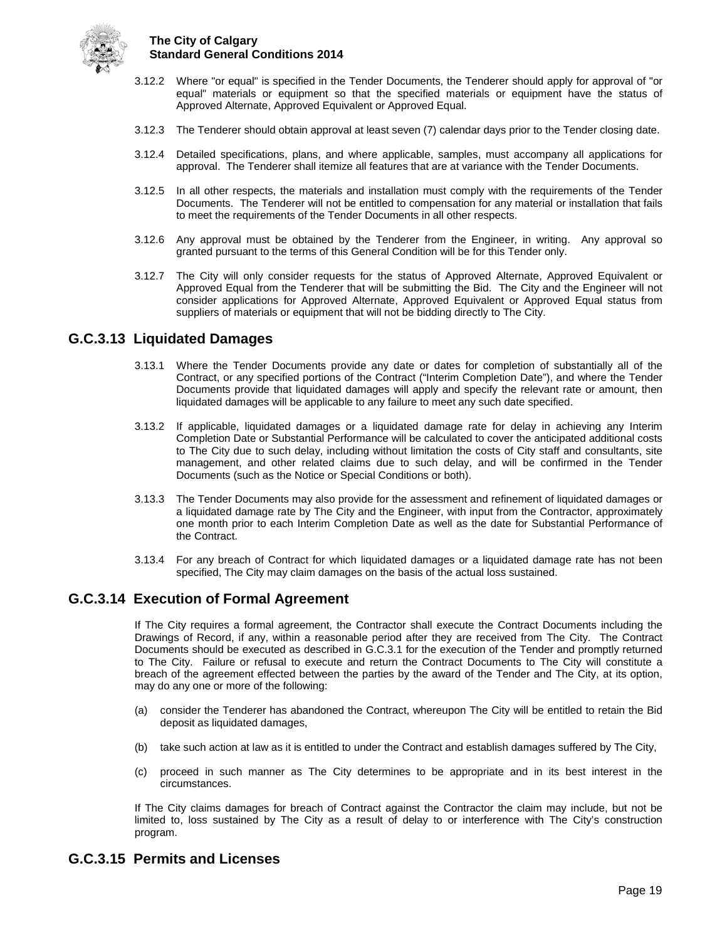

- 3.12.2 Where "or equal" is specified in the Tender Documents, the Tenderer should apply for approval of "or equal" materials or equipment so that the specified materials or equipment have the status of Approved Alternate, Approved Equivalent or Approved Equal.
- 3.12.3 The Tenderer should obtain approval at least seven (7) calendar days prior to the Tender closing date.
- 3.12.4 Detailed specifications, plans, and where applicable, samples, must accompany all applications for approval. The Tenderer shall itemize all features that are at variance with the Tender Documents.
- 3.12.5 In all other respects, the materials and installation must comply with the requirements of the Tender Documents. The Tenderer will not be entitled to compensation for any material or installation that fails to meet the requirements of the Tender Documents in all other respects.
- 3.12.6 Any approval must be obtained by the Tenderer from the Engineer, in writing. Any approval so granted pursuant to the terms of this General Condition will be for this Tender only.
- 3.12.7 The City will only consider requests for the status of Approved Alternate, Approved Equivalent or Approved Equal from the Tenderer that will be submitting the Bid. The City and the Engineer will not consider applications for Approved Alternate, Approved Equivalent or Approved Equal status from suppliers of materials or equipment that will not be bidding directly to The City.

### <span id="page-23-0"></span>**G.C.3.13 Liquidated Damages**

- 3.13.1 Where the Tender Documents provide any date or dates for completion of substantially all of the Contract, or any specified portions of the Contract ("Interim Completion Date"), and where the Tender Documents provide that liquidated damages will apply and specify the relevant rate or amount, then liquidated damages will be applicable to any failure to meet any such date specified.
- 3.13.2 If applicable, liquidated damages or a liquidated damage rate for delay in achieving any Interim Completion Date or Substantial Performance will be calculated to cover the anticipated additional costs to The City due to such delay, including without limitation the costs of City staff and consultants, site management, and other related claims due to such delay, and will be confirmed in the Tender Documents (such as the Notice or Special Conditions or both).
- 3.13.3 The Tender Documents may also provide for the assessment and refinement of liquidated damages or a liquidated damage rate by The City and the Engineer, with input from the Contractor, approximately one month prior to each Interim Completion Date as well as the date for Substantial Performance of the Contract.
- 3.13.4 For any breach of Contract for which liquidated damages or a liquidated damage rate has not been specified, The City may claim damages on the basis of the actual loss sustained.

## <span id="page-23-1"></span>**G.C.3.14 Execution of Formal Agreement**

If The City requires a formal agreement, the Contractor shall execute the Contract Documents including the Drawings of Record, if any, within a reasonable period after they are received from The City. The Contract Documents should be executed as described in G.C.3.1 for the execution of the Tender and promptly returned to The City. Failure or refusal to execute and return the Contract Documents to The City will constitute a breach of the agreement effected between the parties by the award of the Tender and The City, at its option, may do any one or more of the following:

- (a) consider the Tenderer has abandoned the Contract, whereupon The City will be entitled to retain the Bid deposit as liquidated damages,
- (b) take such action at law as it is entitled to under the Contract and establish damages suffered by The City,
- (c) proceed in such manner as The City determines to be appropriate and in its best interest in the circumstances.

If The City claims damages for breach of Contract against the Contractor the claim may include, but not be limited to, loss sustained by The City as a result of delay to or interference with The City's construction program.

## <span id="page-23-2"></span>**G.C.3.15 Permits and Licenses**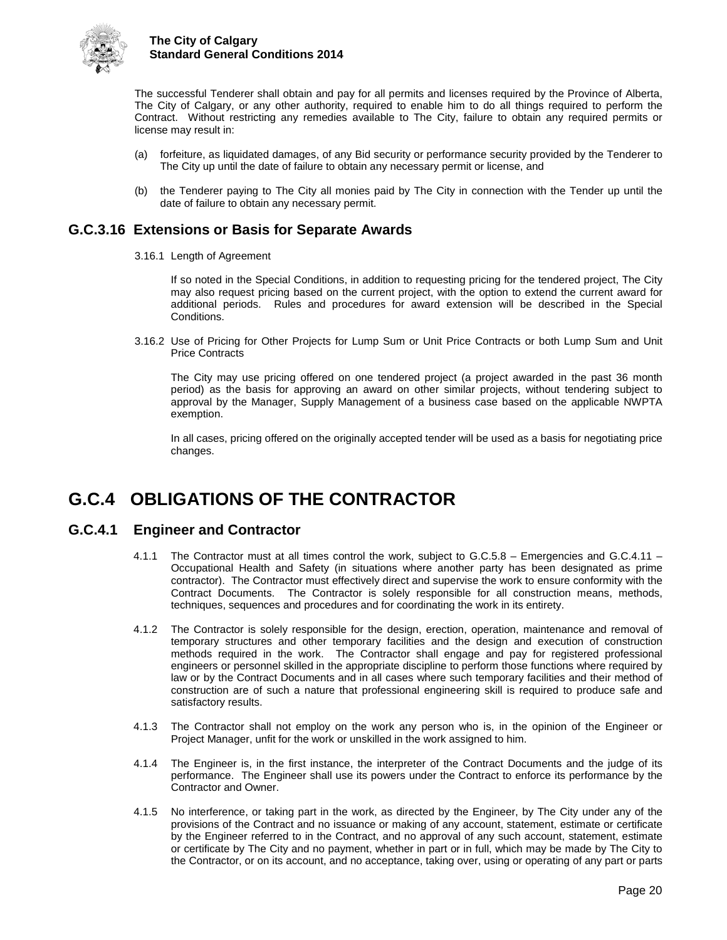

The successful Tenderer shall obtain and pay for all permits and licenses required by the Province of Alberta, The City of Calgary, or any other authority, required to enable him to do all things required to perform the Contract. Without restricting any remedies available to The City, failure to obtain any required permits or license may result in:

- (a) forfeiture, as liquidated damages, of any Bid security or performance security provided by the Tenderer to The City up until the date of failure to obtain any necessary permit or license, and
- (b) the Tenderer paying to The City all monies paid by The City in connection with the Tender up until the date of failure to obtain any necessary permit.

## <span id="page-24-0"></span>**G.C.3.16 Extensions or Basis for Separate Awards**

3.16.1 Length of Agreement

If so noted in the Special Conditions, in addition to requesting pricing for the tendered project, The City may also request pricing based on the current project, with the option to extend the current award for additional periods. Rules and procedures for award extension will be described in the Special Conditions.

3.16.2 Use of Pricing for Other Projects for Lump Sum or Unit Price Contracts or both Lump Sum and Unit Price Contracts

The City may use pricing offered on one tendered project (a project awarded in the past 36 month period) as the basis for approving an award on other similar projects, without tendering subject to approval by the Manager, Supply Management of a business case based on the applicable NWPTA exemption.

In all cases, pricing offered on the originally accepted tender will be used as a basis for negotiating price changes.

## <span id="page-24-1"></span>**G.C.4 OBLIGATIONS OF THE CONTRACTOR**

#### <span id="page-24-2"></span>**G.C.4.1 Engineer and Contractor**

- 4.1.1 The Contractor must at all times control the work, subject to G.C.5.8 Emergencies and G.C.4.11 Occupational Health and Safety (in situations where another party has been designated as prime contractor). The Contractor must effectively direct and supervise the work to ensure conformity with the Contract Documents. The Contractor is solely responsible for all construction means, methods, techniques, sequences and procedures and for coordinating the work in its entirety.
- 4.1.2 The Contractor is solely responsible for the design, erection, operation, maintenance and removal of temporary structures and other temporary facilities and the design and execution of construction methods required in the work. The Contractor shall engage and pay for registered professional engineers or personnel skilled in the appropriate discipline to perform those functions where required by law or by the Contract Documents and in all cases where such temporary facilities and their method of construction are of such a nature that professional engineering skill is required to produce safe and satisfactory results.
- 4.1.3 The Contractor shall not employ on the work any person who is, in the opinion of the Engineer or Project Manager, unfit for the work or unskilled in the work assigned to him.
- 4.1.4 The Engineer is, in the first instance, the interpreter of the Contract Documents and the judge of its performance. The Engineer shall use its powers under the Contract to enforce its performance by the Contractor and Owner.
- 4.1.5 No interference, or taking part in the work, as directed by the Engineer, by The City under any of the provisions of the Contract and no issuance or making of any account, statement, estimate or certificate by the Engineer referred to in the Contract, and no approval of any such account, statement, estimate or certificate by The City and no payment, whether in part or in full, which may be made by The City to the Contractor, or on its account, and no acceptance, taking over, using or operating of any part or parts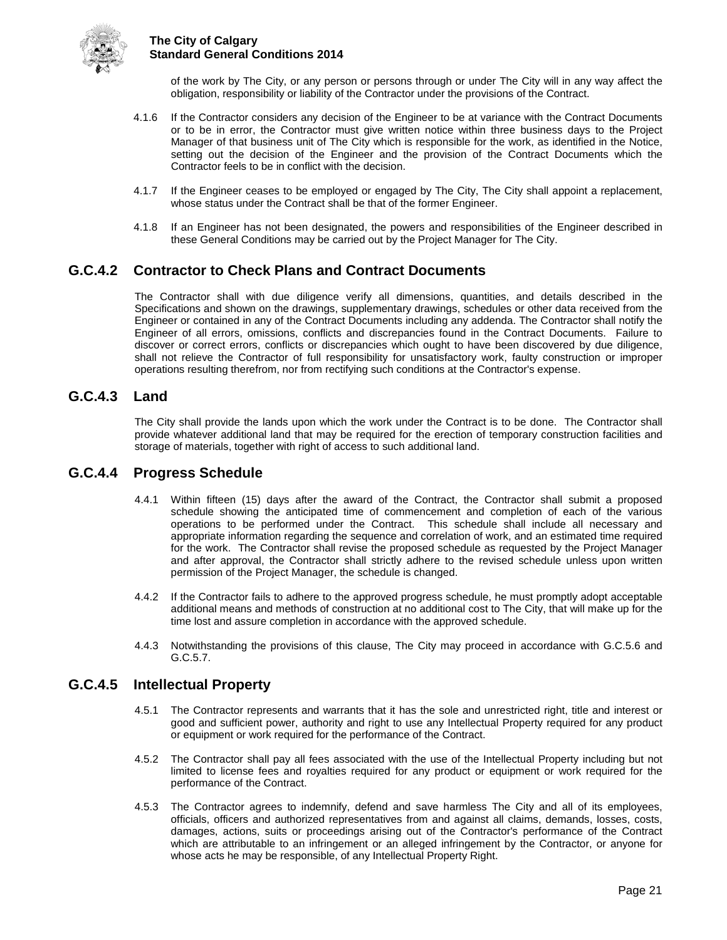

of the work by The City, or any person or persons through or under The City will in any way affect the obligation, responsibility or liability of the Contractor under the provisions of the Contract.

- 4.1.6 If the Contractor considers any decision of the Engineer to be at variance with the Contract Documents or to be in error, the Contractor must give written notice within three business days to the Project Manager of that business unit of The City which is responsible for the work, as identified in the Notice, setting out the decision of the Engineer and the provision of the Contract Documents which the Contractor feels to be in conflict with the decision.
- 4.1.7 If the Engineer ceases to be employed or engaged by The City, The City shall appoint a replacement, whose status under the Contract shall be that of the former Engineer.
- 4.1.8 If an Engineer has not been designated, the powers and responsibilities of the Engineer described in these General Conditions may be carried out by the Project Manager for The City.

## <span id="page-25-0"></span>**G.C.4.2 Contractor to Check Plans and Contract Documents**

The Contractor shall with due diligence verify all dimensions, quantities, and details described in the Specifications and shown on the drawings, supplementary drawings, schedules or other data received from the Engineer or contained in any of the Contract Documents including any addenda. The Contractor shall notify the Engineer of all errors, omissions, conflicts and discrepancies found in the Contract Documents. Failure to discover or correct errors, conflicts or discrepancies which ought to have been discovered by due diligence, shall not relieve the Contractor of full responsibility for unsatisfactory work, faulty construction or improper operations resulting therefrom, nor from rectifying such conditions at the Contractor's expense.

### <span id="page-25-1"></span>**G.C.4.3 Land**

The City shall provide the lands upon which the work under the Contract is to be done. The Contractor shall provide whatever additional land that may be required for the erection of temporary construction facilities and storage of materials, together with right of access to such additional land.

## <span id="page-25-2"></span>**G.C.4.4 Progress Schedule**

- 4.4.1 Within fifteen (15) days after the award of the Contract, the Contractor shall submit a proposed schedule showing the anticipated time of commencement and completion of each of the various operations to be performed under the Contract. This schedule shall include all necessary and appropriate information regarding the sequence and correlation of work, and an estimated time required for the work. The Contractor shall revise the proposed schedule as requested by the Project Manager and after approval, the Contractor shall strictly adhere to the revised schedule unless upon written permission of the Project Manager, the schedule is changed.
- 4.4.2 If the Contractor fails to adhere to the approved progress schedule, he must promptly adopt acceptable additional means and methods of construction at no additional cost to The City, that will make up for the time lost and assure completion in accordance with the approved schedule.
- 4.4.3 Notwithstanding the provisions of this clause, The City may proceed in accordance with G.C.5.6 and G.C.5.7.

#### <span id="page-25-3"></span>**G.C.4.5 Intellectual Property**

- 4.5.1 The Contractor represents and warrants that it has the sole and unrestricted right, title and interest or good and sufficient power, authority and right to use any Intellectual Property required for any product or equipment or work required for the performance of the Contract.
- 4.5.2 The Contractor shall pay all fees associated with the use of the Intellectual Property including but not limited to license fees and royalties required for any product or equipment or work required for the performance of the Contract.
- 4.5.3 The Contractor agrees to indemnify, defend and save harmless The City and all of its employees, officials, officers and authorized representatives from and against all claims, demands, losses, costs, damages, actions, suits or proceedings arising out of the Contractor's performance of the Contract which are attributable to an infringement or an alleged infringement by the Contractor, or anyone for whose acts he may be responsible, of any Intellectual Property Right.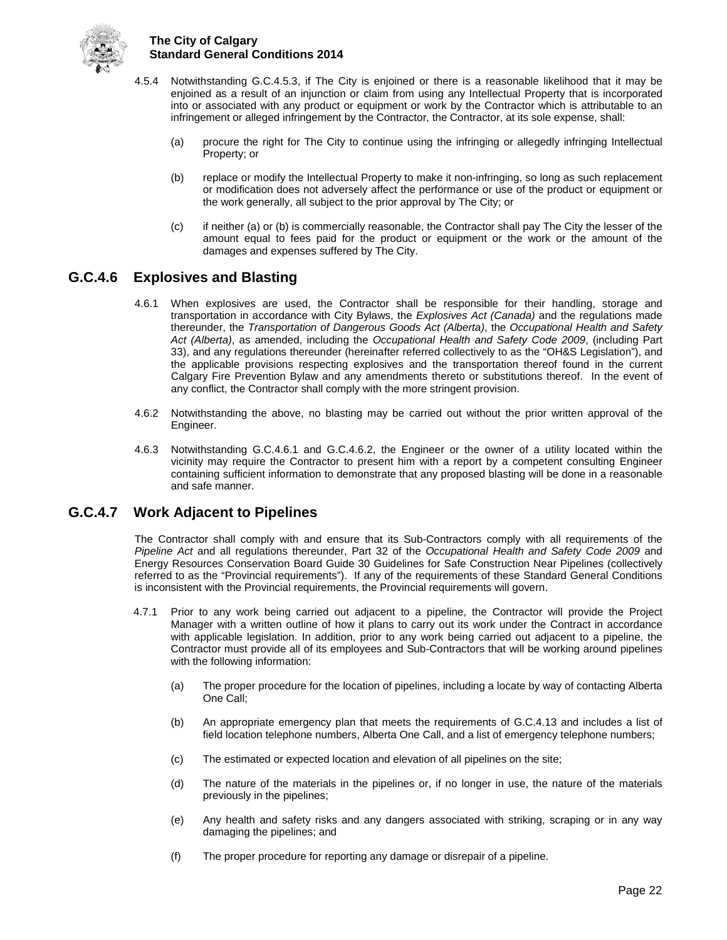

- 4.5.4 Notwithstanding G.C.4.5.3, if The City is enjoined or there is a reasonable likelihood that it may be enjoined as a result of an injunction or claim from using any Intellectual Property that is incorporated into or associated with any product or equipment or work by the Contractor which is attributable to an infringement or alleged infringement by the Contractor, the Contractor, at its sole expense, shall:
	- (a) procure the right for The City to continue using the infringing or allegedly infringing Intellectual Property; or
	- (b) replace or modify the Intellectual Property to make it non-infringing, so long as such replacement or modification does not adversely affect the performance or use of the product or equipment or the work generally, all subject to the prior approval by The City; or
	- (c) if neither (a) or (b) is commercially reasonable, the Contractor shall pay The City the lesser of the amount equal to fees paid for the product or equipment or the work or the amount of the damages and expenses suffered by The City.

## <span id="page-26-0"></span>**G.C.4.6 Explosives and Blasting**

- 4.6.1 When explosives are used, the Contractor shall be responsible for their handling, storage and transportation in accordance with City Bylaws, the *Explosives Act (Canada)* and the regulations made thereunder, the *Transportation of Dangerous Goods Act (Alberta)*, the *Occupational Health and Safety Act (Alberta)*, as amended, including the *Occupational Health and Safety Code 2009*, (including Part 33), and any regulations thereunder (hereinafter referred collectively to as the "OH&S Legislation"), and the applicable provisions respecting explosives and the transportation thereof found in the current Calgary Fire Prevention Bylaw and any amendments thereto or substitutions thereof. In the event of any conflict, the Contractor shall comply with the more stringent provision.
- 4.6.2 Notwithstanding the above, no blasting may be carried out without the prior written approval of the Engineer.
- 4.6.3 Notwithstanding G.C.4.6.1 and G.C.4.6.2, the Engineer or the owner of a utility located within the vicinity may require the Contractor to present him with a report by a competent consulting Engineer containing sufficient information to demonstrate that any proposed blasting will be done in a reasonable and safe manner.

## <span id="page-26-1"></span>**G.C.4.7 Work Adjacent to Pipelines**

The Contractor shall comply with and ensure that its Sub-Contractors comply with all requirements of the *Pipeline Act* and all regulations thereunder, Part 32 of the *Occupational Health and Safety Code 2009* and Energy Resources Conservation Board Guide 30 Guidelines for Safe Construction Near Pipelines (collectively referred to as the "Provincial requirements"). If any of the requirements of these Standard General Conditions is inconsistent with the Provincial requirements, the Provincial requirements will govern.

- 4.7.1 Prior to any work being carried out adjacent to a pipeline, the Contractor will provide the Project Manager with a written outline of how it plans to carry out its work under the Contract in accordance with applicable legislation. In addition, prior to any work being carried out adjacent to a pipeline, the Contractor must provide all of its employees and Sub-Contractors that will be working around pipelines with the following information:
	- (a) The proper procedure for the location of pipelines, including a locate by way of contacting Alberta One Call;
	- (b) An appropriate emergency plan that meets the requirements of G.C.4.13 and includes a list of field location telephone numbers, Alberta One Call, and a list of emergency telephone numbers;
	- (c) The estimated or expected location and elevation of all pipelines on the site;
	- (d) The nature of the materials in the pipelines or, if no longer in use, the nature of the materials previously in the pipelines;
	- (e) Any health and safety risks and any dangers associated with striking, scraping or in any way damaging the pipelines; and
	- (f) The proper procedure for reporting any damage or disrepair of a pipeline.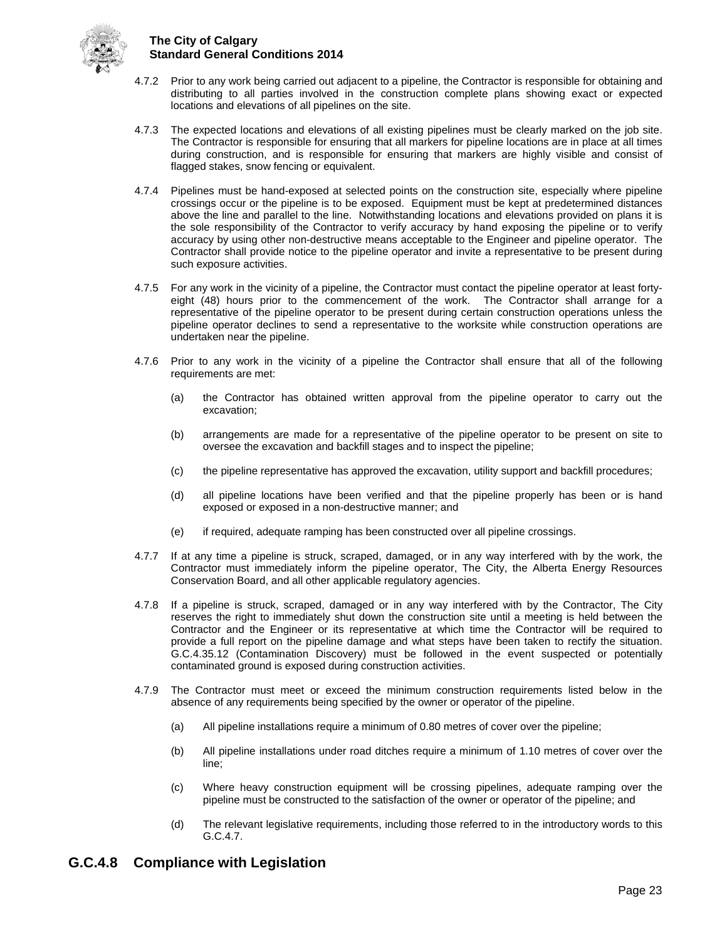

- 4.7.2 Prior to any work being carried out adjacent to a pipeline, the Contractor is responsible for obtaining and distributing to all parties involved in the construction complete plans showing exact or expected locations and elevations of all pipelines on the site.
- 4.7.3 The expected locations and elevations of all existing pipelines must be clearly marked on the job site. The Contractor is responsible for ensuring that all markers for pipeline locations are in place at all times during construction, and is responsible for ensuring that markers are highly visible and consist of flagged stakes, snow fencing or equivalent.
- 4.7.4 Pipelines must be hand-exposed at selected points on the construction site, especially where pipeline crossings occur or the pipeline is to be exposed. Equipment must be kept at predetermined distances above the line and parallel to the line. Notwithstanding locations and elevations provided on plans it is the sole responsibility of the Contractor to verify accuracy by hand exposing the pipeline or to verify accuracy by using other non-destructive means acceptable to the Engineer and pipeline operator. The Contractor shall provide notice to the pipeline operator and invite a representative to be present during such exposure activities.
- 4.7.5 For any work in the vicinity of a pipeline, the Contractor must contact the pipeline operator at least fortyeight (48) hours prior to the commencement of the work. The Contractor shall arrange for a representative of the pipeline operator to be present during certain construction operations unless the pipeline operator declines to send a representative to the worksite while construction operations are undertaken near the pipeline.
- 4.7.6 Prior to any work in the vicinity of a pipeline the Contractor shall ensure that all of the following requirements are met:
	- (a) the Contractor has obtained written approval from the pipeline operator to carry out the excavation;
	- (b) arrangements are made for a representative of the pipeline operator to be present on site to oversee the excavation and backfill stages and to inspect the pipeline;
	- (c) the pipeline representative has approved the excavation, utility support and backfill procedures;
	- (d) all pipeline locations have been verified and that the pipeline properly has been or is hand exposed or exposed in a non-destructive manner; and
	- (e) if required, adequate ramping has been constructed over all pipeline crossings.
- 4.7.7 If at any time a pipeline is struck, scraped, damaged, or in any way interfered with by the work, the Contractor must immediately inform the pipeline operator, The City, the Alberta Energy Resources Conservation Board, and all other applicable regulatory agencies.
- 4.7.8 If a pipeline is struck, scraped, damaged or in any way interfered with by the Contractor, The City reserves the right to immediately shut down the construction site until a meeting is held between the Contractor and the Engineer or its representative at which time the Contractor will be required to provide a full report on the pipeline damage and what steps have been taken to rectify the situation. G.C.4.35.12 (Contamination Discovery) must be followed in the event suspected or potentially contaminated ground is exposed during construction activities.
- 4.7.9 The Contractor must meet or exceed the minimum construction requirements listed below in the absence of any requirements being specified by the owner or operator of the pipeline.
	- (a) All pipeline installations require a minimum of 0.80 metres of cover over the pipeline;
	- (b) All pipeline installations under road ditches require a minimum of 1.10 metres of cover over the line;
	- (c) Where heavy construction equipment will be crossing pipelines, adequate ramping over the pipeline must be constructed to the satisfaction of the owner or operator of the pipeline; and
	- (d) The relevant legislative requirements, including those referred to in the introductory words to this G.C.4.7.

## <span id="page-27-0"></span>**G.C.4.8 Compliance with Legislation**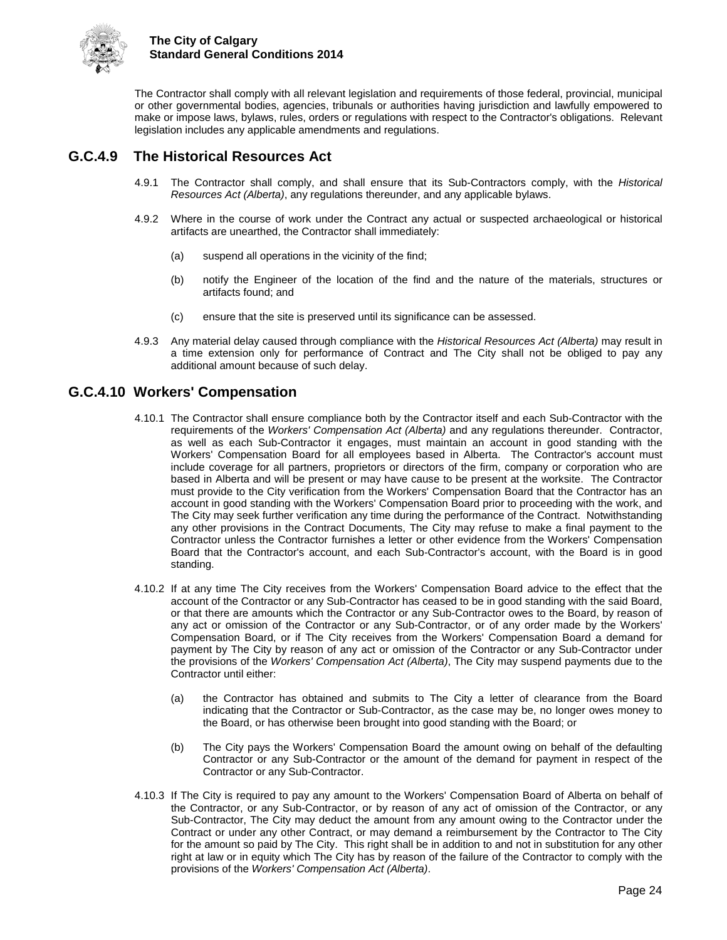

The Contractor shall comply with all relevant legislation and requirements of those federal, provincial, municipal or other governmental bodies, agencies, tribunals or authorities having jurisdiction and lawfully empowered to make or impose laws, bylaws, rules, orders or regulations with respect to the Contractor's obligations. Relevant legislation includes any applicable amendments and regulations.

## <span id="page-28-0"></span>**G.C.4.9 The Historical Resources Act**

- 4.9.1 The Contractor shall comply, and shall ensure that its Sub-Contractors comply, with the *Historical Resources Act (Alberta)*, any regulations thereunder, and any applicable bylaws.
- 4.9.2 Where in the course of work under the Contract any actual or suspected archaeological or historical artifacts are unearthed, the Contractor shall immediately:
	- (a) suspend all operations in the vicinity of the find;
	- (b) notify the Engineer of the location of the find and the nature of the materials, structures or artifacts found; and
	- (c) ensure that the site is preserved until its significance can be assessed.
- 4.9.3 Any material delay caused through compliance with the *Historical Resources Act (Alberta)* may result in a time extension only for performance of Contract and The City shall not be obliged to pay any additional amount because of such delay.

## <span id="page-28-1"></span>**G.C.4.10 Workers' Compensation**

- 4.10.1 The Contractor shall ensure compliance both by the Contractor itself and each Sub-Contractor with the requirements of the *Workers' Compensation Act (Alberta)* and any regulations thereunder. Contractor, as well as each Sub-Contractor it engages, must maintain an account in good standing with the Workers' Compensation Board for all employees based in Alberta. The Contractor's account must include coverage for all partners, proprietors or directors of the firm, company or corporation who are based in Alberta and will be present or may have cause to be present at the worksite. The Contractor must provide to the City verification from the Workers' Compensation Board that the Contractor has an account in good standing with the Workers' Compensation Board prior to proceeding with the work, and The City may seek further verification any time during the performance of the Contract. Notwithstanding any other provisions in the Contract Documents, The City may refuse to make a final payment to the Contractor unless the Contractor furnishes a letter or other evidence from the Workers' Compensation Board that the Contractor's account, and each Sub-Contractor's account, with the Board is in good standing.
- 4.10.2 If at any time The City receives from the Workers' Compensation Board advice to the effect that the account of the Contractor or any Sub-Contractor has ceased to be in good standing with the said Board, or that there are amounts which the Contractor or any Sub-Contractor owes to the Board, by reason of any act or omission of the Contractor or any Sub-Contractor, or of any order made by the Workers' Compensation Board, or if The City receives from the Workers' Compensation Board a demand for payment by The City by reason of any act or omission of the Contractor or any Sub-Contractor under the provisions of the *Workers' Compensation Act (Alberta)*, The City may suspend payments due to the Contractor until either:
	- (a) the Contractor has obtained and submits to The City a letter of clearance from the Board indicating that the Contractor or Sub-Contractor, as the case may be, no longer owes money to the Board, or has otherwise been brought into good standing with the Board; or
	- (b) The City pays the Workers' Compensation Board the amount owing on behalf of the defaulting Contractor or any Sub-Contractor or the amount of the demand for payment in respect of the Contractor or any Sub-Contractor.
- 4.10.3 If The City is required to pay any amount to the Workers' Compensation Board of Alberta on behalf of the Contractor, or any Sub-Contractor, or by reason of any act of omission of the Contractor, or any Sub-Contractor, The City may deduct the amount from any amount owing to the Contractor under the Contract or under any other Contract, or may demand a reimbursement by the Contractor to The City for the amount so paid by The City. This right shall be in addition to and not in substitution for any other right at law or in equity which The City has by reason of the failure of the Contractor to comply with the provisions of the *Workers' Compensation Act (Alberta)*.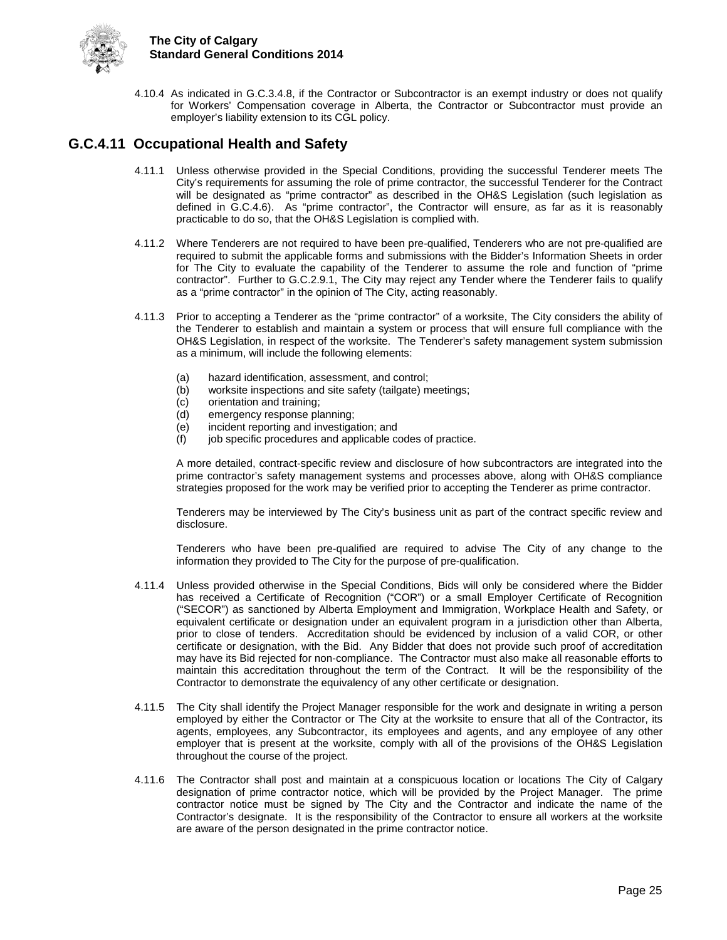

4.10.4 As indicated in G.C.3.4.8, if the Contractor or Subcontractor is an exempt industry or does not qualify for Workers' Compensation coverage in Alberta, the Contractor or Subcontractor must provide an employer's liability extension to its CGL policy.

## <span id="page-29-0"></span>**G.C.4.11 Occupational Health and Safety**

- 4.11.1 Unless otherwise provided in the Special Conditions, providing the successful Tenderer meets The City's requirements for assuming the role of prime contractor, the successful Tenderer for the Contract will be designated as "prime contractor" as described in the OH&S Legislation (such legislation as defined in G.C.4.6). As "prime contractor", the Contractor will ensure, as far as it is reasonably practicable to do so, that the OH&S Legislation is complied with.
- 4.11.2 Where Tenderers are not required to have been pre-qualified, Tenderers who are not pre-qualified are required to submit the applicable forms and submissions with the Bidder's Information Sheets in order for The City to evaluate the capability of the Tenderer to assume the role and function of "prime contractor". Further to G.C.2.9.1, The City may reject any Tender where the Tenderer fails to qualify as a "prime contractor" in the opinion of The City, acting reasonably.
- 4.11.3 Prior to accepting a Tenderer as the "prime contractor" of a worksite, The City considers the ability of the Tenderer to establish and maintain a system or process that will ensure full compliance with the OH&S Legislation, in respect of the worksite. The Tenderer's safety management system submission as a minimum, will include the following elements:
	- (a) hazard identification, assessment, and control;<br>(b) worksite inspections and site safety (tailgate) m
	- worksite inspections and site safety (tailgate) meetings;
	- (c) orientation and training;
	- (d) emergency response planning;
	- (e) incident reporting and investigation; and
	- (f) job specific procedures and applicable codes of practice.

A more detailed, contract-specific review and disclosure of how subcontractors are integrated into the prime contractor's safety management systems and processes above, along with OH&S compliance strategies proposed for the work may be verified prior to accepting the Tenderer as prime contractor.

Tenderers may be interviewed by The City's business unit as part of the contract specific review and disclosure.

Tenderers who have been pre-qualified are required to advise The City of any change to the information they provided to The City for the purpose of pre-qualification.

- 4.11.4 Unless provided otherwise in the Special Conditions, Bids will only be considered where the Bidder has received a Certificate of Recognition ("COR") or a small Employer Certificate of Recognition ("SECOR") as sanctioned by Alberta Employment and Immigration, Workplace Health and Safety, or equivalent certificate or designation under an equivalent program in a jurisdiction other than Alberta, prior to close of tenders. Accreditation should be evidenced by inclusion of a valid COR, or other certificate or designation, with the Bid. Any Bidder that does not provide such proof of accreditation may have its Bid rejected for non-compliance. The Contractor must also make all reasonable efforts to maintain this accreditation throughout the term of the Contract. It will be the responsibility of the Contractor to demonstrate the equivalency of any other certificate or designation.
- 4.11.5 The City shall identify the Project Manager responsible for the work and designate in writing a person employed by either the Contractor or The City at the worksite to ensure that all of the Contractor, its agents, employees, any Subcontractor, its employees and agents, and any employee of any other employer that is present at the worksite, comply with all of the provisions of the OH&S Legislation throughout the course of the project.
- 4.11.6 The Contractor shall post and maintain at a conspicuous location or locations The City of Calgary designation of prime contractor notice, which will be provided by the Project Manager. The prime contractor notice must be signed by The City and the Contractor and indicate the name of the Contractor's designate. It is the responsibility of the Contractor to ensure all workers at the worksite are aware of the person designated in the prime contractor notice.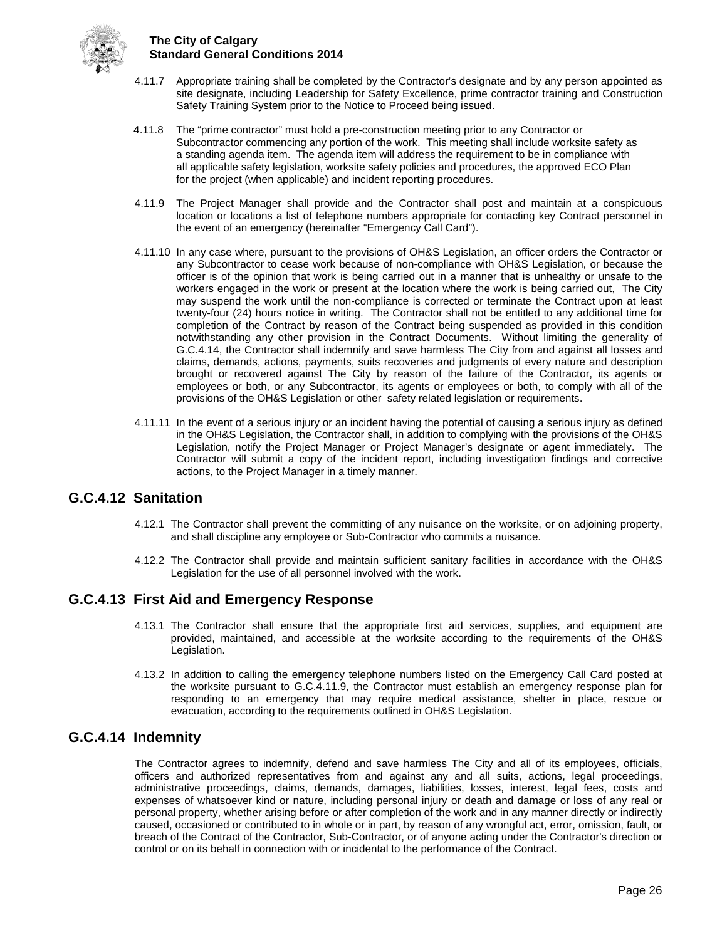

- 4.11.7 Appropriate training shall be completed by the Contractor's designate and by any person appointed as site designate, including Leadership for Safety Excellence, prime contractor training and Construction Safety Training System prior to the Notice to Proceed being issued.
- 4.11.8 The "prime contractor" must hold a pre-construction meeting prior to any Contractor or Subcontractor commencing any portion of the work. This meeting shall include worksite safety as a standing agenda item. The agenda item will address the requirement to be in compliance with all applicable safety legislation, worksite safety policies and procedures, the approved ECO Plan for the project (when applicable) and incident reporting procedures.
- 4.11.9 The Project Manager shall provide and the Contractor shall post and maintain at a conspicuous location or locations a list of telephone numbers appropriate for contacting key Contract personnel in the event of an emergency (hereinafter "Emergency Call Card").
- 4.11.10 In any case where, pursuant to the provisions of OH&S Legislation, an officer orders the Contractor or any Subcontractor to cease work because of non-compliance with OH&S Legislation, or because the officer is of the opinion that work is being carried out in a manner that is unhealthy or unsafe to the workers engaged in the work or present at the location where the work is being carried out, The City may suspend the work until the non-compliance is corrected or terminate the Contract upon at least twenty-four (24) hours notice in writing. The Contractor shall not be entitled to any additional time for completion of the Contract by reason of the Contract being suspended as provided in this condition notwithstanding any other provision in the Contract Documents. Without limiting the generality of G.C.4.14, the Contractor shall indemnify and save harmless The City from and against all losses and claims, demands, actions, payments, suits recoveries and judgments of every nature and description brought or recovered against The City by reason of the failure of the Contractor, its agents or employees or both, or any Subcontractor, its agents or employees or both, to comply with all of the provisions of the OH&S Legislation or other safety related legislation or requirements.
- 4.11.11 In the event of a serious injury or an incident having the potential of causing a serious injury as defined in the OH&S Legislation, the Contractor shall, in addition to complying with the provisions of the OH&S Legislation, notify the Project Manager or Project Manager's designate or agent immediately. The Contractor will submit a copy of the incident report, including investigation findings and corrective actions, to the Project Manager in a timely manner.

## <span id="page-30-0"></span>**G.C.4.12 Sanitation**

- 4.12.1 The Contractor shall prevent the committing of any nuisance on the worksite, or on adjoining property, and shall discipline any employee or Sub-Contractor who commits a nuisance.
- 4.12.2 The Contractor shall provide and maintain sufficient sanitary facilities in accordance with the OH&S Legislation for the use of all personnel involved with the work.

## <span id="page-30-1"></span>**G.C.4.13 First Aid and Emergency Response**

- 4.13.1 The Contractor shall ensure that the appropriate first aid services, supplies, and equipment are provided, maintained, and accessible at the worksite according to the requirements of the OH&S Legislation.
- 4.13.2 In addition to calling the emergency telephone numbers listed on the Emergency Call Card posted at the worksite pursuant to G.C.4.11.9, the Contractor must establish an emergency response plan for responding to an emergency that may require medical assistance, shelter in place, rescue or evacuation, according to the requirements outlined in OH&S Legislation.

## <span id="page-30-2"></span>**G.C.4.14 Indemnity**

The Contractor agrees to indemnify, defend and save harmless The City and all of its employees, officials, officers and authorized representatives from and against any and all suits, actions, legal proceedings, administrative proceedings, claims, demands, damages, liabilities, losses, interest, legal fees, costs and expenses of whatsoever kind or nature, including personal injury or death and damage or loss of any real or personal property, whether arising before or after completion of the work and in any manner directly or indirectly caused, occasioned or contributed to in whole or in part, by reason of any wrongful act, error, omission, fault, or breach of the Contract of the Contractor, Sub-Contractor, or of anyone acting under the Contractor's direction or control or on its behalf in connection with or incidental to the performance of the Contract.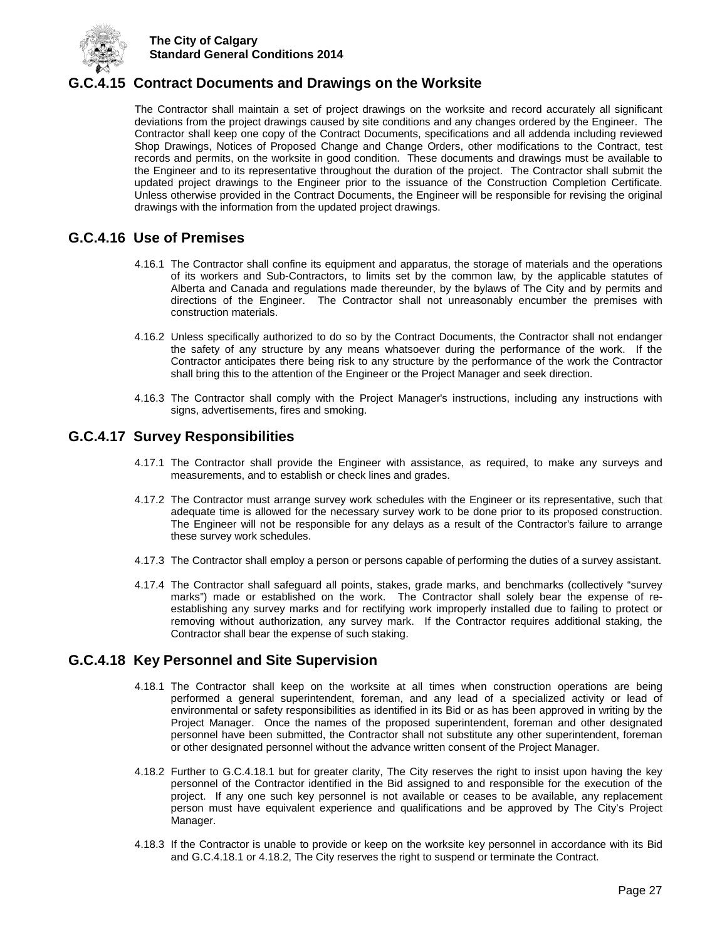

## <span id="page-31-0"></span>**G.C.4.15 Contract Documents and Drawings on the Worksite**

The Contractor shall maintain a set of project drawings on the worksite and record accurately all significant deviations from the project drawings caused by site conditions and any changes ordered by the Engineer. The Contractor shall keep one copy of the Contract Documents, specifications and all addenda including reviewed Shop Drawings, Notices of Proposed Change and Change Orders, other modifications to the Contract, test records and permits, on the worksite in good condition. These documents and drawings must be available to the Engineer and to its representative throughout the duration of the project. The Contractor shall submit the updated project drawings to the Engineer prior to the issuance of the Construction Completion Certificate. Unless otherwise provided in the Contract Documents, the Engineer will be responsible for revising the original drawings with the information from the updated project drawings.

## <span id="page-31-1"></span>**G.C.4.16 Use of Premises**

- 4.16.1 The Contractor shall confine its equipment and apparatus, the storage of materials and the operations of its workers and Sub-Contractors, to limits set by the common law, by the applicable statutes of Alberta and Canada and regulations made thereunder, by the bylaws of The City and by permits and directions of the Engineer. The Contractor shall not unreasonably encumber the premises with construction materials.
- 4.16.2 Unless specifically authorized to do so by the Contract Documents, the Contractor shall not endanger the safety of any structure by any means whatsoever during the performance of the work. If the Contractor anticipates there being risk to any structure by the performance of the work the Contractor shall bring this to the attention of the Engineer or the Project Manager and seek direction.
- 4.16.3 The Contractor shall comply with the Project Manager's instructions, including any instructions with signs, advertisements, fires and smoking.

## <span id="page-31-2"></span>**G.C.4.17 Survey Responsibilities**

- 4.17.1 The Contractor shall provide the Engineer with assistance, as required, to make any surveys and measurements, and to establish or check lines and grades.
- 4.17.2 The Contractor must arrange survey work schedules with the Engineer or its representative, such that adequate time is allowed for the necessary survey work to be done prior to its proposed construction. The Engineer will not be responsible for any delays as a result of the Contractor's failure to arrange these survey work schedules.
- 4.17.3 The Contractor shall employ a person or persons capable of performing the duties of a survey assistant.
- 4.17.4 The Contractor shall safeguard all points, stakes, grade marks, and benchmarks (collectively "survey marks") made or established on the work. The Contractor shall solely bear the expense of reestablishing any survey marks and for rectifying work improperly installed due to failing to protect or removing without authorization, any survey mark. If the Contractor requires additional staking, the Contractor shall bear the expense of such staking.

## <span id="page-31-3"></span>**G.C.4.18 Key Personnel and Site Supervision**

- 4.18.1 The Contractor shall keep on the worksite at all times when construction operations are being performed a general superintendent, foreman, and any lead of a specialized activity or lead of environmental or safety responsibilities as identified in its Bid or as has been approved in writing by the Project Manager. Once the names of the proposed superintendent, foreman and other designated personnel have been submitted, the Contractor shall not substitute any other superintendent, foreman or other designated personnel without the advance written consent of the Project Manager.
- 4.18.2 Further to G.C.4.18.1 but for greater clarity, The City reserves the right to insist upon having the key personnel of the Contractor identified in the Bid assigned to and responsible for the execution of the project. If any one such key personnel is not available or ceases to be available, any replacement person must have equivalent experience and qualifications and be approved by The City's Project Manager.
- 4.18.3 If the Contractor is unable to provide or keep on the worksite key personnel in accordance with its Bid and G.C.4.18.1 or 4.18.2, The City reserves the right to suspend or terminate the Contract.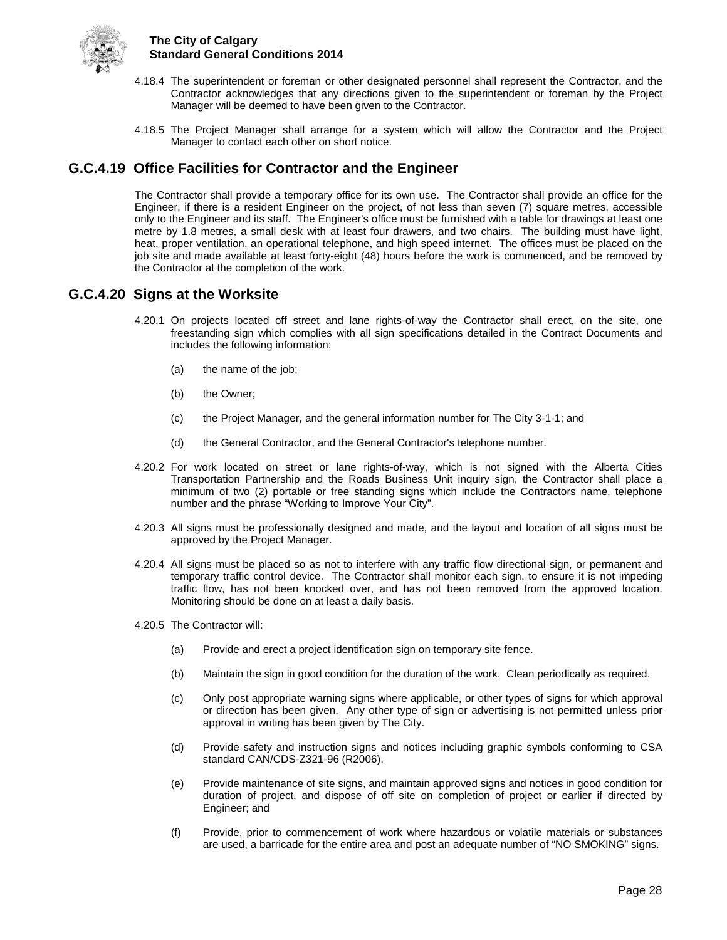

- 4.18.4 The superintendent or foreman or other designated personnel shall represent the Contractor, and the Contractor acknowledges that any directions given to the superintendent or foreman by the Project Manager will be deemed to have been given to the Contractor.
- 4.18.5 The Project Manager shall arrange for a system which will allow the Contractor and the Project Manager to contact each other on short notice.

## <span id="page-32-0"></span>**G.C.4.19 Office Facilities for Contractor and the Engineer**

The Contractor shall provide a temporary office for its own use. The Contractor shall provide an office for the Engineer, if there is a resident Engineer on the project, of not less than seven (7) square metres, accessible only to the Engineer and its staff. The Engineer's office must be furnished with a table for drawings at least one metre by 1.8 metres, a small desk with at least four drawers, and two chairs. The building must have light, heat, proper ventilation, an operational telephone, and high speed internet. The offices must be placed on the job site and made available at least forty-eight (48) hours before the work is commenced, and be removed by the Contractor at the completion of the work.

## <span id="page-32-1"></span>**G.C.4.20 Signs at the Worksite**

- 4.20.1 On projects located off street and lane rights-of-way the Contractor shall erect, on the site, one freestanding sign which complies with all sign specifications detailed in the Contract Documents and includes the following information:
	- (a) the name of the job;
	- (b) the Owner;
	- (c) the Project Manager, and the general information number for The City 3-1-1; and
	- (d) the General Contractor, and the General Contractor's telephone number.
- 4.20.2 For work located on street or lane rights-of-way, which is not signed with the Alberta Cities Transportation Partnership and the Roads Business Unit inquiry sign, the Contractor shall place a minimum of two (2) portable or free standing signs which include the Contractors name, telephone number and the phrase "Working to Improve Your City".
- 4.20.3 All signs must be professionally designed and made, and the layout and location of all signs must be approved by the Project Manager.
- 4.20.4 All signs must be placed so as not to interfere with any traffic flow directional sign, or permanent and temporary traffic control device. The Contractor shall monitor each sign, to ensure it is not impeding traffic flow, has not been knocked over, and has not been removed from the approved location. Monitoring should be done on at least a daily basis.
- 4.20.5 The Contractor will:
	- (a) Provide and erect a project identification sign on temporary site fence.
	- (b) Maintain the sign in good condition for the duration of the work. Clean periodically as required.
	- (c) Only post appropriate warning signs where applicable, or other types of signs for which approval or direction has been given. Any other type of sign or advertising is not permitted unless prior approval in writing has been given by The City.
	- (d) Provide safety and instruction signs and notices including graphic symbols conforming to CSA standard CAN/CDS-Z321-96 (R2006).
	- (e) Provide maintenance of site signs, and maintain approved signs and notices in good condition for duration of project, and dispose of off site on completion of project or earlier if directed by Engineer; and
	- (f) Provide, prior to commencement of work where hazardous or volatile materials or substances are used, a barricade for the entire area and post an adequate number of "NO SMOKING" signs.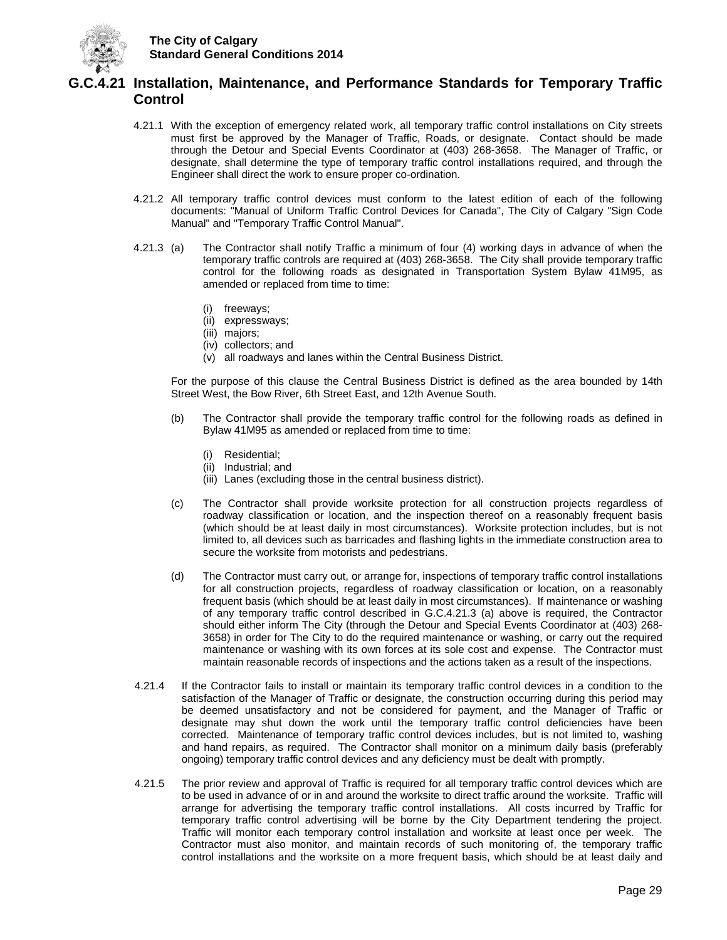

## <span id="page-33-0"></span>**G.C.4.21 Installation, Maintenance, and Performance Standards for Temporary Traffic Control**

- 4.21.1 With the exception of emergency related work, all temporary traffic control installations on City streets must first be approved by the Manager of Traffic, Roads, or designate. Contact should be made through the Detour and Special Events Coordinator at (403) 268-3658. The Manager of Traffic, or designate, shall determine the type of temporary traffic control installations required, and through the Engineer shall direct the work to ensure proper co-ordination.
- 4.21.2 All temporary traffic control devices must conform to the latest edition of each of the following documents: "Manual of Uniform Traffic Control Devices for Canada", The City of Calgary "Sign Code Manual" and "Temporary Traffic Control Manual".
- 4.21.3 (a) The Contractor shall notify Traffic a minimum of four (4) working days in advance of when the temporary traffic controls are required at (403) 268-3658. The City shall provide temporary traffic control for the following roads as designated in Transportation System Bylaw 41M95, as amended or replaced from time to time:
	- (i) freeways;
	- (ii) expressways;
	- (iii) majors;
	- (iv) collectors; and
	- (v) all roadways and lanes within the Central Business District.

For the purpose of this clause the Central Business District is defined as the area bounded by 14th Street West, the Bow River, 6th Street East, and 12th Avenue South.

- (b) The Contractor shall provide the temporary traffic control for the following roads as defined in Bylaw 41M95 as amended or replaced from time to time:
	- (i) Residential;
	- (ii) Industrial; and
	- (iii) Lanes (excluding those in the central business district).
- (c) The Contractor shall provide worksite protection for all construction projects regardless of roadway classification or location, and the inspection thereof on a reasonably frequent basis (which should be at least daily in most circumstances). Worksite protection includes, but is not limited to, all devices such as barricades and flashing lights in the immediate construction area to secure the worksite from motorists and pedestrians.
- (d) The Contractor must carry out, or arrange for, inspections of temporary traffic control installations for all construction projects, regardless of roadway classification or location, on a reasonably frequent basis (which should be at least daily in most circumstances). If maintenance or washing of any temporary traffic control described in G.C.4.21.3 (a) above is required, the Contractor should either inform The City (through the Detour and Special Events Coordinator at (403) 268- 3658) in order for The City to do the required maintenance or washing, or carry out the required maintenance or washing with its own forces at its sole cost and expense. The Contractor must maintain reasonable records of inspections and the actions taken as a result of the inspections.
- 4.21.4 If the Contractor fails to install or maintain its temporary traffic control devices in a condition to the satisfaction of the Manager of Traffic or designate, the construction occurring during this period may be deemed unsatisfactory and not be considered for payment, and the Manager of Traffic or designate may shut down the work until the temporary traffic control deficiencies have been corrected. Maintenance of temporary traffic control devices includes, but is not limited to, washing and hand repairs, as required. The Contractor shall monitor on a minimum daily basis (preferably ongoing) temporary traffic control devices and any deficiency must be dealt with promptly.
- 4.21.5 The prior review and approval of Traffic is required for all temporary traffic control devices which are to be used in advance of or in and around the worksite to direct traffic around the worksite. Traffic will arrange for advertising the temporary traffic control installations. All costs incurred by Traffic for temporary traffic control advertising will be borne by the City Department tendering the project. Traffic will monitor each temporary control installation and worksite at least once per week. The Contractor must also monitor, and maintain records of such monitoring of, the temporary traffic control installations and the worksite on a more frequent basis, which should be at least daily and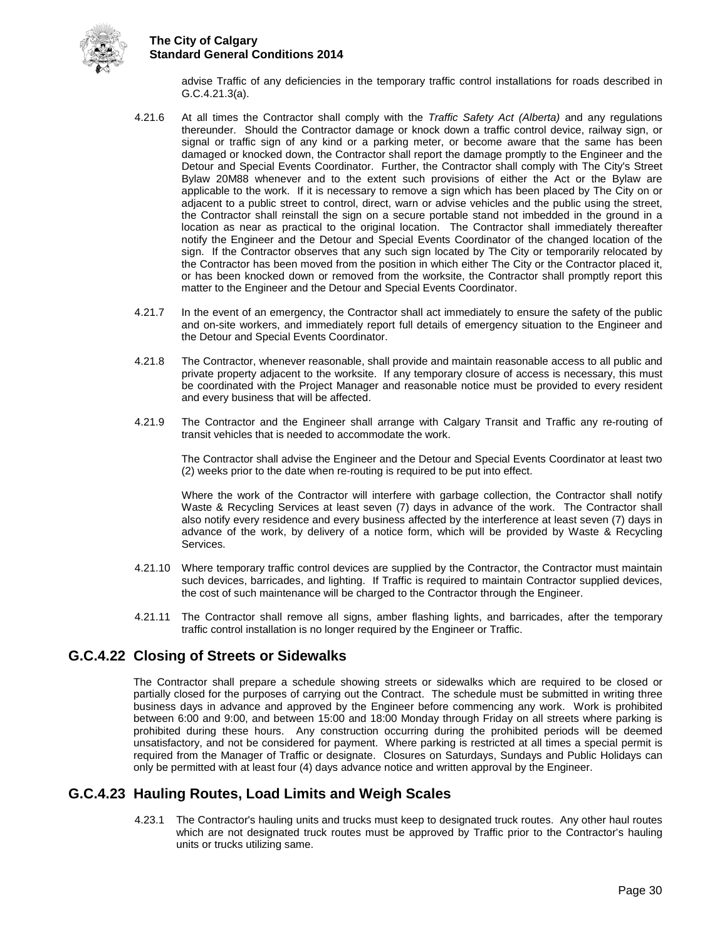

advise Traffic of any deficiencies in the temporary traffic control installations for roads described in G.C.4.21.3(a).

- 4.21.6 At all times the Contractor shall comply with the *Traffic Safety Act (Alberta)* and any regulations thereunder. Should the Contractor damage or knock down a traffic control device, railway sign, or signal or traffic sign of any kind or a parking meter, or become aware that the same has been damaged or knocked down, the Contractor shall report the damage promptly to the Engineer and the Detour and Special Events Coordinator. Further, the Contractor shall comply with The City's Street Bylaw 20M88 whenever and to the extent such provisions of either the Act or the Bylaw are applicable to the work. If it is necessary to remove a sign which has been placed by The City on or adjacent to a public street to control, direct, warn or advise vehicles and the public using the street, the Contractor shall reinstall the sign on a secure portable stand not imbedded in the ground in a location as near as practical to the original location. The Contractor shall immediately thereafter notify the Engineer and the Detour and Special Events Coordinator of the changed location of the sign. If the Contractor observes that any such sign located by The City or temporarily relocated by the Contractor has been moved from the position in which either The City or the Contractor placed it, or has been knocked down or removed from the worksite, the Contractor shall promptly report this matter to the Engineer and the Detour and Special Events Coordinator.
- 4.21.7 In the event of an emergency, the Contractor shall act immediately to ensure the safety of the public and on-site workers, and immediately report full details of emergency situation to the Engineer and the Detour and Special Events Coordinator.
- 4.21.8 The Contractor, whenever reasonable, shall provide and maintain reasonable access to all public and private property adjacent to the worksite. If any temporary closure of access is necessary, this must be coordinated with the Project Manager and reasonable notice must be provided to every resident and every business that will be affected.
- 4.21.9 The Contractor and the Engineer shall arrange with Calgary Transit and Traffic any re-routing of transit vehicles that is needed to accommodate the work.

The Contractor shall advise the Engineer and the Detour and Special Events Coordinator at least two (2) weeks prior to the date when re-routing is required to be put into effect.

Where the work of the Contractor will interfere with garbage collection, the Contractor shall notify Waste & Recycling Services at least seven (7) days in advance of the work. The Contractor shall also notify every residence and every business affected by the interference at least seven (7) days in advance of the work, by delivery of a notice form, which will be provided by Waste & Recycling Services.

- 4.21.10 Where temporary traffic control devices are supplied by the Contractor, the Contractor must maintain such devices, barricades, and lighting. If Traffic is required to maintain Contractor supplied devices, the cost of such maintenance will be charged to the Contractor through the Engineer.
- 4.21.11 The Contractor shall remove all signs, amber flashing lights, and barricades, after the temporary traffic control installation is no longer required by the Engineer or Traffic.

## <span id="page-34-0"></span>**G.C.4.22 Closing of Streets or Sidewalks**

The Contractor shall prepare a schedule showing streets or sidewalks which are required to be closed or partially closed for the purposes of carrying out the Contract. The schedule must be submitted in writing three business days in advance and approved by the Engineer before commencing any work. Work is prohibited between 6:00 and 9:00, and between 15:00 and 18:00 Monday through Friday on all streets where parking is prohibited during these hours. Any construction occurring during the prohibited periods will be deemed unsatisfactory, and not be considered for payment. Where parking is restricted at all times a special permit is required from the Manager of Traffic or designate. Closures on Saturdays, Sundays and Public Holidays can only be permitted with at least four (4) days advance notice and written approval by the Engineer.

## <span id="page-34-1"></span>**G.C.4.23 Hauling Routes, Load Limits and Weigh Scales**

4.23.1 The Contractor's hauling units and trucks must keep to designated truck routes. Any other haul routes which are not designated truck routes must be approved by Traffic prior to the Contractor's hauling units or trucks utilizing same.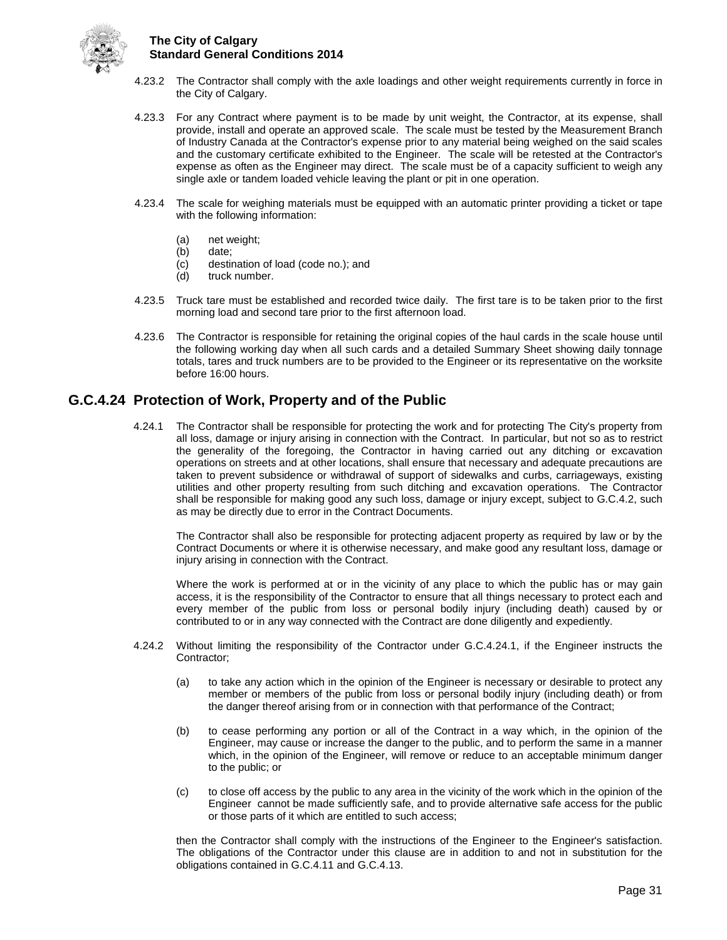

- 4.23.2 The Contractor shall comply with the axle loadings and other weight requirements currently in force in the City of Calgary.
- 4.23.3 For any Contract where payment is to be made by unit weight, the Contractor, at its expense, shall provide, install and operate an approved scale. The scale must be tested by the Measurement Branch of Industry Canada at the Contractor's expense prior to any material being weighed on the said scales and the customary certificate exhibited to the Engineer. The scale will be retested at the Contractor's expense as often as the Engineer may direct. The scale must be of a capacity sufficient to weigh any single axle or tandem loaded vehicle leaving the plant or pit in one operation.
- 4.23.4 The scale for weighing materials must be equipped with an automatic printer providing a ticket or tape with the following information:
	- (a) net weight;
	- (b) date;
	- (c) destination of load (code no.); and
	- (d) truck number.
- 4.23.5 Truck tare must be established and recorded twice daily. The first tare is to be taken prior to the first morning load and second tare prior to the first afternoon load.
- 4.23.6 The Contractor is responsible for retaining the original copies of the haul cards in the scale house until the following working day when all such cards and a detailed Summary Sheet showing daily tonnage totals, tares and truck numbers are to be provided to the Engineer or its representative on the worksite before 16:00 hours.

## <span id="page-35-0"></span>**G.C.4.24 Protection of Work, Property and of the Public**

4.24.1 The Contractor shall be responsible for protecting the work and for protecting The City's property from all loss, damage or injury arising in connection with the Contract. In particular, but not so as to restrict the generality of the foregoing, the Contractor in having carried out any ditching or excavation operations on streets and at other locations, shall ensure that necessary and adequate precautions are taken to prevent subsidence or withdrawal of support of sidewalks and curbs, carriageways, existing utilities and other property resulting from such ditching and excavation operations. The Contractor shall be responsible for making good any such loss, damage or injury except, subject to G.C.4.2, such as may be directly due to error in the Contract Documents.

The Contractor shall also be responsible for protecting adjacent property as required by law or by the Contract Documents or where it is otherwise necessary, and make good any resultant loss, damage or injury arising in connection with the Contract.

Where the work is performed at or in the vicinity of any place to which the public has or may gain access, it is the responsibility of the Contractor to ensure that all things necessary to protect each and every member of the public from loss or personal bodily injury (including death) caused by or contributed to or in any way connected with the Contract are done diligently and expediently.

- 4.24.2 Without limiting the responsibility of the Contractor under G.C.4.24.1, if the Engineer instructs the Contractor;
	- (a) to take any action which in the opinion of the Engineer is necessary or desirable to protect any member or members of the public from loss or personal bodily injury (including death) or from the danger thereof arising from or in connection with that performance of the Contract;
	- (b) to cease performing any portion or all of the Contract in a way which, in the opinion of the Engineer, may cause or increase the danger to the public, and to perform the same in a manner which, in the opinion of the Engineer, will remove or reduce to an acceptable minimum danger to the public; or
	- (c) to close off access by the public to any area in the vicinity of the work which in the opinion of the Engineer cannot be made sufficiently safe, and to provide alternative safe access for the public or those parts of it which are entitled to such access;

then the Contractor shall comply with the instructions of the Engineer to the Engineer's satisfaction. The obligations of the Contractor under this clause are in addition to and not in substitution for the obligations contained in G.C.4.11 and G.C.4.13.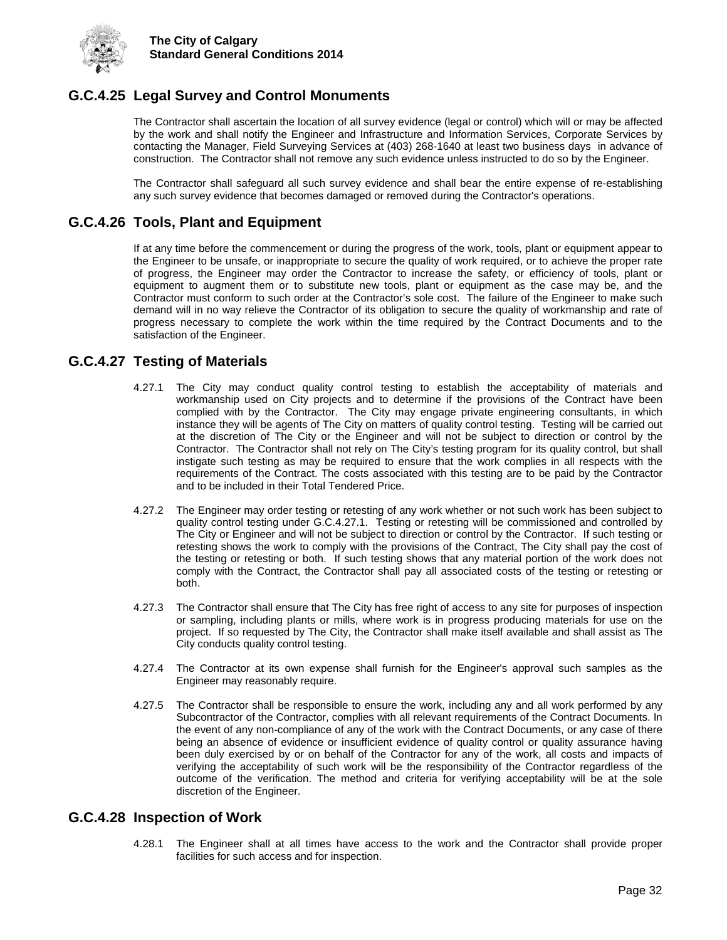

## <span id="page-36-0"></span>**G.C.4.25 Legal Survey and Control Monuments**

The Contractor shall ascertain the location of all survey evidence (legal or control) which will or may be affected by the work and shall notify the Engineer and Infrastructure and Information Services, Corporate Services by contacting the Manager, Field Surveying Services at (403) 268-1640 at least two business days in advance of construction. The Contractor shall not remove any such evidence unless instructed to do so by the Engineer.

The Contractor shall safeguard all such survey evidence and shall bear the entire expense of re-establishing any such survey evidence that becomes damaged or removed during the Contractor's operations.

## <span id="page-36-1"></span>**G.C.4.26 Tools, Plant and Equipment**

If at any time before the commencement or during the progress of the work, tools, plant or equipment appear to the Engineer to be unsafe, or inappropriate to secure the quality of work required, or to achieve the proper rate of progress, the Engineer may order the Contractor to increase the safety, or efficiency of tools, plant or equipment to augment them or to substitute new tools, plant or equipment as the case may be, and the Contractor must conform to such order at the Contractor's sole cost. The failure of the Engineer to make such demand will in no way relieve the Contractor of its obligation to secure the quality of workmanship and rate of progress necessary to complete the work within the time required by the Contract Documents and to the satisfaction of the Engineer.

## <span id="page-36-2"></span>**G.C.4.27 Testing of Materials**

- 4.27.1 The City may conduct quality control testing to establish the acceptability of materials and workmanship used on City projects and to determine if the provisions of the Contract have been complied with by the Contractor. The City may engage private engineering consultants, in which instance they will be agents of The City on matters of quality control testing. Testing will be carried out at the discretion of The City or the Engineer and will not be subject to direction or control by the Contractor. The Contractor shall not rely on The City's testing program for its quality control, but shall instigate such testing as may be required to ensure that the work complies in all respects with the requirements of the Contract. The costs associated with this testing are to be paid by the Contractor and to be included in their Total Tendered Price.
- 4.27.2 The Engineer may order testing or retesting of any work whether or not such work has been subject to quality control testing under G.C.4.27.1. Testing or retesting will be commissioned and controlled by The City or Engineer and will not be subject to direction or control by the Contractor. If such testing or retesting shows the work to comply with the provisions of the Contract, The City shall pay the cost of the testing or retesting or both. If such testing shows that any material portion of the work does not comply with the Contract, the Contractor shall pay all associated costs of the testing or retesting or both.
- 4.27.3 The Contractor shall ensure that The City has free right of access to any site for purposes of inspection or sampling, including plants or mills, where work is in progress producing materials for use on the project. If so requested by The City, the Contractor shall make itself available and shall assist as The City conducts quality control testing.
- 4.27.4 The Contractor at its own expense shall furnish for the Engineer's approval such samples as the Engineer may reasonably require.
- 4.27.5 The Contractor shall be responsible to ensure the work, including any and all work performed by any Subcontractor of the Contractor, complies with all relevant requirements of the Contract Documents. In the event of any non-compliance of any of the work with the Contract Documents, or any case of there being an absence of evidence or insufficient evidence of quality control or quality assurance having been duly exercised by or on behalf of the Contractor for any of the work, all costs and impacts of verifying the acceptability of such work will be the responsibility of the Contractor regardless of the outcome of the verification. The method and criteria for verifying acceptability will be at the sole discretion of the Engineer.

#### <span id="page-36-3"></span>**G.C.4.28 Inspection of Work**

4.28.1 The Engineer shall at all times have access to the work and the Contractor shall provide proper facilities for such access and for inspection.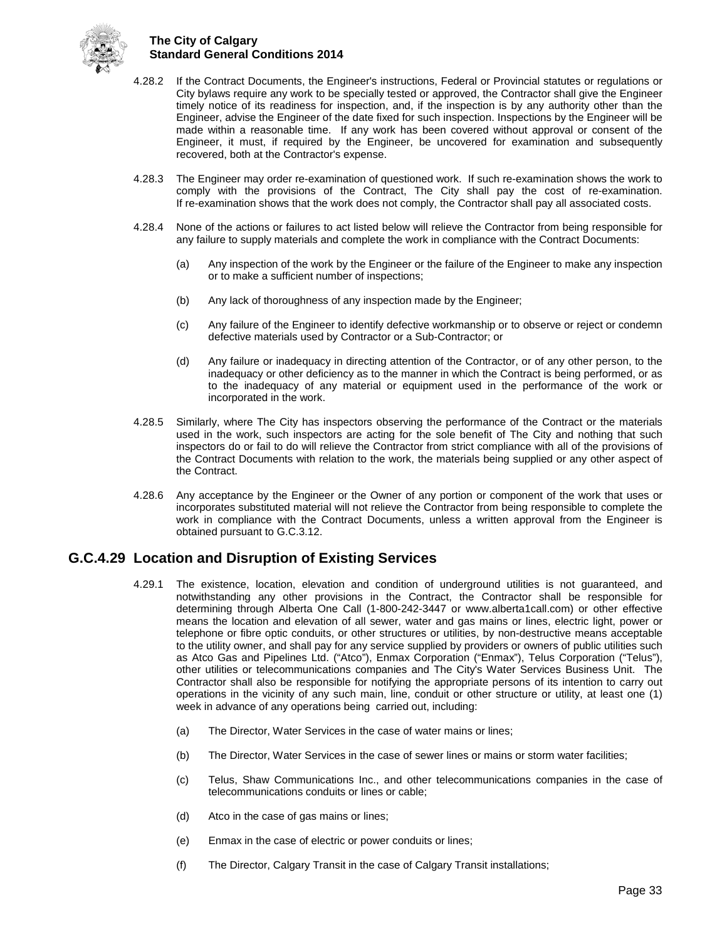

- 4.28.2 If the Contract Documents, the Engineer's instructions, Federal or Provincial statutes or regulations or City bylaws require any work to be specially tested or approved, the Contractor shall give the Engineer timely notice of its readiness for inspection, and, if the inspection is by any authority other than the Engineer, advise the Engineer of the date fixed for such inspection. Inspections by the Engineer will be made within a reasonable time. If any work has been covered without approval or consent of the Engineer, it must, if required by the Engineer, be uncovered for examination and subsequently recovered, both at the Contractor's expense.
- 4.28.3 The Engineer may order re-examination of questioned work. If such re-examination shows the work to comply with the provisions of the Contract, The City shall pay the cost of re-examination. If re-examination shows that the work does not comply, the Contractor shall pay all associated costs.
- 4.28.4 None of the actions or failures to act listed below will relieve the Contractor from being responsible for any failure to supply materials and complete the work in compliance with the Contract Documents:
	- (a) Any inspection of the work by the Engineer or the failure of the Engineer to make any inspection or to make a sufficient number of inspections;
	- (b) Any lack of thoroughness of any inspection made by the Engineer;
	- (c) Any failure of the Engineer to identify defective workmanship or to observe or reject or condemn defective materials used by Contractor or a Sub-Contractor; or
	- (d) Any failure or inadequacy in directing attention of the Contractor, or of any other person, to the inadequacy or other deficiency as to the manner in which the Contract is being performed, or as to the inadequacy of any material or equipment used in the performance of the work or incorporated in the work.
- 4.28.5 Similarly, where The City has inspectors observing the performance of the Contract or the materials used in the work, such inspectors are acting for the sole benefit of The City and nothing that such inspectors do or fail to do will relieve the Contractor from strict compliance with all of the provisions of the Contract Documents with relation to the work, the materials being supplied or any other aspect of the Contract.
- 4.28.6 Any acceptance by the Engineer or the Owner of any portion or component of the work that uses or incorporates substituted material will not relieve the Contractor from being responsible to complete the work in compliance with the Contract Documents, unless a written approval from the Engineer is obtained pursuant to G.C.3.12.

## <span id="page-37-0"></span>**G.C.4.29 Location and Disruption of Existing Services**

- 4.29.1 The existence, location, elevation and condition of underground utilities is not guaranteed, and notwithstanding any other provisions in the Contract, the Contractor shall be responsible for determining through Alberta One Call (1-800-242-3447 or www.alberta1call.com) or other effective means the location and elevation of all sewer, water and gas mains or lines, electric light, power or telephone or fibre optic conduits, or other structures or utilities, by non-destructive means acceptable to the utility owner, and shall pay for any service supplied by providers or owners of public utilities such as Atco Gas and Pipelines Ltd. ("Atco"), Enmax Corporation ("Enmax"), Telus Corporation ("Telus"), other utilities or telecommunications companies and The City's Water Services Business Unit. The Contractor shall also be responsible for notifying the appropriate persons of its intention to carry out operations in the vicinity of any such main, line, conduit or other structure or utility, at least one (1) week in advance of any operations being carried out, including:
	- (a) The Director, Water Services in the case of water mains or lines;
	- (b) The Director, Water Services in the case of sewer lines or mains or storm water facilities;
	- (c) Telus, Shaw Communications Inc., and other telecommunications companies in the case of telecommunications conduits or lines or cable;
	- (d) Atco in the case of gas mains or lines;
	- (e) Enmax in the case of electric or power conduits or lines;
	- (f) The Director, Calgary Transit in the case of Calgary Transit installations;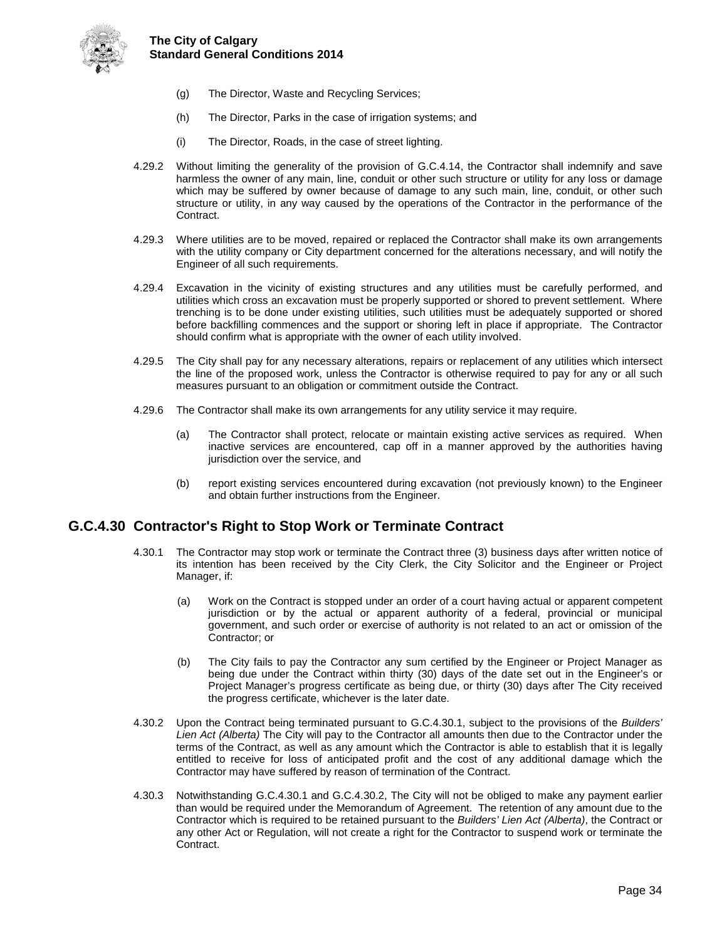

- (g) The Director, Waste and Recycling Services;
- (h) The Director, Parks in the case of irrigation systems; and
- (i) The Director, Roads, in the case of street lighting.
- 4.29.2 Without limiting the generality of the provision of G.C.4.14, the Contractor shall indemnify and save harmless the owner of any main, line, conduit or other such structure or utility for any loss or damage which may be suffered by owner because of damage to any such main, line, conduit, or other such structure or utility, in any way caused by the operations of the Contractor in the performance of the Contract.
- 4.29.3 Where utilities are to be moved, repaired or replaced the Contractor shall make its own arrangements with the utility company or City department concerned for the alterations necessary, and will notify the Engineer of all such requirements.
- 4.29.4 Excavation in the vicinity of existing structures and any utilities must be carefully performed, and utilities which cross an excavation must be properly supported or shored to prevent settlement. Where trenching is to be done under existing utilities, such utilities must be adequately supported or shored before backfilling commences and the support or shoring left in place if appropriate. The Contractor should confirm what is appropriate with the owner of each utility involved.
- 4.29.5 The City shall pay for any necessary alterations, repairs or replacement of any utilities which intersect the line of the proposed work, unless the Contractor is otherwise required to pay for any or all such measures pursuant to an obligation or commitment outside the Contract.
- 4.29.6 The Contractor shall make its own arrangements for any utility service it may require.
	- (a) The Contractor shall protect, relocate or maintain existing active services as required. When inactive services are encountered, cap off in a manner approved by the authorities having jurisdiction over the service, and
	- (b) report existing services encountered during excavation (not previously known) to the Engineer and obtain further instructions from the Engineer.

## <span id="page-38-0"></span>**G.C.4.30 Contractor's Right to Stop Work or Terminate Contract**

- 4.30.1 The Contractor may stop work or terminate the Contract three (3) business days after written notice of its intention has been received by the City Clerk, the City Solicitor and the Engineer or Project Manager, if:
	- (a) Work on the Contract is stopped under an order of a court having actual or apparent competent jurisdiction or by the actual or apparent authority of a federal, provincial or municipal government, and such order or exercise of authority is not related to an act or omission of the Contractor; or
	- (b) The City fails to pay the Contractor any sum certified by the Engineer or Project Manager as being due under the Contract within thirty (30) days of the date set out in the Engineer's or Project Manager's progress certificate as being due, or thirty (30) days after The City received the progress certificate, whichever is the later date.
- 4.30.2 Upon the Contract being terminated pursuant to G.C.4.30.1, subject to the provisions of the *Builders' Lien Act (Alberta)* The City will pay to the Contractor all amounts then due to the Contractor under the terms of the Contract, as well as any amount which the Contractor is able to establish that it is legally entitled to receive for loss of anticipated profit and the cost of any additional damage which the Contractor may have suffered by reason of termination of the Contract.
- 4.30.3 Notwithstanding G.C.4.30.1 and G.C.4.30.2, The City will not be obliged to make any payment earlier than would be required under the Memorandum of Agreement. The retention of any amount due to the Contractor which is required to be retained pursuant to the *Builders' Lien Act (Alberta)*, the Contract or any other Act or Regulation, will not create a right for the Contractor to suspend work or terminate the Contract.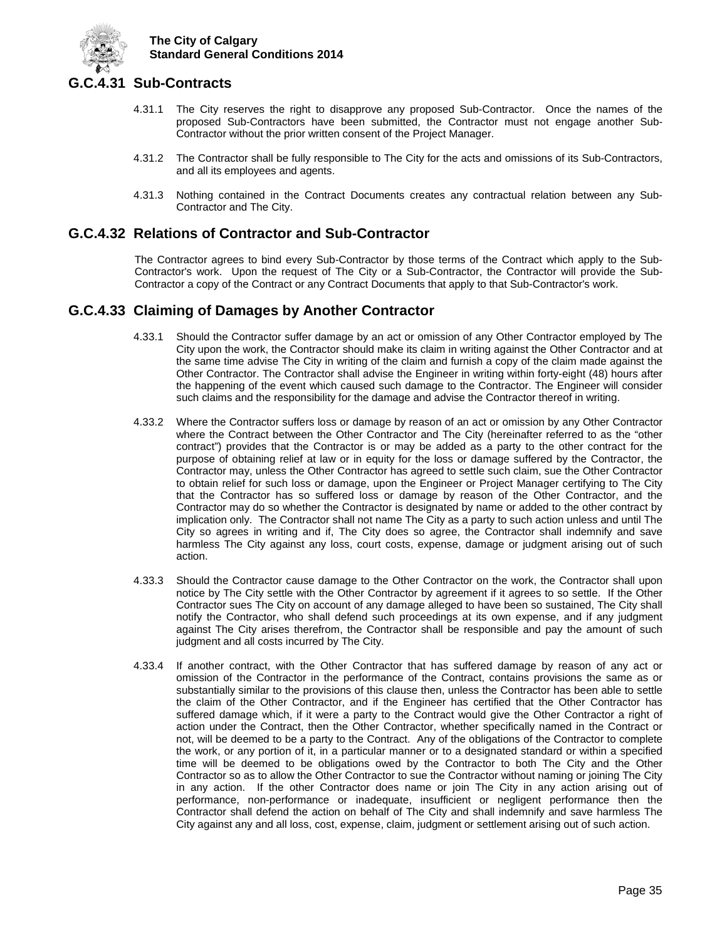

## <span id="page-39-0"></span>**G.C.4.31 Sub-Contracts**

- 4.31.1 The City reserves the right to disapprove any proposed Sub-Contractor. Once the names of the proposed Sub-Contractors have been submitted, the Contractor must not engage another Sub-Contractor without the prior written consent of the Project Manager.
- 4.31.2 The Contractor shall be fully responsible to The City for the acts and omissions of its Sub-Contractors, and all its employees and agents.
- 4.31.3 Nothing contained in the Contract Documents creates any contractual relation between any Sub-Contractor and The City.

## <span id="page-39-1"></span>**G.C.4.32 Relations of Contractor and Sub-Contractor**

The Contractor agrees to bind every Sub-Contractor by those terms of the Contract which apply to the Sub-Contractor's work. Upon the request of The City or a Sub-Contractor, the Contractor will provide the Sub-Contractor a copy of the Contract or any Contract Documents that apply to that Sub-Contractor's work.

## <span id="page-39-2"></span>**G.C.4.33 Claiming of Damages by Another Contractor**

- 4.33.1 Should the Contractor suffer damage by an act or omission of any Other Contractor employed by The City upon the work, the Contractor should make its claim in writing against the Other Contractor and at the same time advise The City in writing of the claim and furnish a copy of the claim made against the Other Contractor. The Contractor shall advise the Engineer in writing within forty-eight (48) hours after the happening of the event which caused such damage to the Contractor. The Engineer will consider such claims and the responsibility for the damage and advise the Contractor thereof in writing.
- 4.33.2 Where the Contractor suffers loss or damage by reason of an act or omission by any Other Contractor where the Contract between the Other Contractor and The City (hereinafter referred to as the "other contract") provides that the Contractor is or may be added as a party to the other contract for the purpose of obtaining relief at law or in equity for the loss or damage suffered by the Contractor, the Contractor may, unless the Other Contractor has agreed to settle such claim, sue the Other Contractor to obtain relief for such loss or damage, upon the Engineer or Project Manager certifying to The City that the Contractor has so suffered loss or damage by reason of the Other Contractor, and the Contractor may do so whether the Contractor is designated by name or added to the other contract by implication only. The Contractor shall not name The City as a party to such action unless and until The City so agrees in writing and if, The City does so agree, the Contractor shall indemnify and save harmless The City against any loss, court costs, expense, damage or judgment arising out of such action.
- 4.33.3 Should the Contractor cause damage to the Other Contractor on the work, the Contractor shall upon notice by The City settle with the Other Contractor by agreement if it agrees to so settle. If the Other Contractor sues The City on account of any damage alleged to have been so sustained, The City shall notify the Contractor, who shall defend such proceedings at its own expense, and if any judgment against The City arises therefrom, the Contractor shall be responsible and pay the amount of such judgment and all costs incurred by The City.
- 4.33.4 If another contract, with the Other Contractor that has suffered damage by reason of any act or omission of the Contractor in the performance of the Contract, contains provisions the same as or substantially similar to the provisions of this clause then, unless the Contractor has been able to settle the claim of the Other Contractor, and if the Engineer has certified that the Other Contractor has suffered damage which, if it were a party to the Contract would give the Other Contractor a right of action under the Contract, then the Other Contractor, whether specifically named in the Contract or not, will be deemed to be a party to the Contract. Any of the obligations of the Contractor to complete the work, or any portion of it, in a particular manner or to a designated standard or within a specified time will be deemed to be obligations owed by the Contractor to both The City and the Other Contractor so as to allow the Other Contractor to sue the Contractor without naming or joining The City in any action. If the other Contractor does name or join The City in any action arising out of performance, non-performance or inadequate, insufficient or negligent performance then the Contractor shall defend the action on behalf of The City and shall indemnify and save harmless The City against any and all loss, cost, expense, claim, judgment or settlement arising out of such action.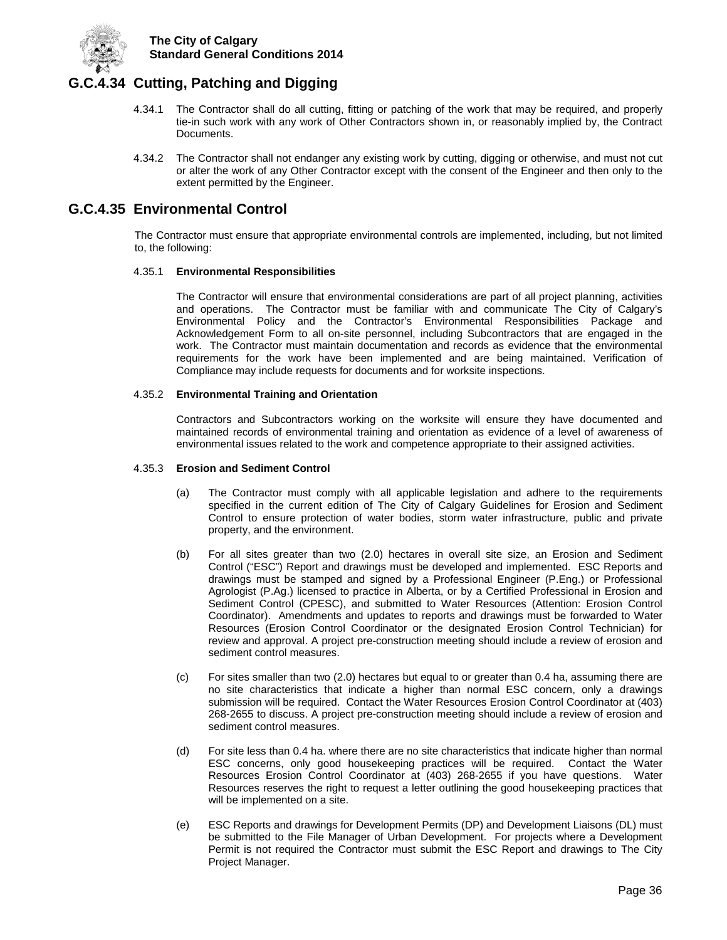

## <span id="page-40-0"></span>**G.C.4.34 Cutting, Patching and Digging**

- 4.34.1 The Contractor shall do all cutting, fitting or patching of the work that may be required, and properly tie-in such work with any work of Other Contractors shown in, or reasonably implied by, the Contract Documents.
- 4.34.2 The Contractor shall not endanger any existing work by cutting, digging or otherwise, and must not cut or alter the work of any Other Contractor except with the consent of the Engineer and then only to the extent permitted by the Engineer.

## <span id="page-40-1"></span>**G.C.4.35 Environmental Control**

The Contractor must ensure that appropriate environmental controls are implemented, including, but not limited to, the following:

#### 4.35.1 **Environmental Responsibilities**

The Contractor will ensure that environmental considerations are part of all project planning, activities and operations. The Contractor must be familiar with and communicate The City of Calgary's Environmental Policy and the Contractor's Environmental Responsibilities Package and Acknowledgement Form to all on-site personnel, including Subcontractors that are engaged in the work. The Contractor must maintain documentation and records as evidence that the environmental requirements for the work have been implemented and are being maintained. Verification of Compliance may include requests for documents and for worksite inspections.

#### 4.35.2 **Environmental Training and Orientation**

Contractors and Subcontractors working on the worksite will ensure they have documented and maintained records of environmental training and orientation as evidence of a level of awareness of environmental issues related to the work and competence appropriate to their assigned activities.

#### 4.35.3 **Erosion and Sediment Control**

- (a) The Contractor must comply with all applicable legislation and adhere to the requirements specified in the current edition of The City of Calgary Guidelines for Erosion and Sediment Control to ensure protection of water bodies, storm water infrastructure, public and private property, and the environment.
- (b) For all sites greater than two (2.0) hectares in overall site size, an Erosion and Sediment Control ("ESC") Report and drawings must be developed and implemented. ESC Reports and drawings must be stamped and signed by a Professional Engineer (P.Eng.) or Professional Agrologist (P.Ag.) licensed to practice in Alberta, or by a Certified Professional in Erosion and Sediment Control (CPESC), and submitted to Water Resources (Attention: Erosion Control Coordinator). Amendments and updates to reports and drawings must be forwarded to Water Resources (Erosion Control Coordinator or the designated Erosion Control Technician) for review and approval. A project pre-construction meeting should include a review of erosion and sediment control measures.
- (c) For sites smaller than two (2.0) hectares but equal to or greater than 0.4 ha, assuming there are no site characteristics that indicate a higher than normal ESC concern, only a drawings submission will be required. Contact the Water Resources Erosion Control Coordinator at (403) 268-2655 to discuss. A project pre-construction meeting should include a review of erosion and sediment control measures.
- (d) For site less than 0.4 ha. where there are no site characteristics that indicate higher than normal ESC concerns, only good housekeeping practices will be required. Contact the Water Resources Erosion Control Coordinator at (403) 268-2655 if you have questions. Water Resources reserves the right to request a letter outlining the good housekeeping practices that will be implemented on a site.
- (e) ESC Reports and drawings for Development Permits (DP) and Development Liaisons (DL) must be submitted to the File Manager of Urban Development. For projects where a Development Permit is not required the Contractor must submit the ESC Report and drawings to The City Project Manager.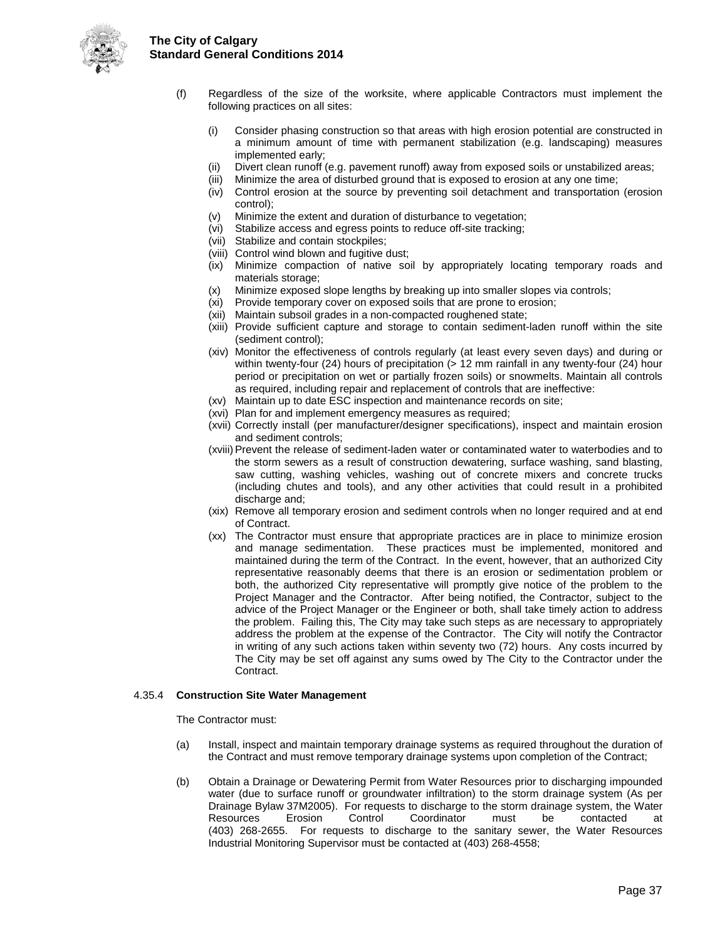



- (f) Regardless of the size of the worksite, where applicable Contractors must implement the following practices on all sites:
	- (i) Consider phasing construction so that areas with high erosion potential are constructed in a minimum amount of time with permanent stabilization (e.g. landscaping) measures implemented early;
	- (ii) Divert clean runoff (e.g. pavement runoff) away from exposed soils or unstabilized areas;
	- (iii) Minimize the area of disturbed ground that is exposed to erosion at any one time;
	- (iv) Control erosion at the source by preventing soil detachment and transportation (erosion control);
	- (v) Minimize the extent and duration of disturbance to vegetation;
	- (vi) Stabilize access and egress points to reduce off-site tracking;
	- (vii) Stabilize and contain stockpiles;
	- (viii) Control wind blown and fugitive dust;
	- (ix) Minimize compaction of native soil by appropriately locating temporary roads and materials storage;
	- (x) Minimize exposed slope lengths by breaking up into smaller slopes via controls;
	- (xi) Provide temporary cover on exposed soils that are prone to erosion;
	- (xii) Maintain subsoil grades in a non-compacted roughened state;
	- (xiii) Provide sufficient capture and storage to contain sediment-laden runoff within the site (sediment control);
	- (xiv) Monitor the effectiveness of controls regularly (at least every seven days) and during or within twenty-four (24) hours of precipitation (> 12 mm rainfall in any twenty-four (24) hour period or precipitation on wet or partially frozen soils) or snowmelts. Maintain all controls as required, including repair and replacement of controls that are ineffective:
	- (xv) Maintain up to date ESC inspection and maintenance records on site;
	- (xvi) Plan for and implement emergency measures as required;
	- (xvii) Correctly install (per manufacturer/designer specifications), inspect and maintain erosion and sediment controls;
	- (xviii)Prevent the release of sediment-laden water or contaminated water to waterbodies and to the storm sewers as a result of construction dewatering, surface washing, sand blasting, saw cutting, washing vehicles, washing out of concrete mixers and concrete trucks (including chutes and tools), and any other activities that could result in a prohibited discharge and:
	- (xix) Remove all temporary erosion and sediment controls when no longer required and at end of Contract.
	- (xx) The Contractor must ensure that appropriate practices are in place to minimize erosion and manage sedimentation. These practices must be implemented, monitored and maintained during the term of the Contract. In the event, however, that an authorized City representative reasonably deems that there is an erosion or sedimentation problem or both, the authorized City representative will promptly give notice of the problem to the Project Manager and the Contractor. After being notified, the Contractor, subject to the advice of the Project Manager or the Engineer or both, shall take timely action to address the problem. Failing this, The City may take such steps as are necessary to appropriately address the problem at the expense of the Contractor. The City will notify the Contractor in writing of any such actions taken within seventy two (72) hours. Any costs incurred by The City may be set off against any sums owed by The City to the Contractor under the Contract.

#### 4.35.4 **Construction Site Water Management**

The Contractor must:

- (a) Install, inspect and maintain temporary drainage systems as required throughout the duration of the Contract and must remove temporary drainage systems upon completion of the Contract;
- (b) Obtain a Drainage or Dewatering Permit from Water Resources prior to discharging impounded water (due to surface runoff or groundwater infiltration) to the storm drainage system (As per Drainage Bylaw 37M2005). For requests to discharge to the storm drainage system, the Water<br>Resources Erosion Control Coordinator must be contacted at Resources Erosion Control Coordinator must be contacted at (403) 268-2655. For requests to discharge to the sanitary sewer, the Water Resources Industrial Monitoring Supervisor must be contacted at (403) 268-4558;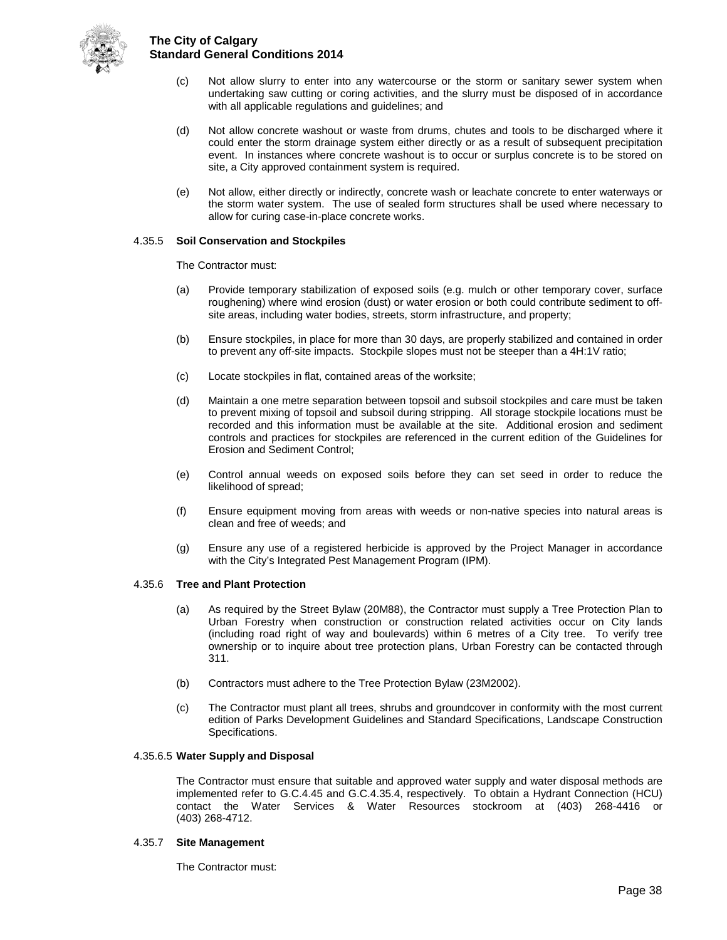

- (c) Not allow slurry to enter into any watercourse or the storm or sanitary sewer system when undertaking saw cutting or coring activities, and the slurry must be disposed of in accordance with all applicable regulations and guidelines; and
- (d) Not allow concrete washout or waste from drums, chutes and tools to be discharged where it could enter the storm drainage system either directly or as a result of subsequent precipitation event. In instances where concrete washout is to occur or surplus concrete is to be stored on site, a City approved containment system is required.
- (e) Not allow, either directly or indirectly, concrete wash or leachate concrete to enter waterways or the storm water system. The use of sealed form structures shall be used where necessary to allow for curing case-in-place concrete works.

#### 4.35.5 **Soil Conservation and Stockpiles**

The Contractor must:

- (a) Provide temporary stabilization of exposed soils (e.g. mulch or other temporary cover, surface roughening) where wind erosion (dust) or water erosion or both could contribute sediment to offsite areas, including water bodies, streets, storm infrastructure, and property;
- (b) Ensure stockpiles, in place for more than 30 days, are properly stabilized and contained in order to prevent any off-site impacts. Stockpile slopes must not be steeper than a 4H:1V ratio;
- (c) Locate stockpiles in flat, contained areas of the worksite;
- (d) Maintain a one metre separation between topsoil and subsoil stockpiles and care must be taken to prevent mixing of topsoil and subsoil during stripping. All storage stockpile locations must be recorded and this information must be available at the site. Additional erosion and sediment controls and practices for stockpiles are referenced in the current edition of the Guidelines for Erosion and Sediment Control;
- (e) Control annual weeds on exposed soils before they can set seed in order to reduce the likelihood of spread;
- (f) Ensure equipment moving from areas with weeds or non-native species into natural areas is clean and free of weeds; and
- (g) Ensure any use of a registered herbicide is approved by the Project Manager in accordance with the City's Integrated Pest Management Program (IPM).

#### 4.35.6 **Tree and Plant Protection**

- (a) As required by the Street Bylaw (20M88), the Contractor must supply a Tree Protection Plan to Urban Forestry when construction or construction related activities occur on City lands (including road right of way and boulevards) within 6 metres of a City tree. To verify tree ownership or to inquire about tree protection plans, Urban Forestry can be contacted through 311.
- (b) Contractors must adhere to the Tree Protection Bylaw (23M2002).
- (c) The Contractor must plant all trees, shrubs and groundcover in conformity with the most current edition of Parks Development Guidelines and Standard Specifications, Landscape Construction Specifications.

#### 4.35.6.5 **Water Supply and Disposal**

The Contractor must ensure that suitable and approved water supply and water disposal methods are implemented refer to G.C.4.45 and G.C.4.35.4, respectively. To obtain a Hydrant Connection (HCU) contact the Water Services & Water Resources stockroom at (403) 268-4416 or (403) 268-4712.

#### 4.35.7 **Site Management**

The Contractor must: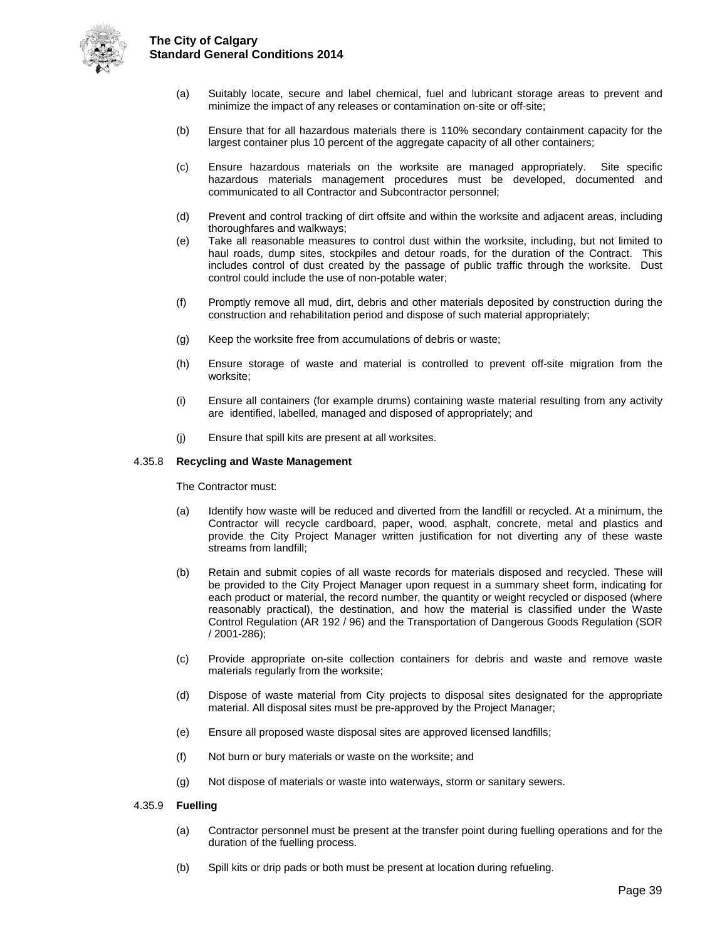

- (a) Suitably locate, secure and label chemical, fuel and lubricant storage areas to prevent and minimize the impact of any releases or contamination on-site or off-site;
- (b) Ensure that for all hazardous materials there is 110% secondary containment capacity for the largest container plus 10 percent of the aggregate capacity of all other containers;
- (c) Ensure hazardous materials on the worksite are managed appropriately. Site specific hazardous materials management procedures must be developed, documented and communicated to all Contractor and Subcontractor personnel;
- (d) Prevent and control tracking of dirt offsite and within the worksite and adjacent areas, including thoroughfares and walkways;
- (e) Take all reasonable measures to control dust within the worksite, including, but not limited to haul roads, dump sites, stockpiles and detour roads, for the duration of the Contract. This includes control of dust created by the passage of public traffic through the worksite. Dust control could include the use of non-potable water;
- (f) Promptly remove all mud, dirt, debris and other materials deposited by construction during the construction and rehabilitation period and dispose of such material appropriately;
- (g) Keep the worksite free from accumulations of debris or waste;
- (h) Ensure storage of waste and material is controlled to prevent off-site migration from the worksite;
- (i) Ensure all containers (for example drums) containing waste material resulting from any activity are identified, labelled, managed and disposed of appropriately; and
- (j) Ensure that spill kits are present at all worksites.

#### 4.35.8 **Recycling and Waste Management**

The Contractor must:

- (a) Identify how waste will be reduced and diverted from the landfill or recycled. At a minimum, the Contractor will recycle cardboard, paper, wood, asphalt, concrete, metal and plastics and provide the City Project Manager written justification for not diverting any of these waste streams from landfill;
- (b) Retain and submit copies of all waste records for materials disposed and recycled. These will be provided to the City Project Manager upon request in a summary sheet form, indicating for each product or material, the record number, the quantity or weight recycled or disposed (where reasonably practical), the destination, and how the material is classified under the Waste Control Regulation (AR 192 / 96) and the Transportation of Dangerous Goods Regulation (SOR / 2001-286);
- (c) Provide appropriate on-site collection containers for debris and waste and remove waste materials regularly from the worksite;
- (d) Dispose of waste material from City projects to disposal sites designated for the appropriate material. All disposal sites must be pre-approved by the Project Manager;
- (e) Ensure all proposed waste disposal sites are approved licensed landfills;
- (f) Not burn or bury materials or waste on the worksite; and
- (g) Not dispose of materials or waste into waterways, storm or sanitary sewers.

#### 4.35.9 **Fuelling**

- (a) Contractor personnel must be present at the transfer point during fuelling operations and for the duration of the fuelling process.
- (b) Spill kits or drip pads or both must be present at location during refueling.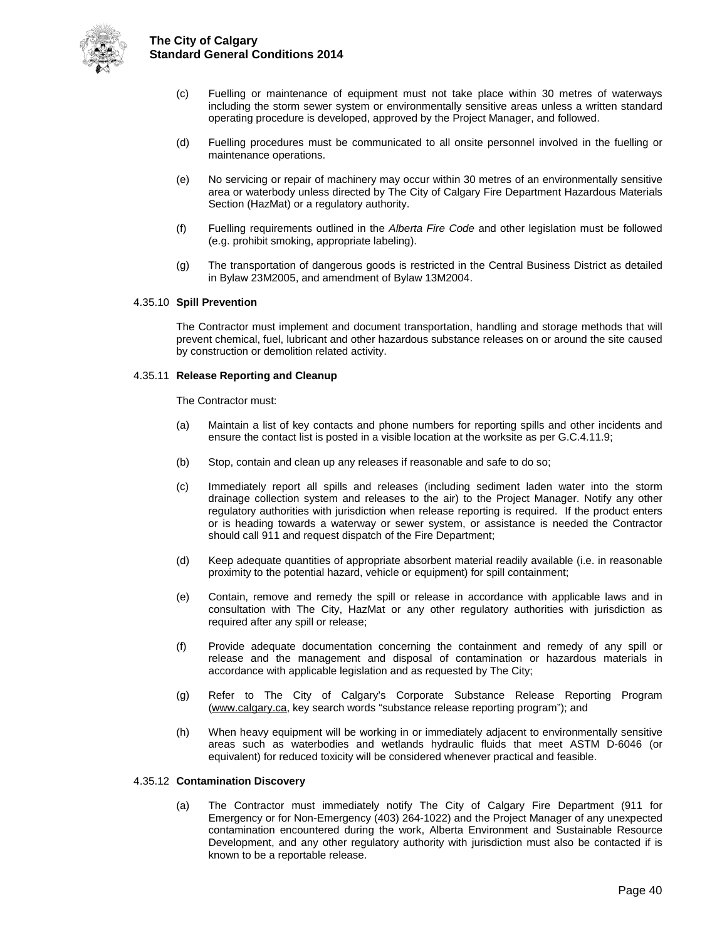

- (c) Fuelling or maintenance of equipment must not take place within 30 metres of waterways including the storm sewer system or environmentally sensitive areas unless a written standard operating procedure is developed, approved by the Project Manager, and followed.
- (d) Fuelling procedures must be communicated to all onsite personnel involved in the fuelling or maintenance operations.
- (e) No servicing or repair of machinery may occur within 30 metres of an environmentally sensitive area or waterbody unless directed by The City of Calgary Fire Department Hazardous Materials Section (HazMat) or a regulatory authority.
- (f) Fuelling requirements outlined in the *Alberta Fire Code* and other legislation must be followed (e.g. prohibit smoking, appropriate labeling).
- (g) The transportation of dangerous goods is restricted in the Central Business District as detailed in Bylaw 23M2005, and amendment of Bylaw 13M2004.

#### 4.35.10 **Spill Prevention**

The Contractor must implement and document transportation, handling and storage methods that will prevent chemical, fuel, lubricant and other hazardous substance releases on or around the site caused by construction or demolition related activity.

#### 4.35.11 **Release Reporting and Cleanup**

The Contractor must:

- (a) Maintain a list of key contacts and phone numbers for reporting spills and other incidents and ensure the contact list is posted in a visible location at the worksite as per G.C.4.11.9;
- (b) Stop, contain and clean up any releases if reasonable and safe to do so;
- (c) Immediately report all spills and releases (including sediment laden water into the storm drainage collection system and releases to the air) to the Project Manager. Notify any other regulatory authorities with jurisdiction when release reporting is required. If the product enters or is heading towards a waterway or sewer system, or assistance is needed the Contractor should call 911 and request dispatch of the Fire Department;
- (d) Keep adequate quantities of appropriate absorbent material readily available (i.e. in reasonable proximity to the potential hazard, vehicle or equipment) for spill containment;
- (e) Contain, remove and remedy the spill or release in accordance with applicable laws and in consultation with The City, HazMat or any other regulatory authorities with jurisdiction as required after any spill or release;
- (f) Provide adequate documentation concerning the containment and remedy of any spill or release and the management and disposal of contamination or hazardous materials in accordance with applicable legislation and as requested by The City;
- (g) Refer to The City of Calgary's Corporate Substance Release Reporting Program [\(www.calgary.ca,](http://www.calgary.ca/) key search words "substance release reporting program"); and
- (h) When heavy equipment will be working in or immediately adjacent to environmentally sensitive areas such as waterbodies and wetlands hydraulic fluids that meet ASTM D-6046 (or equivalent) for reduced toxicity will be considered whenever practical and feasible.

#### 4.35.12 **Contamination Discovery**

(a) The Contractor must immediately notify The City of Calgary Fire Department (911 for Emergency or for Non-Emergency (403) 264-1022) and the Project Manager of any unexpected contamination encountered during the work, Alberta Environment and Sustainable Resource Development, and any other regulatory authority with jurisdiction must also be contacted if is known to be a reportable release.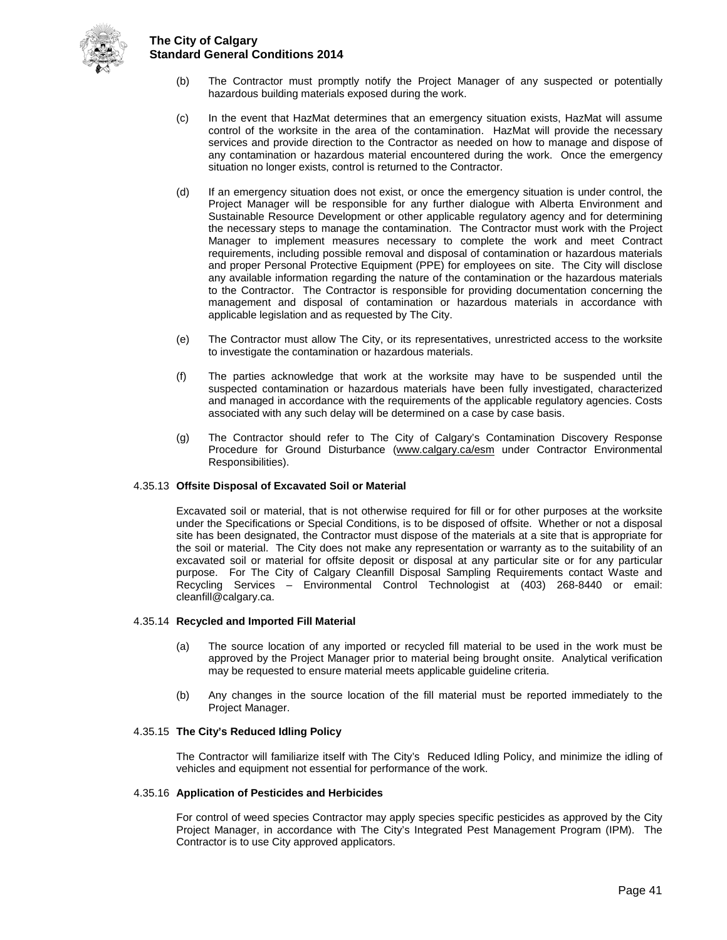

- (b) The Contractor must promptly notify the Project Manager of any suspected or potentially hazardous building materials exposed during the work.
- (c) In the event that HazMat determines that an emergency situation exists, HazMat will assume control of the worksite in the area of the contamination. HazMat will provide the necessary services and provide direction to the Contractor as needed on how to manage and dispose of any contamination or hazardous material encountered during the work. Once the emergency situation no longer exists, control is returned to the Contractor.
- (d) If an emergency situation does not exist, or once the emergency situation is under control, the Project Manager will be responsible for any further dialogue with Alberta Environment and Sustainable Resource Development or other applicable regulatory agency and for determining the necessary steps to manage the contamination. The Contractor must work with the Project Manager to implement measures necessary to complete the work and meet Contract requirements, including possible removal and disposal of contamination or hazardous materials and proper Personal Protective Equipment (PPE) for employees on site. The City will disclose any available information regarding the nature of the contamination or the hazardous materials to the Contractor. The Contractor is responsible for providing documentation concerning the management and disposal of contamination or hazardous materials in accordance with applicable legislation and as requested by The City.
- (e) The Contractor must allow The City, or its representatives, unrestricted access to the worksite to investigate the contamination or hazardous materials.
- (f) The parties acknowledge that work at the worksite may have to be suspended until the suspected contamination or hazardous materials have been fully investigated, characterized and managed in accordance with the requirements of the applicable regulatory agencies. Costs associated with any such delay will be determined on a case by case basis.
- (g) The Contractor should refer to The City of Calgary's Contamination Discovery Response Procedure for Ground Disturbance [\(www.calgary.ca/esm](http://www.calgary.ca/esm) under Contractor Environmental Responsibilities).

#### 4.35.13 **Offsite Disposal of Excavated Soil or Material**

Excavated soil or material, that is not otherwise required for fill or for other purposes at the worksite under the Specifications or Special Conditions, is to be disposed of offsite. Whether or not a disposal site has been designated, the Contractor must dispose of the materials at a site that is appropriate for the soil or material. The City does not make any representation or warranty as to the suitability of an excavated soil or material for offsite deposit or disposal at any particular site or for any particular purpose. For The City of Calgary Cleanfill Disposal Sampling Requirements contact Waste and Recycling Services – Environmental Control Technologist at (403) 268-8440 or email: cleanfill@calgary.ca.

#### 4.35.14 **Recycled and Imported Fill Material**

- (a) The source location of any imported or recycled fill material to be used in the work must be approved by the Project Manager prior to material being brought onsite. Analytical verification may be requested to ensure material meets applicable guideline criteria.
- (b) Any changes in the source location of the fill material must be reported immediately to the Project Manager.

#### 4.35.15 **The City's Reduced Idling Policy**

The Contractor will familiarize itself with The City's Reduced Idling Policy, and minimize the idling of vehicles and equipment not essential for performance of the work.

#### 4.35.16 **Application of Pesticides and Herbicides**

For control of weed species Contractor may apply species specific pesticides as approved by the City Project Manager, in accordance with The City's Integrated Pest Management Program (IPM). The Contractor is to use City approved applicators.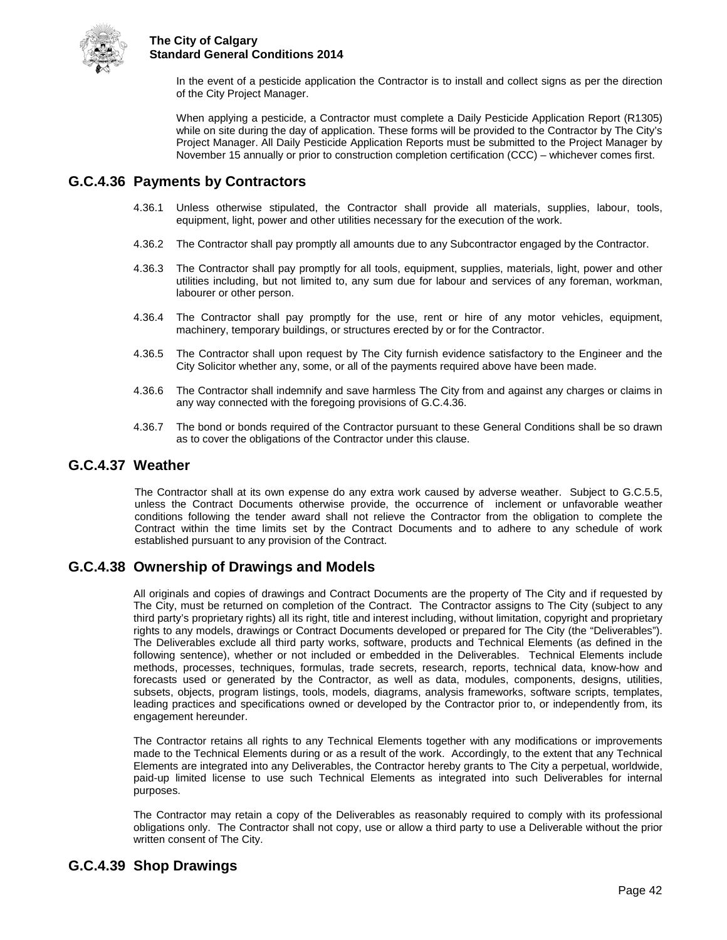

In the event of a pesticide application the Contractor is to install and collect signs as per the direction of the City Project Manager.

When applying a pesticide, a Contractor must complete a Daily Pesticide Application Report (R1305) while on site during the day of application. These forms will be provided to the Contractor by The City's Project Manager. All Daily Pesticide Application Reports must be submitted to the Project Manager by November 15 annually or prior to construction completion certification (CCC) – whichever comes first.

## <span id="page-46-0"></span>**G.C.4.36 Payments by Contractors**

- 4.36.1 Unless otherwise stipulated, the Contractor shall provide all materials, supplies, labour, tools, equipment, light, power and other utilities necessary for the execution of the work.
- 4.36.2 The Contractor shall pay promptly all amounts due to any Subcontractor engaged by the Contractor.
- 4.36.3 The Contractor shall pay promptly for all tools, equipment, supplies, materials, light, power and other utilities including, but not limited to, any sum due for labour and services of any foreman, workman, labourer or other person.
- 4.36.4 The Contractor shall pay promptly for the use, rent or hire of any motor vehicles, equipment, machinery, temporary buildings, or structures erected by or for the Contractor.
- 4.36.5 The Contractor shall upon request by The City furnish evidence satisfactory to the Engineer and the City Solicitor whether any, some, or all of the payments required above have been made.
- 4.36.6 The Contractor shall indemnify and save harmless The City from and against any charges or claims in any way connected with the foregoing provisions of G.C.4.36.
- 4.36.7 The bond or bonds required of the Contractor pursuant to these General Conditions shall be so drawn as to cover the obligations of the Contractor under this clause.

### <span id="page-46-1"></span>**G.C.4.37 Weather**

The Contractor shall at its own expense do any extra work caused by adverse weather. Subject to G.C.5.5, unless the Contract Documents otherwise provide, the occurrence of inclement or unfavorable weather conditions following the tender award shall not relieve the Contractor from the obligation to complete the Contract within the time limits set by the Contract Documents and to adhere to any schedule of work established pursuant to any provision of the Contract.

## <span id="page-46-2"></span>**G.C.4.38 Ownership of Drawings and Models**

All originals and copies of drawings and Contract Documents are the property of The City and if requested by The City, must be returned on completion of the Contract. The Contractor assigns to The City (subject to any third party's proprietary rights) all its right, title and interest including, without limitation, copyright and proprietary rights to any models, drawings or Contract Documents developed or prepared for The City (the "Deliverables"). The Deliverables exclude all third party works, software, products and Technical Elements (as defined in the following sentence), whether or not included or embedded in the Deliverables. Technical Elements include methods, processes, techniques, formulas, trade secrets, research, reports, technical data, know-how and forecasts used or generated by the Contractor, as well as data, modules, components, designs, utilities, subsets, objects, program listings, tools, models, diagrams, analysis frameworks, software scripts, templates, leading practices and specifications owned or developed by the Contractor prior to, or independently from, its engagement hereunder.

The Contractor retains all rights to any Technical Elements together with any modifications or improvements made to the Technical Elements during or as a result of the work. Accordingly, to the extent that any Technical Elements are integrated into any Deliverables, the Contractor hereby grants to The City a perpetual, worldwide, paid-up limited license to use such Technical Elements as integrated into such Deliverables for internal purposes.

The Contractor may retain a copy of the Deliverables as reasonably required to comply with its professional obligations only. The Contractor shall not copy, use or allow a third party to use a Deliverable without the prior written consent of The City.

## <span id="page-46-3"></span>**G.C.4.39 Shop Drawings**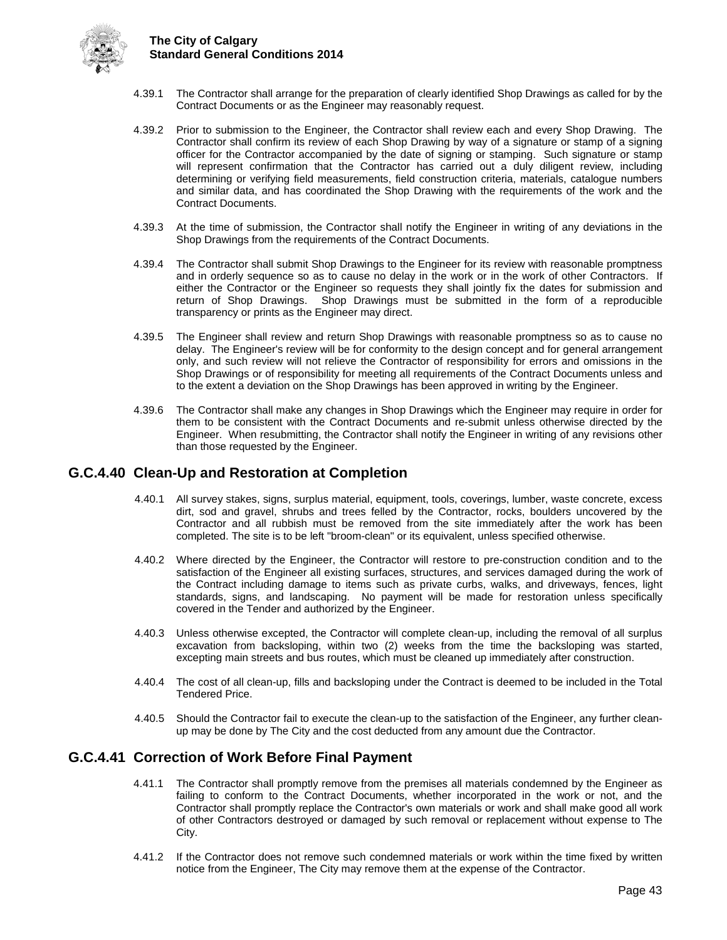

- 4.39.1 The Contractor shall arrange for the preparation of clearly identified Shop Drawings as called for by the Contract Documents or as the Engineer may reasonably request.
- 4.39.2 Prior to submission to the Engineer, the Contractor shall review each and every Shop Drawing. The Contractor shall confirm its review of each Shop Drawing by way of a signature or stamp of a signing officer for the Contractor accompanied by the date of signing or stamping. Such signature or stamp will represent confirmation that the Contractor has carried out a duly diligent review, including determining or verifying field measurements, field construction criteria, materials, catalogue numbers and similar data, and has coordinated the Shop Drawing with the requirements of the work and the Contract Documents.
- 4.39.3 At the time of submission, the Contractor shall notify the Engineer in writing of any deviations in the Shop Drawings from the requirements of the Contract Documents.
- 4.39.4 The Contractor shall submit Shop Drawings to the Engineer for its review with reasonable promptness and in orderly sequence so as to cause no delay in the work or in the work of other Contractors. If either the Contractor or the Engineer so requests they shall jointly fix the dates for submission and return of Shop Drawings. Shop Drawings must be submitted in the form of a reproducible transparency or prints as the Engineer may direct.
- 4.39.5 The Engineer shall review and return Shop Drawings with reasonable promptness so as to cause no delay. The Engineer's review will be for conformity to the design concept and for general arrangement only, and such review will not relieve the Contractor of responsibility for errors and omissions in the Shop Drawings or of responsibility for meeting all requirements of the Contract Documents unless and to the extent a deviation on the Shop Drawings has been approved in writing by the Engineer.
- 4.39.6 The Contractor shall make any changes in Shop Drawings which the Engineer may require in order for them to be consistent with the Contract Documents and re-submit unless otherwise directed by the Engineer. When resubmitting, the Contractor shall notify the Engineer in writing of any revisions other than those requested by the Engineer.

## <span id="page-47-0"></span>**G.C.4.40 Clean-Up and Restoration at Completion**

- 4.40.1 All survey stakes, signs, surplus material, equipment, tools, coverings, lumber, waste concrete, excess dirt, sod and gravel, shrubs and trees felled by the Contractor, rocks, boulders uncovered by the Contractor and all rubbish must be removed from the site immediately after the work has been completed. The site is to be left "broom-clean" or its equivalent, unless specified otherwise.
- 4.40.2 Where directed by the Engineer, the Contractor will restore to pre-construction condition and to the satisfaction of the Engineer all existing surfaces, structures, and services damaged during the work of the Contract including damage to items such as private curbs, walks, and driveways, fences, light standards, signs, and landscaping. No payment will be made for restoration unless specifically covered in the Tender and authorized by the Engineer.
- 4.40.3 Unless otherwise excepted, the Contractor will complete clean-up, including the removal of all surplus excavation from backsloping, within two (2) weeks from the time the backsloping was started, excepting main streets and bus routes, which must be cleaned up immediately after construction.
- 4.40.4 The cost of all clean-up, fills and backsloping under the Contract is deemed to be included in the Total Tendered Price.
- 4.40.5 Should the Contractor fail to execute the clean-up to the satisfaction of the Engineer, any further cleanup may be done by The City and the cost deducted from any amount due the Contractor.

## <span id="page-47-1"></span>**G.C.4.41 Correction of Work Before Final Payment**

- 4.41.1 The Contractor shall promptly remove from the premises all materials condemned by the Engineer as failing to conform to the Contract Documents, whether incorporated in the work or not, and the Contractor shall promptly replace the Contractor's own materials or work and shall make good all work of other Contractors destroyed or damaged by such removal or replacement without expense to The City.
- 4.41.2 If the Contractor does not remove such condemned materials or work within the time fixed by written notice from the Engineer, The City may remove them at the expense of the Contractor.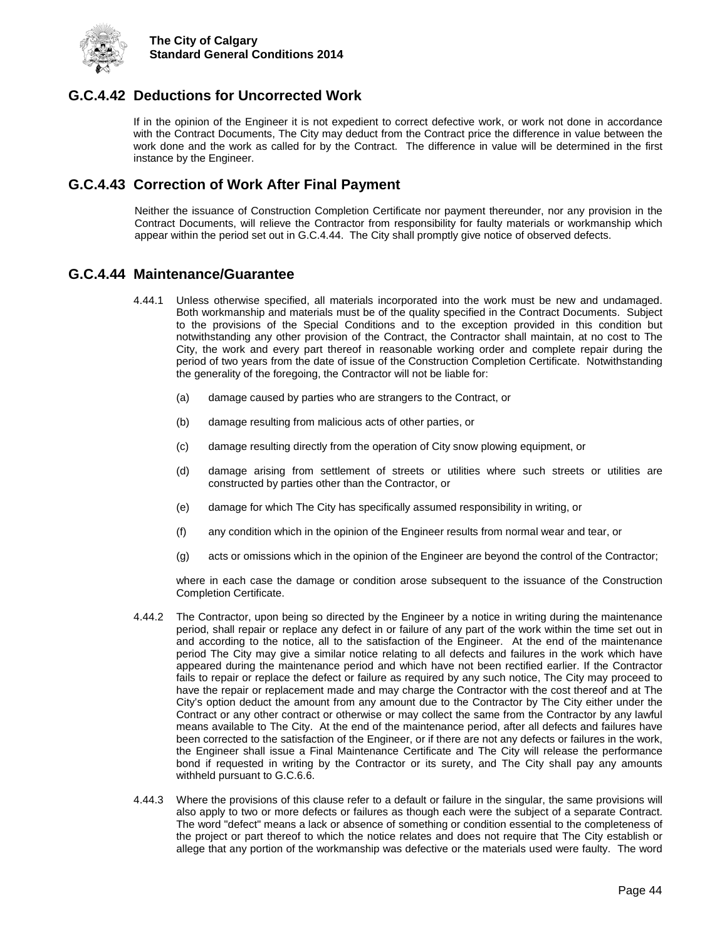

## <span id="page-48-0"></span>**G.C.4.42 Deductions for Uncorrected Work**

If in the opinion of the Engineer it is not expedient to correct defective work, or work not done in accordance with the Contract Documents, The City may deduct from the Contract price the difference in value between the work done and the work as called for by the Contract. The difference in value will be determined in the first instance by the Engineer.

## <span id="page-48-1"></span>**G.C.4.43 Correction of Work After Final Payment**

Neither the issuance of Construction Completion Certificate nor payment thereunder, nor any provision in the Contract Documents, will relieve the Contractor from responsibility for faulty materials or workmanship which appear within the period set out in G.C.4.44. The City shall promptly give notice of observed defects.

## <span id="page-48-2"></span>**G.C.4.44 Maintenance/Guarantee**

- 4.44.1 Unless otherwise specified, all materials incorporated into the work must be new and undamaged. Both workmanship and materials must be of the quality specified in the Contract Documents. Subject to the provisions of the Special Conditions and to the exception provided in this condition but notwithstanding any other provision of the Contract, the Contractor shall maintain, at no cost to The City, the work and every part thereof in reasonable working order and complete repair during the period of two years from the date of issue of the Construction Completion Certificate. Notwithstanding the generality of the foregoing, the Contractor will not be liable for:
	- (a) damage caused by parties who are strangers to the Contract, or
	- (b) damage resulting from malicious acts of other parties, or
	- (c) damage resulting directly from the operation of City snow plowing equipment, or
	- (d) damage arising from settlement of streets or utilities where such streets or utilities are constructed by parties other than the Contractor, or
	- (e) damage for which The City has specifically assumed responsibility in writing, or
	- (f) any condition which in the opinion of the Engineer results from normal wear and tear, or
	- (g) acts or omissions which in the opinion of the Engineer are beyond the control of the Contractor;

where in each case the damage or condition arose subsequent to the issuance of the Construction Completion Certificate.

- 4.44.2 The Contractor, upon being so directed by the Engineer by a notice in writing during the maintenance period, shall repair or replace any defect in or failure of any part of the work within the time set out in and according to the notice, all to the satisfaction of the Engineer. At the end of the maintenance period The City may give a similar notice relating to all defects and failures in the work which have appeared during the maintenance period and which have not been rectified earlier. If the Contractor fails to repair or replace the defect or failure as required by any such notice, The City may proceed to have the repair or replacement made and may charge the Contractor with the cost thereof and at The City's option deduct the amount from any amount due to the Contractor by The City either under the Contract or any other contract or otherwise or may collect the same from the Contractor by any lawful means available to The City. At the end of the maintenance period, after all defects and failures have been corrected to the satisfaction of the Engineer, or if there are not any defects or failures in the work, the Engineer shall issue a Final Maintenance Certificate and The City will release the performance bond if requested in writing by the Contractor or its surety, and The City shall pay any amounts withheld pursuant to G.C.6.6.
- 4.44.3 Where the provisions of this clause refer to a default or failure in the singular, the same provisions will also apply to two or more defects or failures as though each were the subject of a separate Contract. The word "defect" means a lack or absence of something or condition essential to the completeness of the project or part thereof to which the notice relates and does not require that The City establish or allege that any portion of the workmanship was defective or the materials used were faulty. The word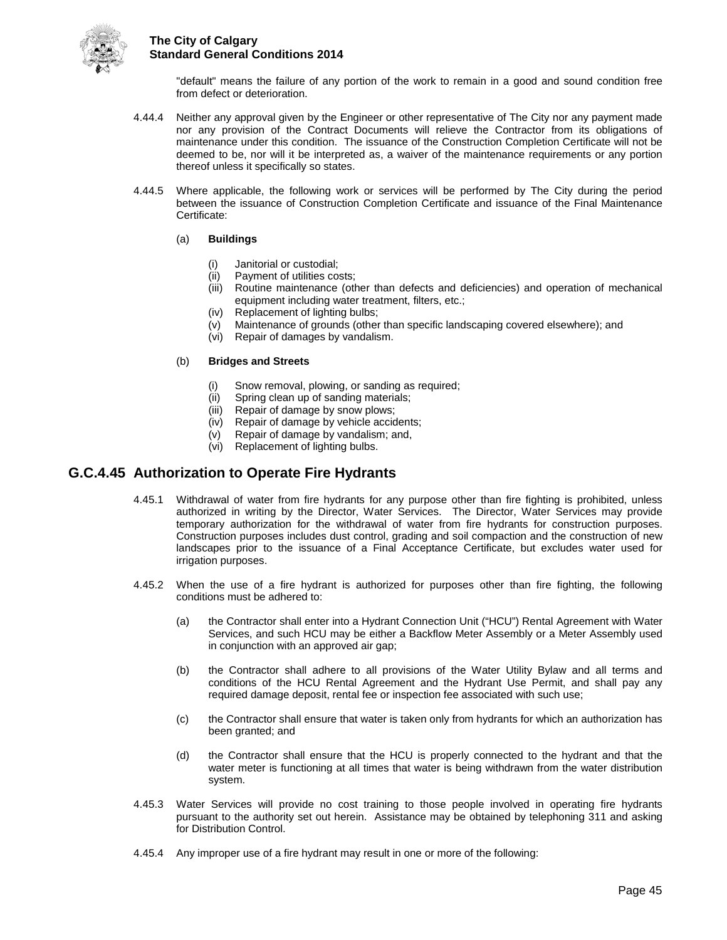

"default" means the failure of any portion of the work to remain in a good and sound condition free from defect or deterioration.

- 4.44.4 Neither any approval given by the Engineer or other representative of The City nor any payment made nor any provision of the Contract Documents will relieve the Contractor from its obligations of maintenance under this condition. The issuance of the Construction Completion Certificate will not be deemed to be, nor will it be interpreted as, a waiver of the maintenance requirements or any portion thereof unless it specifically so states.
- 4.44.5 Where applicable, the following work or services will be performed by The City during the period between the issuance of Construction Completion Certificate and issuance of the Final Maintenance Certificate:

#### (a) **Buildings**

- Janitorial or custodial;
- (ii) Payment of utilities costs;
- (iii) Routine maintenance (other than defects and deficiencies) and operation of mechanical equipment including water treatment, filters, etc.;
- (iv) Replacement of lighting bulbs;
- (v) Maintenance of grounds (other than specific landscaping covered elsewhere); and
- (vi) Repair of damages by vandalism.

#### (b) **Bridges and Streets**

- Snow removal, plowing, or sanding as required;
- (ii) Spring clean up of sanding materials;<br>(iii) Repair of damage by snow plows;
- Repair of damage by snow plows;
- (iv) Repair of damage by vehicle accidents;
- (v) Repair of damage by vandalism; and,
- (vi) Replacement of lighting bulbs.

## <span id="page-49-0"></span>**G.C.4.45 Authorization to Operate Fire Hydrants**

- 4.45.1 Withdrawal of water from fire hydrants for any purpose other than fire fighting is prohibited, unless authorized in writing by the Director, Water Services. The Director, Water Services may provide temporary authorization for the withdrawal of water from fire hydrants for construction purposes. Construction purposes includes dust control, grading and soil compaction and the construction of new landscapes prior to the issuance of a Final Acceptance Certificate, but excludes water used for irrigation purposes.
- 4.45.2 When the use of a fire hydrant is authorized for purposes other than fire fighting, the following conditions must be adhered to:
	- (a) the Contractor shall enter into a Hydrant Connection Unit ("HCU") Rental Agreement with Water Services, and such HCU may be either a Backflow Meter Assembly or a Meter Assembly used in conjunction with an approved air gap;
	- (b) the Contractor shall adhere to all provisions of the Water Utility Bylaw and all terms and conditions of the HCU Rental Agreement and the Hydrant Use Permit, and shall pay any required damage deposit, rental fee or inspection fee associated with such use;
	- (c) the Contractor shall ensure that water is taken only from hydrants for which an authorization has been granted; and
	- (d) the Contractor shall ensure that the HCU is properly connected to the hydrant and that the water meter is functioning at all times that water is being withdrawn from the water distribution system.
- 4.45.3 Water Services will provide no cost training to those people involved in operating fire hydrants pursuant to the authority set out herein. Assistance may be obtained by telephoning 311 and asking for Distribution Control.
- 4.45.4 Any improper use of a fire hydrant may result in one or more of the following: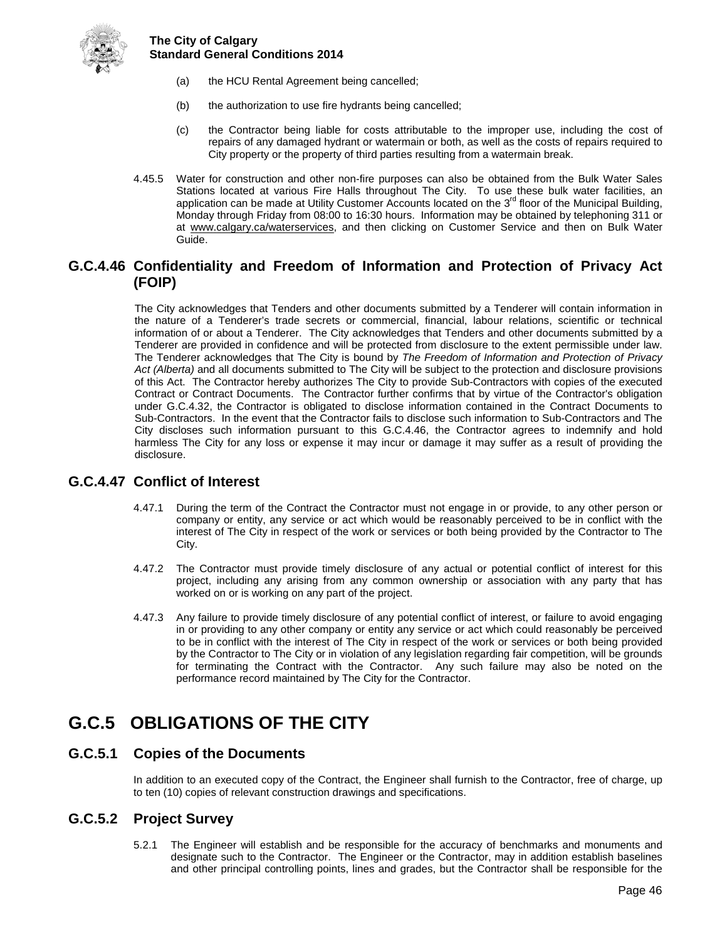

- (a) the HCU Rental Agreement being cancelled;
- (b) the authorization to use fire hydrants being cancelled;
- (c) the Contractor being liable for costs attributable to the improper use, including the cost of repairs of any damaged hydrant or watermain or both, as well as the costs of repairs required to City property or the property of third parties resulting from a watermain break.
- 4.45.5 Water for construction and other non-fire purposes can also be obtained from the Bulk Water Sales Stations located at various Fire Halls throughout The City. To use these bulk water facilities, an application can be made at Utility Customer Accounts located on the 3<sup>rd</sup> floor of the Municipal Building, Monday through Friday from 08:00 to 16:30 hours. Information may be obtained by telephoning 311 or at [www.calgary.ca/waterservices,](http://www.calgary.ca/waterservices) and then clicking on Customer Service and then on Bulk Water Guide.

## <span id="page-50-0"></span>**G.C.4.46 Confidentiality and Freedom of Information and Protection of Privacy Act (FOIP)**

The City acknowledges that Tenders and other documents submitted by a Tenderer will contain information in the nature of a Tenderer's trade secrets or commercial, financial, labour relations, scientific or technical information of or about a Tenderer. The City acknowledges that Tenders and other documents submitted by a Tenderer are provided in confidence and will be protected from disclosure to the extent permissible under law. The Tenderer acknowledges that The City is bound by *The Freedom of Information and Protection of Privacy Act (Alberta)* and all documents submitted to The City will be subject to the protection and disclosure provisions of this Act. The Contractor hereby authorizes The City to provide Sub-Contractors with copies of the executed Contract or Contract Documents. The Contractor further confirms that by virtue of the Contractor's obligation under G.C.4.32, the Contractor is obligated to disclose information contained in the Contract Documents to Sub-Contractors. In the event that the Contractor fails to disclose such information to Sub-Contractors and The City discloses such information pursuant to this G.C.4.46, the Contractor agrees to indemnify and hold harmless The City for any loss or expense it may incur or damage it may suffer as a result of providing the disclosure.

## <span id="page-50-1"></span>**G.C.4.47 Conflict of Interest**

- 4.47.1 During the term of the Contract the Contractor must not engage in or provide, to any other person or company or entity, any service or act which would be reasonably perceived to be in conflict with the interest of The City in respect of the work or services or both being provided by the Contractor to The City.
- 4.47.2 The Contractor must provide timely disclosure of any actual or potential conflict of interest for this project, including any arising from any common ownership or association with any party that has worked on or is working on any part of the project.
- 4.47.3 Any failure to provide timely disclosure of any potential conflict of interest, or failure to avoid engaging in or providing to any other company or entity any service or act which could reasonably be perceived to be in conflict with the interest of The City in respect of the work or services or both being provided by the Contractor to The City or in violation of any legislation regarding fair competition, will be grounds for terminating the Contract with the Contractor. Any such failure may also be noted on the performance record maintained by The City for the Contractor.

## <span id="page-50-2"></span>**G.C.5 OBLIGATIONS OF THE CITY**

## <span id="page-50-3"></span>**G.C.5.1 Copies of the Documents**

In addition to an executed copy of the Contract, the Engineer shall furnish to the Contractor, free of charge, up to ten (10) copies of relevant construction drawings and specifications.

## <span id="page-50-4"></span>**G.C.5.2 Project Survey**

5.2.1 The Engineer will establish and be responsible for the accuracy of benchmarks and monuments and designate such to the Contractor. The Engineer or the Contractor, may in addition establish baselines and other principal controlling points, lines and grades, but the Contractor shall be responsible for the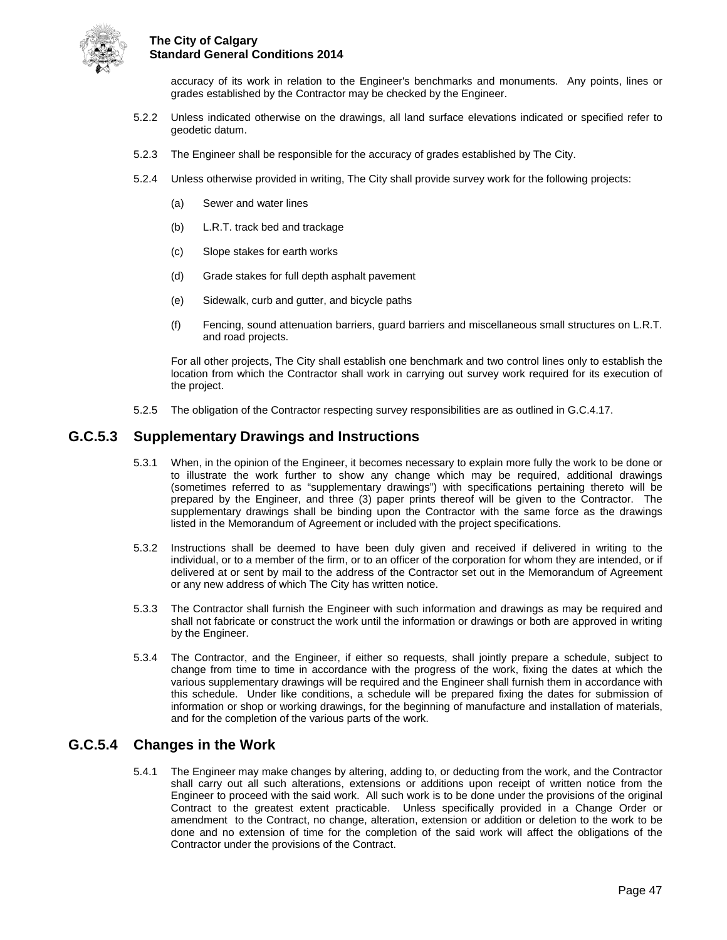

accuracy of its work in relation to the Engineer's benchmarks and monuments. Any points, lines or grades established by the Contractor may be checked by the Engineer.

- 5.2.2 Unless indicated otherwise on the drawings, all land surface elevations indicated or specified refer to geodetic datum.
- 5.2.3 The Engineer shall be responsible for the accuracy of grades established by The City.
- 5.2.4 Unless otherwise provided in writing, The City shall provide survey work for the following projects:
	- (a) Sewer and water lines
	- (b) L.R.T. track bed and trackage
	- (c) Slope stakes for earth works
	- (d) Grade stakes for full depth asphalt pavement
	- (e) Sidewalk, curb and gutter, and bicycle paths
	- (f) Fencing, sound attenuation barriers, guard barriers and miscellaneous small structures on L.R.T. and road projects.

For all other projects, The City shall establish one benchmark and two control lines only to establish the location from which the Contractor shall work in carrying out survey work required for its execution of the project.

5.2.5 The obligation of the Contractor respecting survey responsibilities are as outlined in G.C.4.17.

## <span id="page-51-0"></span>**G.C.5.3 Supplementary Drawings and Instructions**

- 5.3.1 When, in the opinion of the Engineer, it becomes necessary to explain more fully the work to be done or to illustrate the work further to show any change which may be required, additional drawings (sometimes referred to as "supplementary drawings") with specifications pertaining thereto will be prepared by the Engineer, and three (3) paper prints thereof will be given to the Contractor. The supplementary drawings shall be binding upon the Contractor with the same force as the drawings listed in the Memorandum of Agreement or included with the project specifications.
- 5.3.2 Instructions shall be deemed to have been duly given and received if delivered in writing to the individual, or to a member of the firm, or to an officer of the corporation for whom they are intended, or if delivered at or sent by mail to the address of the Contractor set out in the Memorandum of Agreement or any new address of which The City has written notice.
- 5.3.3 The Contractor shall furnish the Engineer with such information and drawings as may be required and shall not fabricate or construct the work until the information or drawings or both are approved in writing by the Engineer.
- 5.3.4 The Contractor, and the Engineer, if either so requests, shall jointly prepare a schedule, subject to change from time to time in accordance with the progress of the work, fixing the dates at which the various supplementary drawings will be required and the Engineer shall furnish them in accordance with this schedule. Under like conditions, a schedule will be prepared fixing the dates for submission of information or shop or working drawings, for the beginning of manufacture and installation of materials, and for the completion of the various parts of the work.

## <span id="page-51-1"></span>**G.C.5.4 Changes in the Work**

5.4.1 The Engineer may make changes by altering, adding to, or deducting from the work, and the Contractor shall carry out all such alterations, extensions or additions upon receipt of written notice from the Engineer to proceed with the said work. All such work is to be done under the provisions of the original Contract to the greatest extent practicable. Unless specifically provided in a Change Order or amendment to the Contract, no change, alteration, extension or addition or deletion to the work to be done and no extension of time for the completion of the said work will affect the obligations of the Contractor under the provisions of the Contract.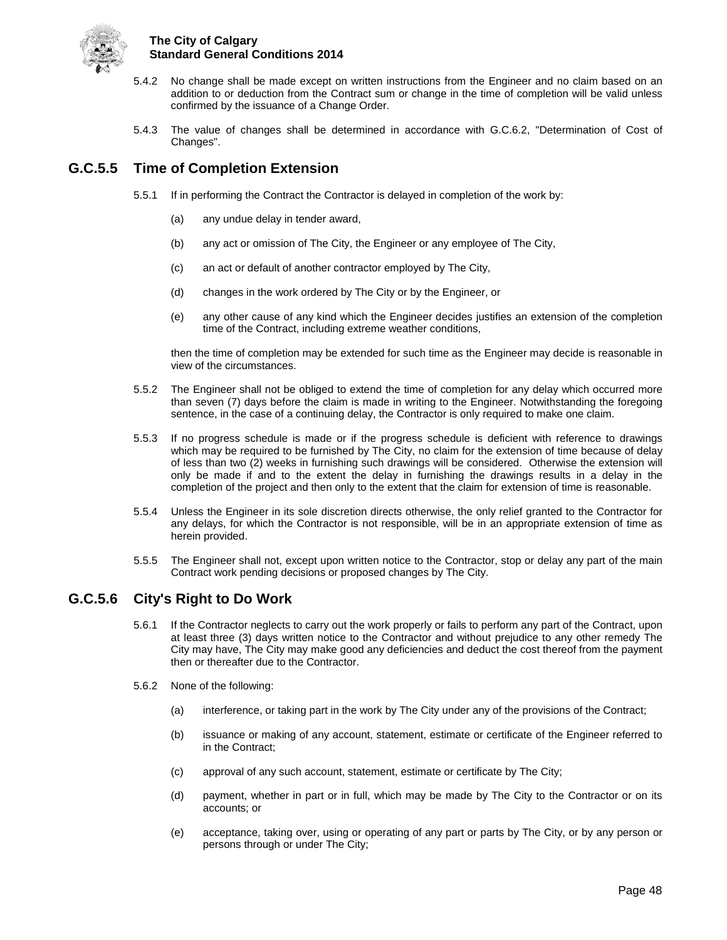

- 5.4.2 No change shall be made except on written instructions from the Engineer and no claim based on an addition to or deduction from the Contract sum or change in the time of completion will be valid unless confirmed by the issuance of a Change Order.
- 5.4.3 The value of changes shall be determined in accordance with G.C.6.2, "Determination of Cost of Changes".

## <span id="page-52-0"></span>**G.C.5.5 Time of Completion Extension**

- 5.5.1 If in performing the Contract the Contractor is delayed in completion of the work by:
	- (a) any undue delay in tender award,
	- (b) any act or omission of The City, the Engineer or any employee of The City,
	- (c) an act or default of another contractor employed by The City,
	- (d) changes in the work ordered by The City or by the Engineer, or
	- (e) any other cause of any kind which the Engineer decides justifies an extension of the completion time of the Contract, including extreme weather conditions,

then the time of completion may be extended for such time as the Engineer may decide is reasonable in view of the circumstances.

- 5.5.2 The Engineer shall not be obliged to extend the time of completion for any delay which occurred more than seven (7) days before the claim is made in writing to the Engineer. Notwithstanding the foregoing sentence, in the case of a continuing delay, the Contractor is only required to make one claim.
- 5.5.3 If no progress schedule is made or if the progress schedule is deficient with reference to drawings which may be required to be furnished by The City, no claim for the extension of time because of delay of less than two (2) weeks in furnishing such drawings will be considered. Otherwise the extension will only be made if and to the extent the delay in furnishing the drawings results in a delay in the completion of the project and then only to the extent that the claim for extension of time is reasonable.
- 5.5.4 Unless the Engineer in its sole discretion directs otherwise, the only relief granted to the Contractor for any delays, for which the Contractor is not responsible, will be in an appropriate extension of time as herein provided.
- 5.5.5 The Engineer shall not, except upon written notice to the Contractor, stop or delay any part of the main Contract work pending decisions or proposed changes by The City.

## <span id="page-52-1"></span>**G.C.5.6 City's Right to Do Work**

- 5.6.1 If the Contractor neglects to carry out the work properly or fails to perform any part of the Contract, upon at least three (3) days written notice to the Contractor and without prejudice to any other remedy The City may have, The City may make good any deficiencies and deduct the cost thereof from the payment then or thereafter due to the Contractor.
- 5.6.2 None of the following:
	- (a) interference, or taking part in the work by The City under any of the provisions of the Contract;
	- (b) issuance or making of any account, statement, estimate or certificate of the Engineer referred to in the Contract;
	- (c) approval of any such account, statement, estimate or certificate by The City;
	- (d) payment, whether in part or in full, which may be made by The City to the Contractor or on its accounts; or
	- (e) acceptance, taking over, using or operating of any part or parts by The City, or by any person or persons through or under The City;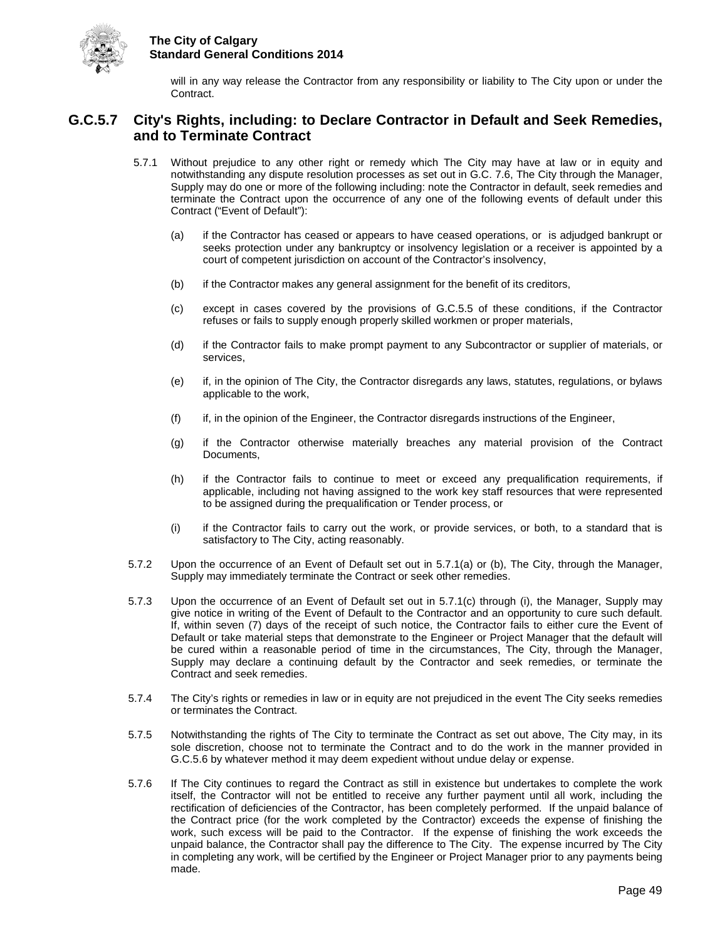

will in any way release the Contractor from any responsibility or liability to The City upon or under the Contract.

## <span id="page-53-0"></span>**G.C.5.7 City's Rights, including: to Declare Contractor in Default and Seek Remedies, and to Terminate Contract**

- 5.7.1 Without prejudice to any other right or remedy which The City may have at law or in equity and notwithstanding any dispute resolution processes as set out in G.C. 7.6, The City through the Manager, Supply may do one or more of the following including: note the Contractor in default, seek remedies and terminate the Contract upon the occurrence of any one of the following events of default under this Contract ("Event of Default"):
	- (a) if the Contractor has ceased or appears to have ceased operations, or is adjudged bankrupt or seeks protection under any bankruptcy or insolvency legislation or a receiver is appointed by a court of competent jurisdiction on account of the Contractor's insolvency,
	- (b) if the Contractor makes any general assignment for the benefit of its creditors,
	- (c) except in cases covered by the provisions of G.C.5.5 of these conditions, if the Contractor refuses or fails to supply enough properly skilled workmen or proper materials,
	- (d) if the Contractor fails to make prompt payment to any Subcontractor or supplier of materials, or services,
	- (e) if, in the opinion of The City, the Contractor disregards any laws, statutes, regulations, or bylaws applicable to the work,
	- (f) if, in the opinion of the Engineer, the Contractor disregards instructions of the Engineer,
	- (g) if the Contractor otherwise materially breaches any material provision of the Contract Documents,
	- (h) if the Contractor fails to continue to meet or exceed any prequalification requirements, if applicable, including not having assigned to the work key staff resources that were represented to be assigned during the prequalification or Tender process, or
	- (i) if the Contractor fails to carry out the work, or provide services, or both, to a standard that is satisfactory to The City, acting reasonably.
- 5.7.2 Upon the occurrence of an Event of Default set out in 5.7.1(a) or (b), The City, through the Manager, Supply may immediately terminate the Contract or seek other remedies.
- 5.7.3 Upon the occurrence of an Event of Default set out in 5.7.1(c) through (i), the Manager, Supply may give notice in writing of the Event of Default to the Contractor and an opportunity to cure such default. If, within seven (7) days of the receipt of such notice, the Contractor fails to either cure the Event of Default or take material steps that demonstrate to the Engineer or Project Manager that the default will be cured within a reasonable period of time in the circumstances, The City, through the Manager, Supply may declare a continuing default by the Contractor and seek remedies, or terminate the Contract and seek remedies.
- 5.7.4 The City's rights or remedies in law or in equity are not prejudiced in the event The City seeks remedies or terminates the Contract.
- 5.7.5 Notwithstanding the rights of The City to terminate the Contract as set out above, The City may, in its sole discretion, choose not to terminate the Contract and to do the work in the manner provided in G.C.5.6 by whatever method it may deem expedient without undue delay or expense.
- 5.7.6 If The City continues to regard the Contract as still in existence but undertakes to complete the work itself, the Contractor will not be entitled to receive any further payment until all work, including the rectification of deficiencies of the Contractor, has been completely performed. If the unpaid balance of the Contract price (for the work completed by the Contractor) exceeds the expense of finishing the work, such excess will be paid to the Contractor. If the expense of finishing the work exceeds the unpaid balance, the Contractor shall pay the difference to The City. The expense incurred by The City in completing any work, will be certified by the Engineer or Project Manager prior to any payments being made.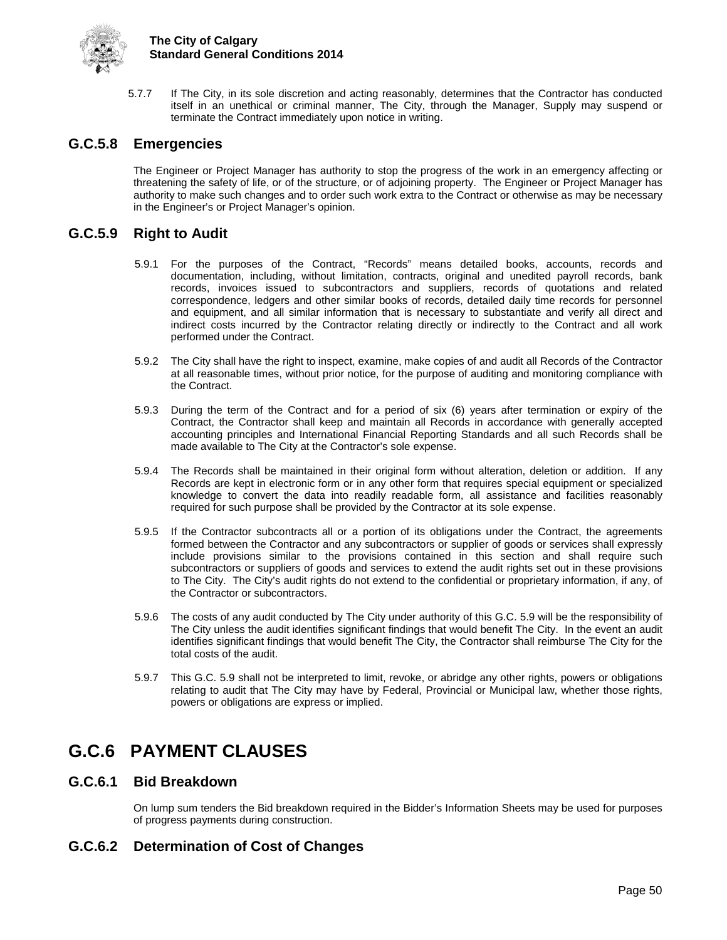

5.7.7 If The City, in its sole discretion and acting reasonably, determines that the Contractor has conducted itself in an unethical or criminal manner, The City, through the Manager, Supply may suspend or terminate the Contract immediately upon notice in writing.

## <span id="page-54-0"></span>**G.C.5.8 Emergencies**

The Engineer or Project Manager has authority to stop the progress of the work in an emergency affecting or threatening the safety of life, or of the structure, or of adjoining property. The Engineer or Project Manager has authority to make such changes and to order such work extra to the Contract or otherwise as may be necessary in the Engineer's or Project Manager's opinion.

### <span id="page-54-1"></span>**G.C.5.9 Right to Audit**

- 5.9.1 For the purposes of the Contract, "Records" means detailed books, accounts, records and documentation, including, without limitation, contracts, original and unedited payroll records, bank records, invoices issued to subcontractors and suppliers, records of quotations and related correspondence, ledgers and other similar books of records, detailed daily time records for personnel and equipment, and all similar information that is necessary to substantiate and verify all direct and indirect costs incurred by the Contractor relating directly or indirectly to the Contract and all work performed under the Contract.
- 5.9.2 The City shall have the right to inspect, examine, make copies of and audit all Records of the Contractor at all reasonable times, without prior notice, for the purpose of auditing and monitoring compliance with the Contract.
- 5.9.3 During the term of the Contract and for a period of six (6) years after termination or expiry of the Contract, the Contractor shall keep and maintain all Records in accordance with generally accepted accounting principles and International Financial Reporting Standards and all such Records shall be made available to The City at the Contractor's sole expense.
- 5.9.4 The Records shall be maintained in their original form without alteration, deletion or addition. If any Records are kept in electronic form or in any other form that requires special equipment or specialized knowledge to convert the data into readily readable form, all assistance and facilities reasonably required for such purpose shall be provided by the Contractor at its sole expense.
- 5.9.5 If the Contractor subcontracts all or a portion of its obligations under the Contract, the agreements formed between the Contractor and any subcontractors or supplier of goods or services shall expressly include provisions similar to the provisions contained in this section and shall require such subcontractors or suppliers of goods and services to extend the audit rights set out in these provisions to The City. The City's audit rights do not extend to the confidential or proprietary information, if any, of the Contractor or subcontractors.
- 5.9.6 The costs of any audit conducted by The City under authority of this G.C. 5.9 will be the responsibility of The City unless the audit identifies significant findings that would benefit The City. In the event an audit identifies significant findings that would benefit The City, the Contractor shall reimburse The City for the total costs of the audit.
- 5.9.7 This G.C. 5.9 shall not be interpreted to limit, revoke, or abridge any other rights, powers or obligations relating to audit that The City may have by Federal, Provincial or Municipal law, whether those rights, powers or obligations are express or implied.

## <span id="page-54-2"></span>**G.C.6 PAYMENT CLAUSES**

#### <span id="page-54-3"></span>**G.C.6.1 Bid Breakdown**

On lump sum tenders the Bid breakdown required in the Bidder's Information Sheets may be used for purposes of progress payments during construction.

## <span id="page-54-4"></span>**G.C.6.2 Determination of Cost of Changes**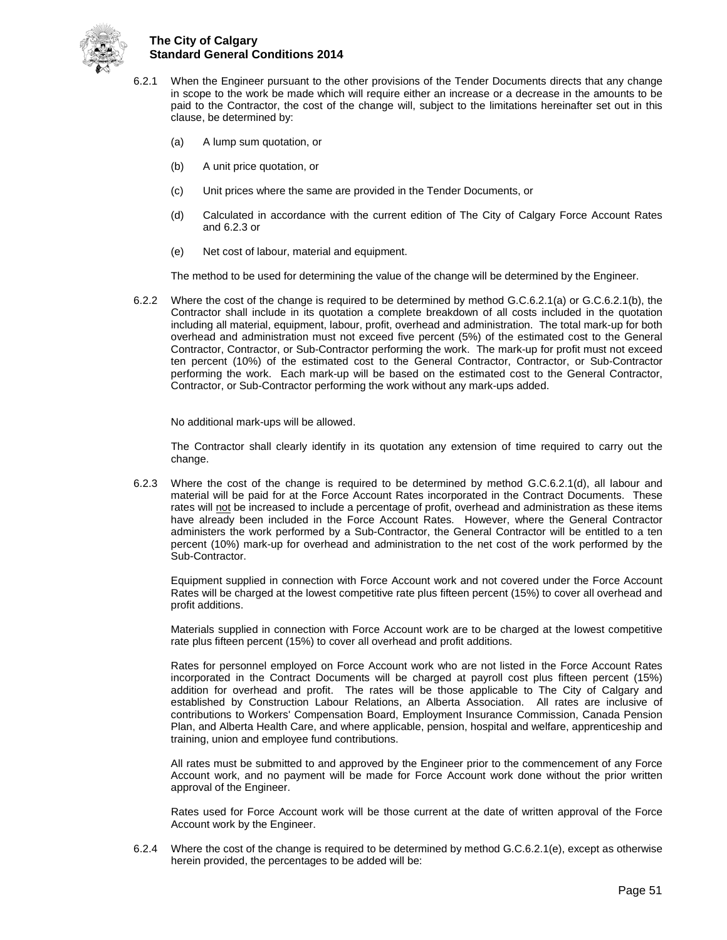

- 6.2.1 When the Engineer pursuant to the other provisions of the Tender Documents directs that any change in scope to the work be made which will require either an increase or a decrease in the amounts to be paid to the Contractor, the cost of the change will, subject to the limitations hereinafter set out in this clause, be determined by:
	- (a) A lump sum quotation, or
	- (b) A unit price quotation, or
	- (c) Unit prices where the same are provided in the Tender Documents, or
	- (d) Calculated in accordance with the current edition of The City of Calgary Force Account Rates and 6.2.3 or
	- (e) Net cost of labour, material and equipment.

The method to be used for determining the value of the change will be determined by the Engineer.

6.2.2 Where the cost of the change is required to be determined by method G.C.6.2.1(a) or G.C.6.2.1(b), the Contractor shall include in its quotation a complete breakdown of all costs included in the quotation including all material, equipment, labour, profit, overhead and administration. The total mark-up for both overhead and administration must not exceed five percent (5%) of the estimated cost to the General Contractor, Contractor, or Sub-Contractor performing the work. The mark-up for profit must not exceed ten percent (10%) of the estimated cost to the General Contractor, Contractor, or Sub-Contractor performing the work. Each mark-up will be based on the estimated cost to the General Contractor, Contractor, or Sub-Contractor performing the work without any mark-ups added.

No additional mark-ups will be allowed.

The Contractor shall clearly identify in its quotation any extension of time required to carry out the change.

6.2.3 Where the cost of the change is required to be determined by method G.C.6.2.1(d), all labour and material will be paid for at the Force Account Rates incorporated in the Contract Documents. These rates will not be increased to include a percentage of profit, overhead and administration as these items have already been included in the Force Account Rates. However, where the General Contractor administers the work performed by a Sub-Contractor, the General Contractor will be entitled to a ten percent (10%) mark-up for overhead and administration to the net cost of the work performed by the Sub-Contractor.

Equipment supplied in connection with Force Account work and not covered under the Force Account Rates will be charged at the lowest competitive rate plus fifteen percent (15%) to cover all overhead and profit additions.

Materials supplied in connection with Force Account work are to be charged at the lowest competitive rate plus fifteen percent (15%) to cover all overhead and profit additions.

Rates for personnel employed on Force Account work who are not listed in the Force Account Rates incorporated in the Contract Documents will be charged at payroll cost plus fifteen percent (15%) addition for overhead and profit. The rates will be those applicable to The City of Calgary and established by Construction Labour Relations, an Alberta Association. All rates are inclusive of contributions to Workers' Compensation Board, Employment Insurance Commission, Canada Pension Plan, and Alberta Health Care, and where applicable, pension, hospital and welfare, apprenticeship and training, union and employee fund contributions.

All rates must be submitted to and approved by the Engineer prior to the commencement of any Force Account work, and no payment will be made for Force Account work done without the prior written approval of the Engineer.

Rates used for Force Account work will be those current at the date of written approval of the Force Account work by the Engineer.

6.2.4 Where the cost of the change is required to be determined by method G.C.6.2.1(e), except as otherwise herein provided, the percentages to be added will be: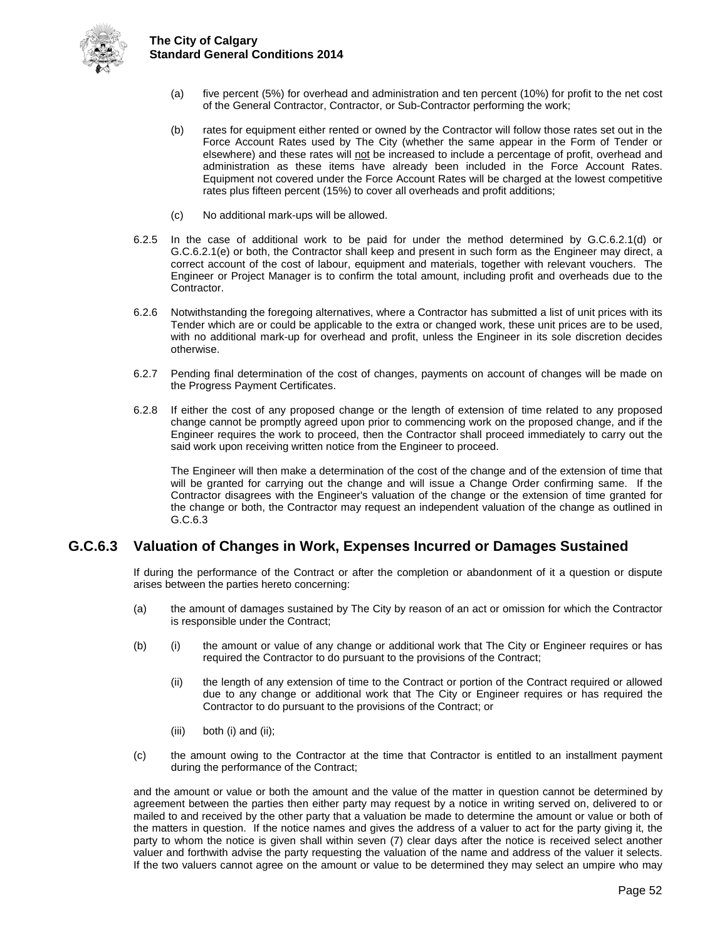

- (a) five percent (5%) for overhead and administration and ten percent (10%) for profit to the net cost of the General Contractor, Contractor, or Sub-Contractor performing the work;
- (b) rates for equipment either rented or owned by the Contractor will follow those rates set out in the Force Account Rates used by The City (whether the same appear in the Form of Tender or elsewhere) and these rates will not be increased to include a percentage of profit, overhead and administration as these items have already been included in the Force Account Rates. Equipment not covered under the Force Account Rates will be charged at the lowest competitive rates plus fifteen percent (15%) to cover all overheads and profit additions;
- (c) No additional mark-ups will be allowed.
- 6.2.5 In the case of additional work to be paid for under the method determined by G.C.6.2.1(d) or G.C.6.2.1(e) or both, the Contractor shall keep and present in such form as the Engineer may direct, a correct account of the cost of labour, equipment and materials, together with relevant vouchers. The Engineer or Project Manager is to confirm the total amount, including profit and overheads due to the Contractor.
- 6.2.6 Notwithstanding the foregoing alternatives, where a Contractor has submitted a list of unit prices with its Tender which are or could be applicable to the extra or changed work, these unit prices are to be used, with no additional mark-up for overhead and profit, unless the Engineer in its sole discretion decides otherwise.
- 6.2.7 Pending final determination of the cost of changes, payments on account of changes will be made on the Progress Payment Certificates.
- 6.2.8 If either the cost of any proposed change or the length of extension of time related to any proposed change cannot be promptly agreed upon prior to commencing work on the proposed change, and if the Engineer requires the work to proceed, then the Contractor shall proceed immediately to carry out the said work upon receiving written notice from the Engineer to proceed.

The Engineer will then make a determination of the cost of the change and of the extension of time that will be granted for carrying out the change and will issue a Change Order confirming same. If the Contractor disagrees with the Engineer's valuation of the change or the extension of time granted for the change or both, the Contractor may request an independent valuation of the change as outlined in G.C.6.3

## <span id="page-56-0"></span>**G.C.6.3 Valuation of Changes in Work, Expenses Incurred or Damages Sustained**

If during the performance of the Contract or after the completion or abandonment of it a question or dispute arises between the parties hereto concerning:

- (a) the amount of damages sustained by The City by reason of an act or omission for which the Contractor is responsible under the Contract;
- (b) (i) the amount or value of any change or additional work that The City or Engineer requires or has required the Contractor to do pursuant to the provisions of the Contract;
	- (ii) the length of any extension of time to the Contract or portion of the Contract required or allowed due to any change or additional work that The City or Engineer requires or has required the Contractor to do pursuant to the provisions of the Contract; or
	- (iii) both (i) and (ii);
- (c) the amount owing to the Contractor at the time that Contractor is entitled to an installment payment during the performance of the Contract;

and the amount or value or both the amount and the value of the matter in question cannot be determined by agreement between the parties then either party may request by a notice in writing served on, delivered to or mailed to and received by the other party that a valuation be made to determine the amount or value or both of the matters in question. If the notice names and gives the address of a valuer to act for the party giving it, the party to whom the notice is given shall within seven (7) clear days after the notice is received select another valuer and forthwith advise the party requesting the valuation of the name and address of the valuer it selects. If the two valuers cannot agree on the amount or value to be determined they may select an umpire who may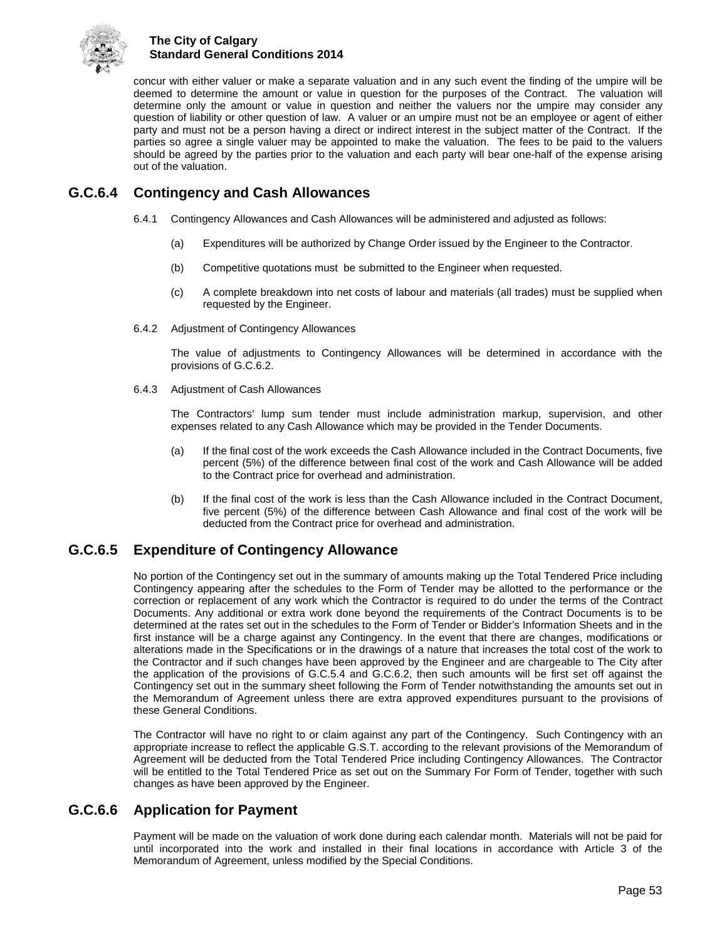

concur with either valuer or make a separate valuation and in any such event the finding of the umpire will be deemed to determine the amount or value in question for the purposes of the Contract. The valuation will determine only the amount or value in question and neither the valuers nor the umpire may consider any question of liability or other question of law. A valuer or an umpire must not be an employee or agent of either party and must not be a person having a direct or indirect interest in the subject matter of the Contract. If the parties so agree a single valuer may be appointed to make the valuation. The fees to be paid to the valuers should be agreed by the parties prior to the valuation and each party will bear one-half of the expense arising out of the valuation.

## <span id="page-57-0"></span>**G.C.6.4 Contingency and Cash Allowances**

- 6.4.1 Contingency Allowances and Cash Allowances will be administered and adjusted as follows:
	- (a) Expenditures will be authorized by Change Order issued by the Engineer to the Contractor.
	- (b) Competitive quotations must be submitted to the Engineer when requested.
	- (c) A complete breakdown into net costs of labour and materials (all trades) must be supplied when requested by the Engineer.
- 6.4.2 Adjustment of Contingency Allowances

The value of adjustments to Contingency Allowances will be determined in accordance with the provisions of G.C.6.2.

6.4.3 Adjustment of Cash Allowances

The Contractors' lump sum tender must include administration markup, supervision, and other expenses related to any Cash Allowance which may be provided in the Tender Documents.

- (a) If the final cost of the work exceeds the Cash Allowance included in the Contract Documents, five percent (5%) of the difference between final cost of the work and Cash Allowance will be added to the Contract price for overhead and administration.
- (b) If the final cost of the work is less than the Cash Allowance included in the Contract Document, five percent (5%) of the difference between Cash Allowance and final cost of the work will be deducted from the Contract price for overhead and administration.

## <span id="page-57-1"></span>**G.C.6.5 Expenditure of Contingency Allowance**

No portion of the Contingency set out in the summary of amounts making up the Total Tendered Price including Contingency appearing after the schedules to the Form of Tender may be allotted to the performance or the correction or replacement of any work which the Contractor is required to do under the terms of the Contract Documents. Any additional or extra work done beyond the requirements of the Contract Documents is to be determined at the rates set out in the schedules to the Form of Tender or Bidder's Information Sheets and in the first instance will be a charge against any Contingency. In the event that there are changes, modifications or alterations made in the Specifications or in the drawings of a nature that increases the total cost of the work to the Contractor and if such changes have been approved by the Engineer and are chargeable to The City after the application of the provisions of G.C.5.4 and G.C.6.2, then such amounts will be first set off against the Contingency set out in the summary sheet following the Form of Tender notwithstanding the amounts set out in the Memorandum of Agreement unless there are extra approved expenditures pursuant to the provisions of these General Conditions.

The Contractor will have no right to or claim against any part of the Contingency. Such Contingency with an appropriate increase to reflect the applicable G.S.T. according to the relevant provisions of the Memorandum of Agreement will be deducted from the Total Tendered Price including Contingency Allowances. The Contractor will be entitled to the Total Tendered Price as set out on the Summary For Form of Tender, together with such changes as have been approved by the Engineer.

## <span id="page-57-2"></span>**G.C.6.6 Application for Payment**

Payment will be made on the valuation of work done during each calendar month. Materials will not be paid for until incorporated into the work and installed in their final locations in accordance with Article 3 of the Memorandum of Agreement, unless modified by the Special Conditions.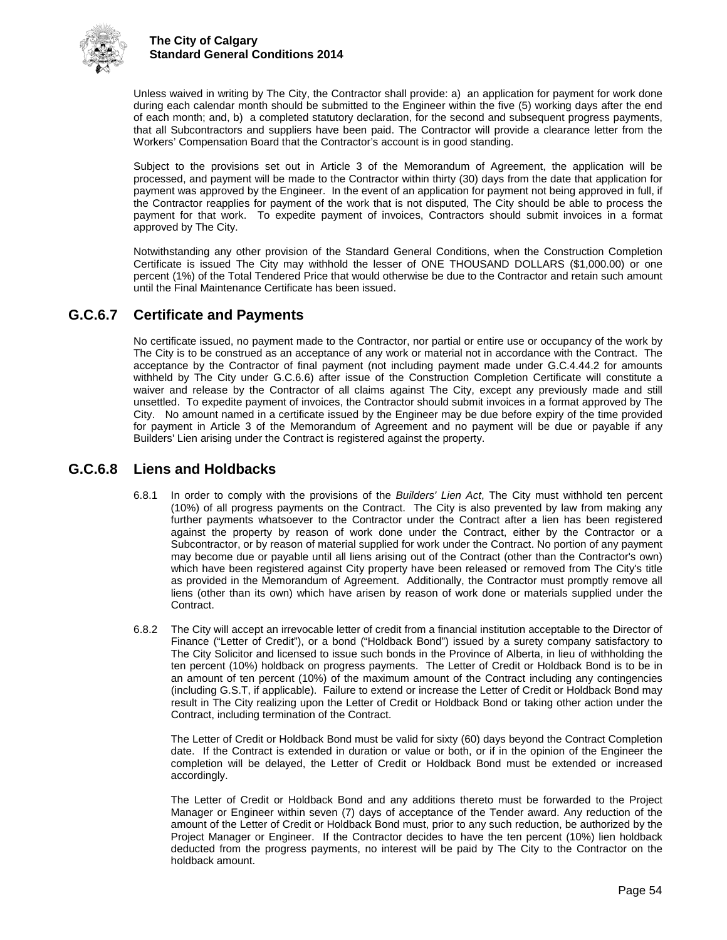

Unless waived in writing by The City, the Contractor shall provide: a) an application for payment for work done during each calendar month should be submitted to the Engineer within the five (5) working days after the end of each month; and, b) a completed statutory declaration, for the second and subsequent progress payments, that all Subcontractors and suppliers have been paid. The Contractor will provide a clearance letter from the Workers' Compensation Board that the Contractor's account is in good standing.

Subject to the provisions set out in Article 3 of the Memorandum of Agreement, the application will be processed, and payment will be made to the Contractor within thirty (30) days from the date that application for payment was approved by the Engineer. In the event of an application for payment not being approved in full, if the Contractor reapplies for payment of the work that is not disputed, The City should be able to process the payment for that work. To expedite payment of invoices, Contractors should submit invoices in a format approved by The City.

Notwithstanding any other provision of the Standard General Conditions, when the Construction Completion Certificate is issued The City may withhold the lesser of ONE THOUSAND DOLLARS (\$1,000.00) or one percent (1%) of the Total Tendered Price that would otherwise be due to the Contractor and retain such amount until the Final Maintenance Certificate has been issued.

## <span id="page-58-0"></span>**G.C.6.7 Certificate and Payments**

No certificate issued, no payment made to the Contractor, nor partial or entire use or occupancy of the work by The City is to be construed as an acceptance of any work or material not in accordance with the Contract. The acceptance by the Contractor of final payment (not including payment made under G.C.4.44.2 for amounts withheld by The City under G.C.6.6) after issue of the Construction Completion Certificate will constitute a waiver and release by the Contractor of all claims against The City, except any previously made and still unsettled. To expedite payment of invoices, the Contractor should submit invoices in a format approved by The City. No amount named in a certificate issued by the Engineer may be due before expiry of the time provided for payment in Article 3 of the Memorandum of Agreement and no payment will be due or payable if any Builders' Lien arising under the Contract is registered against the property.

## <span id="page-58-1"></span>**G.C.6.8 Liens and Holdbacks**

- 6.8.1 In order to comply with the provisions of the *Builders' Lien Act*, The City must withhold ten percent (10%) of all progress payments on the Contract. The City is also prevented by law from making any further payments whatsoever to the Contractor under the Contract after a lien has been registered against the property by reason of work done under the Contract, either by the Contractor or a Subcontractor, or by reason of material supplied for work under the Contract. No portion of any payment may become due or payable until all liens arising out of the Contract (other than the Contractor's own) which have been registered against City property have been released or removed from The City's title as provided in the Memorandum of Agreement. Additionally, the Contractor must promptly remove all liens (other than its own) which have arisen by reason of work done or materials supplied under the Contract.
- 6.8.2 The City will accept an irrevocable letter of credit from a financial institution acceptable to the Director of Finance ("Letter of Credit"), or a bond ("Holdback Bond") issued by a surety company satisfactory to The City Solicitor and licensed to issue such bonds in the Province of Alberta, in lieu of withholding the ten percent (10%) holdback on progress payments. The Letter of Credit or Holdback Bond is to be in an amount of ten percent (10%) of the maximum amount of the Contract including any contingencies (including G.S.T, if applicable). Failure to extend or increase the Letter of Credit or Holdback Bond may result in The City realizing upon the Letter of Credit or Holdback Bond or taking other action under the Contract, including termination of the Contract.

The Letter of Credit or Holdback Bond must be valid for sixty (60) days beyond the Contract Completion date. If the Contract is extended in duration or value or both, or if in the opinion of the Engineer the completion will be delayed, the Letter of Credit or Holdback Bond must be extended or increased accordingly.

The Letter of Credit or Holdback Bond and any additions thereto must be forwarded to the Project Manager or Engineer within seven (7) days of acceptance of the Tender award. Any reduction of the amount of the Letter of Credit or Holdback Bond must, prior to any such reduction, be authorized by the Project Manager or Engineer. If the Contractor decides to have the ten percent (10%) lien holdback deducted from the progress payments, no interest will be paid by The City to the Contractor on the holdback amount.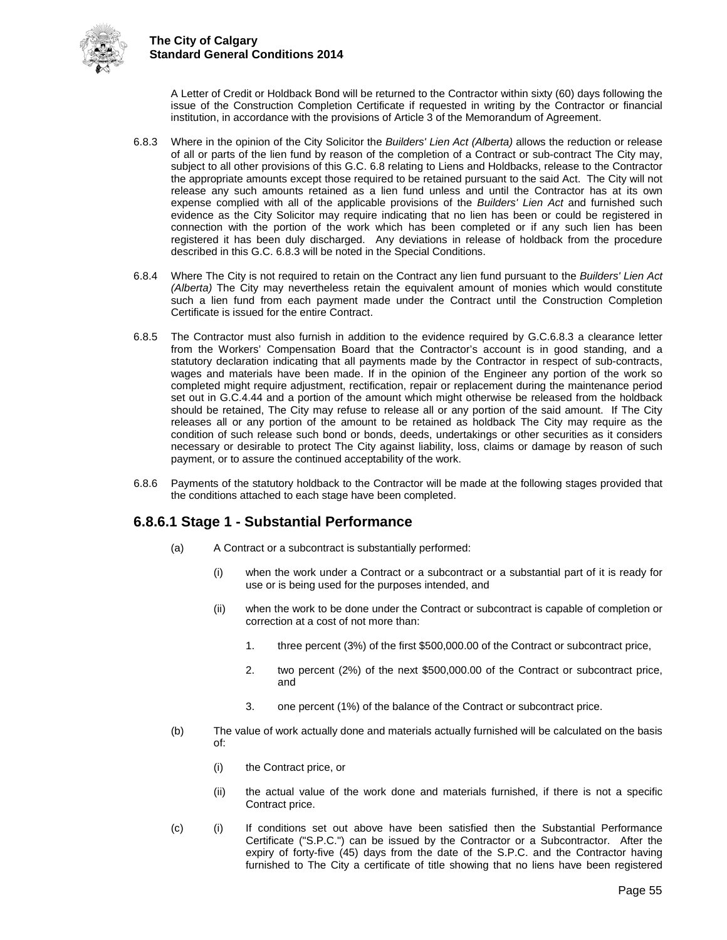

A Letter of Credit or Holdback Bond will be returned to the Contractor within sixty (60) days following the issue of the Construction Completion Certificate if requested in writing by the Contractor or financial institution, in accordance with the provisions of Article 3 of the Memorandum of Agreement.

- 6.8.3 Where in the opinion of the City Solicitor the *Builders' Lien Act (Alberta)* allows the reduction or release of all or parts of the lien fund by reason of the completion of a Contract or sub-contract The City may, subject to all other provisions of this G.C. 6.8 relating to Liens and Holdbacks, release to the Contractor the appropriate amounts except those required to be retained pursuant to the said Act. The City will not release any such amounts retained as a lien fund unless and until the Contractor has at its own expense complied with all of the applicable provisions of the *Builders' Lien Act* and furnished such evidence as the City Solicitor may require indicating that no lien has been or could be registered in connection with the portion of the work which has been completed or if any such lien has been registered it has been duly discharged. Any deviations in release of holdback from the procedure described in this G.C. 6.8.3 will be noted in the Special Conditions.
- 6.8.4 Where The City is not required to retain on the Contract any lien fund pursuant to the *Builders' Lien Act (Alberta)* The City may nevertheless retain the equivalent amount of monies which would constitute such a lien fund from each payment made under the Contract until the Construction Completion Certificate is issued for the entire Contract.
- 6.8.5 The Contractor must also furnish in addition to the evidence required by G.C.6.8.3 a clearance letter from the Workers' Compensation Board that the Contractor's account is in good standing, and a statutory declaration indicating that all payments made by the Contractor in respect of sub-contracts, wages and materials have been made. If in the opinion of the Engineer any portion of the work so completed might require adjustment, rectification, repair or replacement during the maintenance period set out in G.C.4.44 and a portion of the amount which might otherwise be released from the holdback should be retained, The City may refuse to release all or any portion of the said amount. If The City releases all or any portion of the amount to be retained as holdback The City may require as the condition of such release such bond or bonds, deeds, undertakings or other securities as it considers necessary or desirable to protect The City against liability, loss, claims or damage by reason of such payment, or to assure the continued acceptability of the work.
- 6.8.6 Payments of the statutory holdback to the Contractor will be made at the following stages provided that the conditions attached to each stage have been completed.

## **6.8.6.1 Stage 1 - Substantial Performance**

- (a) A Contract or a subcontract is substantially performed:
	- (i) when the work under a Contract or a subcontract or a substantial part of it is ready for use or is being used for the purposes intended, and
	- (ii) when the work to be done under the Contract or subcontract is capable of completion or correction at a cost of not more than:
		- 1. three percent (3%) of the first \$500,000.00 of the Contract or subcontract price,
		- 2. two percent (2%) of the next \$500,000.00 of the Contract or subcontract price, and
		- 3. one percent (1%) of the balance of the Contract or subcontract price.
- (b) The value of work actually done and materials actually furnished will be calculated on the basis of:
	- (i) the Contract price, or
	- (ii) the actual value of the work done and materials furnished, if there is not a specific Contract price.
- (c) (i) If conditions set out above have been satisfied then the Substantial Performance Certificate ("S.P.C.") can be issued by the Contractor or a Subcontractor. After the expiry of forty-five (45) days from the date of the S.P.C. and the Contractor having furnished to The City a certificate of title showing that no liens have been registered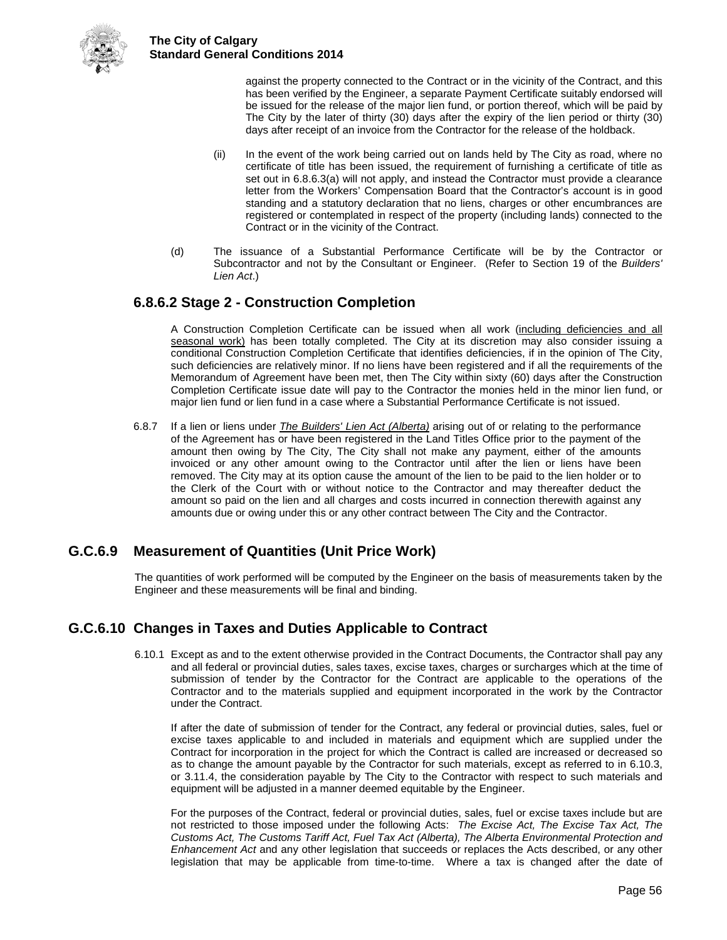

against the property connected to the Contract or in the vicinity of the Contract, and this has been verified by the Engineer, a separate Payment Certificate suitably endorsed will be issued for the release of the major lien fund, or portion thereof, which will be paid by The City by the later of thirty (30) days after the expiry of the lien period or thirty (30) days after receipt of an invoice from the Contractor for the release of the holdback.

- (ii) In the event of the work being carried out on lands held by The City as road, where no certificate of title has been issued, the requirement of furnishing a certificate of title as set out in 6.8.6.3(a) will not apply, and instead the Contractor must provide a clearance letter from the Workers' Compensation Board that the Contractor's account is in good standing and a statutory declaration that no liens, charges or other encumbrances are registered or contemplated in respect of the property (including lands) connected to the Contract or in the vicinity of the Contract.
- (d) The issuance of a Substantial Performance Certificate will be by the Contractor or Subcontractor and not by the Consultant or Engineer. (Refer to Section 19 of the *Builders' Lien Act*.)

## **6.8.6.2 Stage 2 - Construction Completion**

A Construction Completion Certificate can be issued when all work (including deficiencies and all seasonal work) has been totally completed. The City at its discretion may also consider issuing a conditional Construction Completion Certificate that identifies deficiencies, if in the opinion of The City, such deficiencies are relatively minor. If no liens have been registered and if all the requirements of the Memorandum of Agreement have been met, then The City within sixty (60) days after the Construction Completion Certificate issue date will pay to the Contractor the monies held in the minor lien fund, or major lien fund or lien fund in a case where a Substantial Performance Certificate is not issued.

6.8.7 If a lien or liens under *The Builders' Lien Act (Alberta)* arising out of or relating to the performance of the Agreement has or have been registered in the Land Titles Office prior to the payment of the amount then owing by The City, The City shall not make any payment, either of the amounts invoiced or any other amount owing to the Contractor until after the lien or liens have been removed. The City may at its option cause the amount of the lien to be paid to the lien holder or to the Clerk of the Court with or without notice to the Contractor and may thereafter deduct the amount so paid on the lien and all charges and costs incurred in connection therewith against any amounts due or owing under this or any other contract between The City and the Contractor.

## <span id="page-60-0"></span>**G.C.6.9 Measurement of Quantities (Unit Price Work)**

The quantities of work performed will be computed by the Engineer on the basis of measurements taken by the Engineer and these measurements will be final and binding.

## <span id="page-60-1"></span>**G.C.6.10 Changes in Taxes and Duties Applicable to Contract**

6.10.1 Except as and to the extent otherwise provided in the Contract Documents, the Contractor shall pay any and all federal or provincial duties, sales taxes, excise taxes, charges or surcharges which at the time of submission of tender by the Contractor for the Contract are applicable to the operations of the Contractor and to the materials supplied and equipment incorporated in the work by the Contractor under the Contract.

If after the date of submission of tender for the Contract, any federal or provincial duties, sales, fuel or excise taxes applicable to and included in materials and equipment which are supplied under the Contract for incorporation in the project for which the Contract is called are increased or decreased so as to change the amount payable by the Contractor for such materials, except as referred to in 6.10.3, or 3.11.4, the consideration payable by The City to the Contractor with respect to such materials and equipment will be adjusted in a manner deemed equitable by the Engineer.

For the purposes of the Contract, federal or provincial duties, sales, fuel or excise taxes include but are not restricted to those imposed under the following Acts: *The Excise Act, The Excise Tax Act, The Customs Act, The Customs Tariff Act, Fuel Tax Act (Alberta), The Alberta Environmental Protection and Enhancement Act* and any other legislation that succeeds or replaces the Acts described, or any other legislation that may be applicable from time-to-time. Where a tax is changed after the date of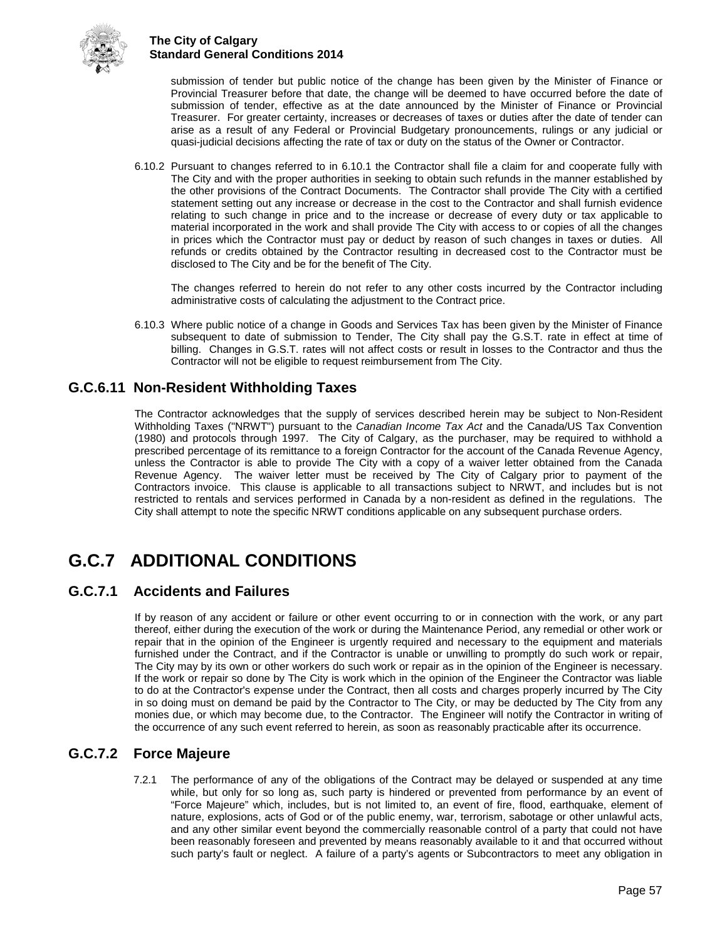

submission of tender but public notice of the change has been given by the Minister of Finance or Provincial Treasurer before that date, the change will be deemed to have occurred before the date of submission of tender, effective as at the date announced by the Minister of Finance or Provincial Treasurer. For greater certainty, increases or decreases of taxes or duties after the date of tender can arise as a result of any Federal or Provincial Budgetary pronouncements, rulings or any judicial or quasi-judicial decisions affecting the rate of tax or duty on the status of the Owner or Contractor.

6.10.2 Pursuant to changes referred to in 6.10.1 the Contractor shall file a claim for and cooperate fully with The City and with the proper authorities in seeking to obtain such refunds in the manner established by the other provisions of the Contract Documents. The Contractor shall provide The City with a certified statement setting out any increase or decrease in the cost to the Contractor and shall furnish evidence relating to such change in price and to the increase or decrease of every duty or tax applicable to material incorporated in the work and shall provide The City with access to or copies of all the changes in prices which the Contractor must pay or deduct by reason of such changes in taxes or duties. All refunds or credits obtained by the Contractor resulting in decreased cost to the Contractor must be disclosed to The City and be for the benefit of The City.

The changes referred to herein do not refer to any other costs incurred by the Contractor including administrative costs of calculating the adjustment to the Contract price.

6.10.3 Where public notice of a change in Goods and Services Tax has been given by the Minister of Finance subsequent to date of submission to Tender, The City shall pay the G.S.T. rate in effect at time of billing. Changes in G.S.T. rates will not affect costs or result in losses to the Contractor and thus the Contractor will not be eligible to request reimbursement from The City.

## <span id="page-61-0"></span>**G.C.6.11 Non-Resident Withholding Taxes**

The Contractor acknowledges that the supply of services described herein may be subject to Non-Resident Withholding Taxes ("NRWT") pursuant to the *Canadian Income Tax Act* and the Canada/US Tax Convention (1980) and protocols through 1997. The City of Calgary, as the purchaser, may be required to withhold a prescribed percentage of its remittance to a foreign Contractor for the account of the Canada Revenue Agency, unless the Contractor is able to provide The City with a copy of a waiver letter obtained from the Canada Revenue Agency. The waiver letter must be received by The City of Calgary prior to payment of the Contractors invoice. This clause is applicable to all transactions subject to NRWT, and includes but is not restricted to rentals and services performed in Canada by a non-resident as defined in the regulations. The City shall attempt to note the specific NRWT conditions applicable on any subsequent purchase orders.

## <span id="page-61-1"></span>**G.C.7 ADDITIONAL CONDITIONS**

## <span id="page-61-2"></span>**G.C.7.1 Accidents and Failures**

If by reason of any accident or failure or other event occurring to or in connection with the work, or any part thereof, either during the execution of the work or during the Maintenance Period, any remedial or other work or repair that in the opinion of the Engineer is urgently required and necessary to the equipment and materials furnished under the Contract, and if the Contractor is unable or unwilling to promptly do such work or repair, The City may by its own or other workers do such work or repair as in the opinion of the Engineer is necessary. If the work or repair so done by The City is work which in the opinion of the Engineer the Contractor was liable to do at the Contractor's expense under the Contract, then all costs and charges properly incurred by The City in so doing must on demand be paid by the Contractor to The City, or may be deducted by The City from any monies due, or which may become due, to the Contractor. The Engineer will notify the Contractor in writing of the occurrence of any such event referred to herein, as soon as reasonably practicable after its occurrence.

## <span id="page-61-3"></span>**G.C.7.2 Force Majeure**

7.2.1 The performance of any of the obligations of the Contract may be delayed or suspended at any time while, but only for so long as, such party is hindered or prevented from performance by an event of "Force Majeure" which, includes, but is not limited to, an event of fire, flood, earthquake, element of nature, explosions, acts of God or of the public enemy, war, terrorism, sabotage or other unlawful acts, and any other similar event beyond the commercially reasonable control of a party that could not have been reasonably foreseen and prevented by means reasonably available to it and that occurred without such party's fault or neglect. A failure of a party's agents or Subcontractors to meet any obligation in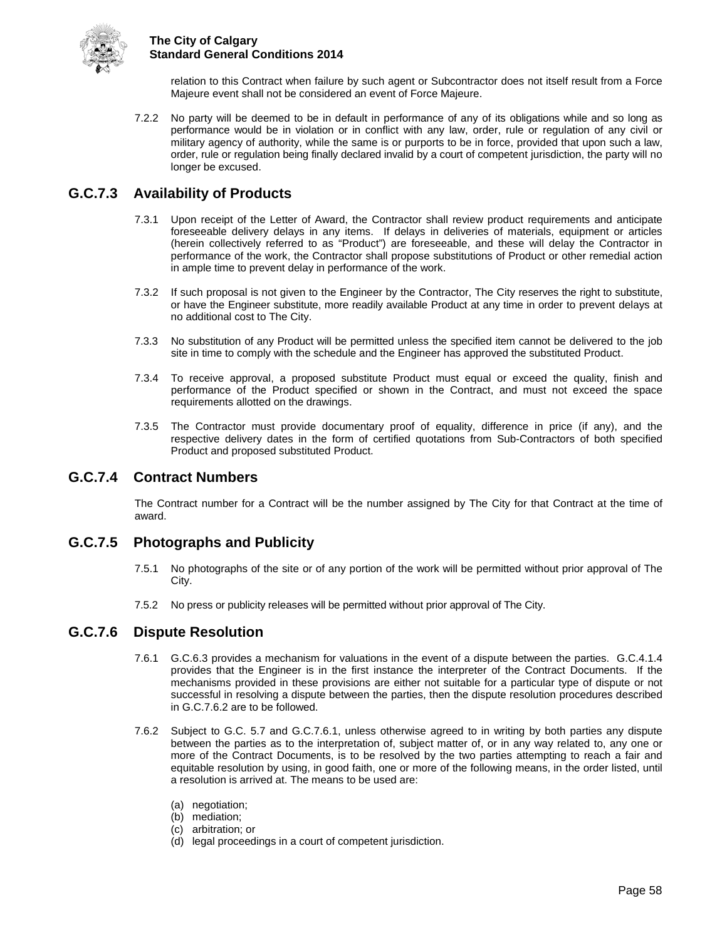

relation to this Contract when failure by such agent or Subcontractor does not itself result from a Force Majeure event shall not be considered an event of Force Majeure.

7.2.2 No party will be deemed to be in default in performance of any of its obligations while and so long as performance would be in violation or in conflict with any law, order, rule or regulation of any civil or military agency of authority, while the same is or purports to be in force, provided that upon such a law, order, rule or regulation being finally declared invalid by a court of competent jurisdiction, the party will no longer be excused.

## <span id="page-62-0"></span>**G.C.7.3 Availability of Products**

- 7.3.1 Upon receipt of the Letter of Award, the Contractor shall review product requirements and anticipate foreseeable delivery delays in any items. If delays in deliveries of materials, equipment or articles (herein collectively referred to as "Product") are foreseeable, and these will delay the Contractor in performance of the work, the Contractor shall propose substitutions of Product or other remedial action in ample time to prevent delay in performance of the work.
- 7.3.2 If such proposal is not given to the Engineer by the Contractor, The City reserves the right to substitute, or have the Engineer substitute, more readily available Product at any time in order to prevent delays at no additional cost to The City.
- 7.3.3 No substitution of any Product will be permitted unless the specified item cannot be delivered to the job site in time to comply with the schedule and the Engineer has approved the substituted Product.
- 7.3.4 To receive approval, a proposed substitute Product must equal or exceed the quality, finish and performance of the Product specified or shown in the Contract, and must not exceed the space requirements allotted on the drawings.
- 7.3.5 The Contractor must provide documentary proof of equality, difference in price (if any), and the respective delivery dates in the form of certified quotations from Sub-Contractors of both specified Product and proposed substituted Product.

## <span id="page-62-1"></span>**G.C.7.4 Contract Numbers**

The Contract number for a Contract will be the number assigned by The City for that Contract at the time of award.

## <span id="page-62-2"></span>**G.C.7.5 Photographs and Publicity**

- 7.5.1 No photographs of the site or of any portion of the work will be permitted without prior approval of The City.
- 7.5.2 No press or publicity releases will be permitted without prior approval of The City.

## <span id="page-62-3"></span>**G.C.7.6 Dispute Resolution**

- 7.6.1 G.C.6.3 provides a mechanism for valuations in the event of a dispute between the parties. G.C.4.1.4 provides that the Engineer is in the first instance the interpreter of the Contract Documents. If the mechanisms provided in these provisions are either not suitable for a particular type of dispute or not successful in resolving a dispute between the parties, then the dispute resolution procedures described in G.C.7.6.2 are to be followed.
- 7.6.2 Subject to G.C. 5.7 and G.C.7.6.1, unless otherwise agreed to in writing by both parties any dispute between the parties as to the interpretation of, subject matter of, or in any way related to, any one or more of the Contract Documents, is to be resolved by the two parties attempting to reach a fair and equitable resolution by using, in good faith, one or more of the following means, in the order listed, until a resolution is arrived at. The means to be used are:
	- (a) negotiation;
	- (b) mediation;
	- (c) arbitration; or
	- (d) legal proceedings in a court of competent jurisdiction.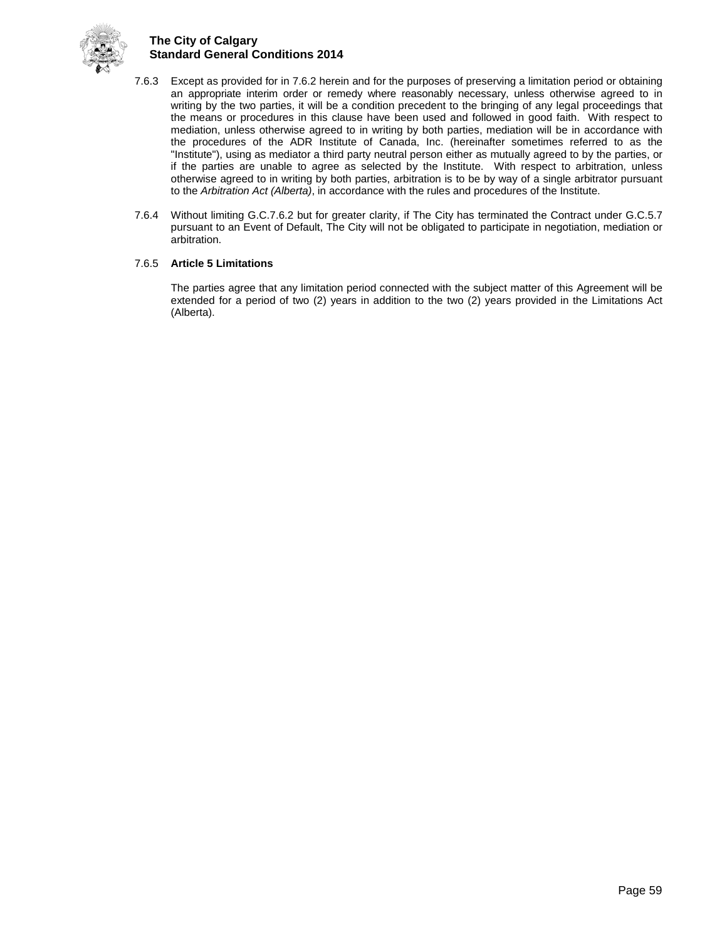

- 7.6.3 Except as provided for in 7.6.2 herein and for the purposes of preserving a limitation period or obtaining an appropriate interim order or remedy where reasonably necessary, unless otherwise agreed to in writing by the two parties, it will be a condition precedent to the bringing of any legal proceedings that the means or procedures in this clause have been used and followed in good faith. With respect to mediation, unless otherwise agreed to in writing by both parties, mediation will be in accordance with the procedures of the ADR Institute of Canada, Inc. (hereinafter sometimes referred to as the "Institute"), using as mediator a third party neutral person either as mutually agreed to by the parties, or if the parties are unable to agree as selected by the Institute. With respect to arbitration, unless otherwise agreed to in writing by both parties, arbitration is to be by way of a single arbitrator pursuant to the *Arbitration Act (Alberta)*, in accordance with the rules and procedures of the Institute.
- 7.6.4 Without limiting G.C.7.6.2 but for greater clarity, if The City has terminated the Contract under G.C.5.7 pursuant to an Event of Default, The City will not be obligated to participate in negotiation, mediation or arbitration.

#### 7.6.5 **Article 5 Limitations**

The parties agree that any limitation period connected with the subject matter of this Agreement will be extended for a period of two (2) years in addition to the two (2) years provided in the Limitations Act (Alberta).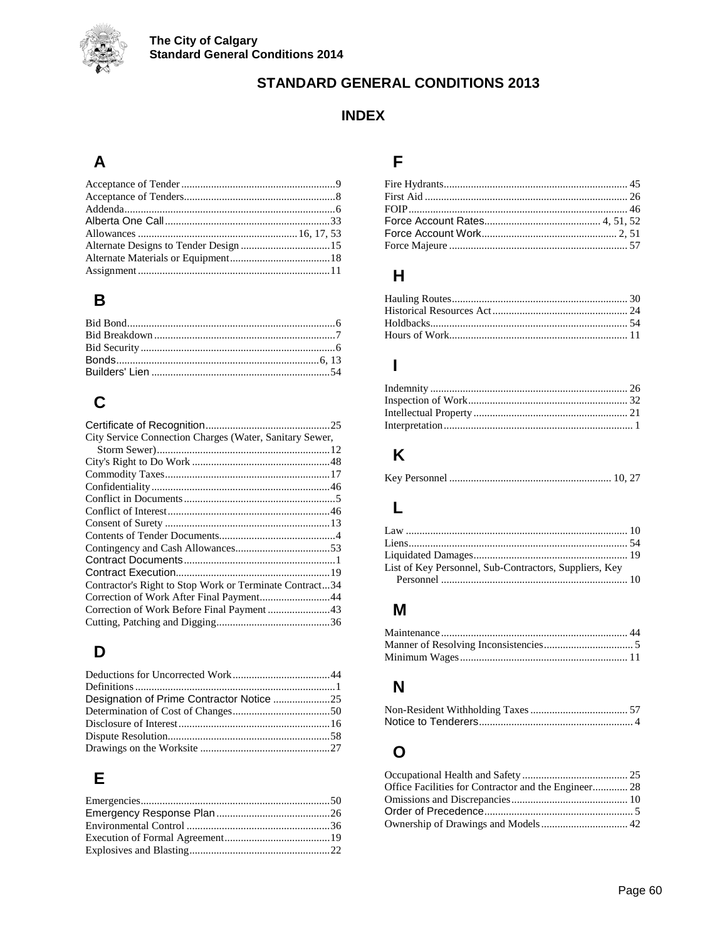

## **STANDARD GENERAL CONDITIONS 2013**

## **INDEX**

## $\mathsf{A}$

## $\pmb{\mathsf{B}}$

## $\mathbf C$

| City Service Connection Charges (Water, Sanitary Sewer, |  |
|---------------------------------------------------------|--|
|                                                         |  |
|                                                         |  |
|                                                         |  |
|                                                         |  |
|                                                         |  |
|                                                         |  |
|                                                         |  |
|                                                         |  |
|                                                         |  |
|                                                         |  |
|                                                         |  |
| Contractor's Right to Stop Work or Terminate Contract34 |  |
| Correction of Work After Final Payment44                |  |
|                                                         |  |
|                                                         |  |

## $\mathbf D$

## $\mathsf E$

## F

## $H$

## $\overline{1}$

## $\overline{\mathsf{K}}$

|--|--|--|--|--|--|--|

## $\mathsf{L}% _{0}\left( \mathsf{L}_{0}\right) ^{T}=\mathsf{L}_{0}\left( \mathsf{L}_{0}\right) ^{T}$

| List of Key Personnel, Sub-Contractors, Suppliers, Key |  |
|--------------------------------------------------------|--|
|                                                        |  |

## $\boldsymbol{\mathsf{M}}$

## $\mathsf{N}$

## $\mathbf{o}$